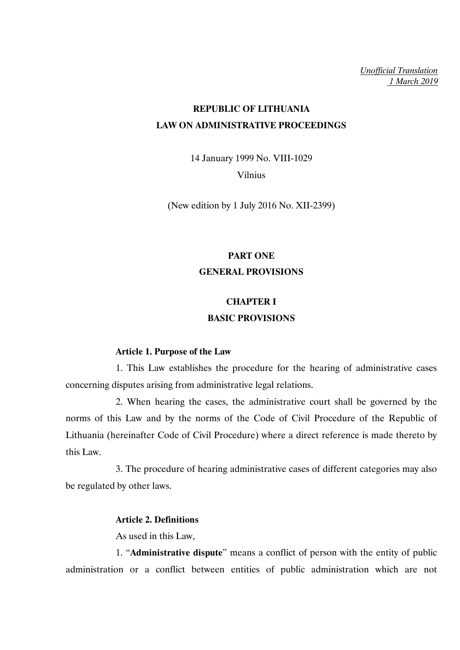*Unofficial Translation 1 March 2019*

# **REPUBLIC OF LITHUANIA LAW ON ADMINISTRATIVE PROCEEDINGS**

14 January 1999 No. VIII-1029 Vilnius

(New edition by 1 July 2016 No. XII-2399)

# **PART ONE GENERAL PROVISIONS**

# **CHAPTER I BASIC PROVISIONS**

## **Article 1. Purpose of the Law**

1. This Law establishes the procedure for the hearing of administrative cases concerning disputes arising from administrative legal relations.

2. When hearing the cases, the administrative court shall be governed by the norms of this Law and by the norms of the Code of Civil Procedure of the Republic of Lithuania (hereinafter Code of Civil Procedure) where a direct reference is made thereto by this Law.

3. The procedure of hearing administrative cases of different categories may also be regulated by other laws.

## **Article 2. Definitions**

As used in this Law,

1. "**Administrative dispute**" means a conflict of person with the entity of public administration or a conflict between entities of public administration which are not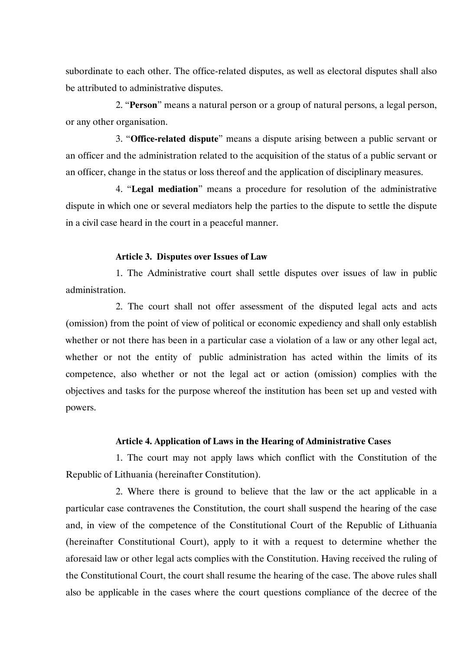subordinate to each other. The office-related disputes, as well as electoral disputes shall also be attributed to administrative disputes.

2. "**Person**" means a natural person or a group of natural persons, a legal person, or any other organisation.

3. "**Office-related dispute**" means a dispute arising between a public servant or an officer and the administration related to the acquisition of the status of a public servant or an officer, change in the status or loss thereof and the application of disciplinary measures.

4. "**Legal mediation**" means a procedure for resolution of the administrative dispute in which one or several mediators help the parties to the dispute to settle the dispute in a civil case heard in the court in a peaceful manner.

### **Article 3. Disputes over Issues of Law**

1. The Administrative court shall settle disputes over issues of law in public administration.

2. The court shall not offer assessment of the disputed legal acts and acts (omission) from the point of view of political or economic expediency and shall only establish whether or not there has been in a particular case a violation of a law or any other legal act, whether or not the entity of public administration has acted within the limits of its competence, also whether or not the legal act or action (omission) complies with the objectives and tasks for the purpose whereof the institution has been set up and vested with powers.

### **Article 4. Application of Laws in the Hearing of Administrative Cases**

1. The court may not apply laws which conflict with the Constitution of the Republic of Lithuania (hereinafter Constitution).

2. Where there is ground to believe that the law or the act applicable in a particular case contravenes the Constitution, the court shall suspend the hearing of the case and, in view of the competence of the Constitutional Court of the Republic of Lithuania (hereinafter Constitutional Court), apply to it with a request to determine whether the aforesaid law or other legal acts complies with the Constitution. Having received the ruling of the Constitutional Court, the court shall resume the hearing of the case. The above rules shall also be applicable in the cases where the court questions compliance of the decree of the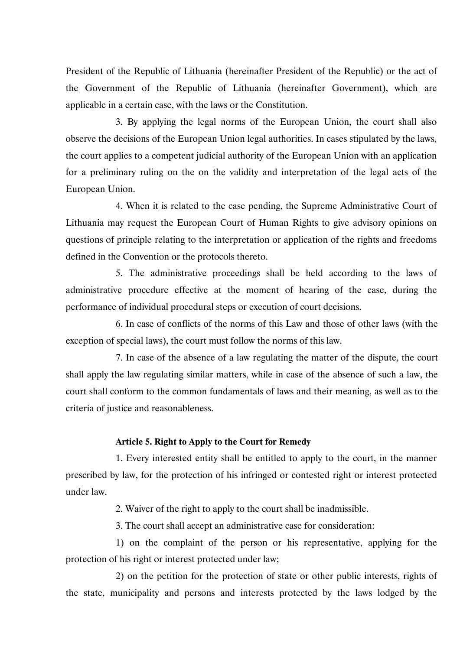President of the Republic of Lithuania (hereinafter President of the Republic) or the act of the Government of the Republic of Lithuania (hereinafter Government), which are applicable in a certain case, with the laws or the Constitution.

3. By applying the legal norms of the European Union, the court shall also observe the decisions of the European Union legal authorities. In cases stipulated by the laws, the court applies to a competent judicial authority of the European Union with an application for a preliminary ruling on the on the validity and interpretation of the legal acts of the European Union.

4. When it is related to the case pending, the Supreme Administrative Court of Lithuania may request the European Court of Human Rights to give advisory opinions on questions of principle relating to the interpretation or application of the rights and freedoms defined in the Convention or the protocols thereto.

5. The administrative proceedings shall be held according to the laws of administrative procedure effective at the moment of hearing of the case, during the performance of individual procedural steps or execution of court decisions.

6. In case of conflicts of the norms of this Law and those of other laws (with the exception of special laws), the court must follow the norms of this law.

7. In case of the absence of a law regulating the matter of the dispute, the court shall apply the law regulating similar matters, while in case of the absence of such a law, the court shall conform to the common fundamentals of laws and their meaning, as well as to the criteria of justice and reasonableness.

### **Article 5. Right to Apply to the Court for Remedy**

1. Every interested entity shall be entitled to apply to the court, in the manner prescribed by law, for the protection of his infringed or contested right or interest protected under law.

2. Waiver of the right to apply to the court shall be inadmissible.

3. The court shall accept an administrative case for consideration:

1) on the complaint of the person or his representative, applying for the protection of his right or interest protected under law;

2) on the petition for the protection of state or other public interests, rights of the state, municipality and persons and interests protected by the laws lodged by the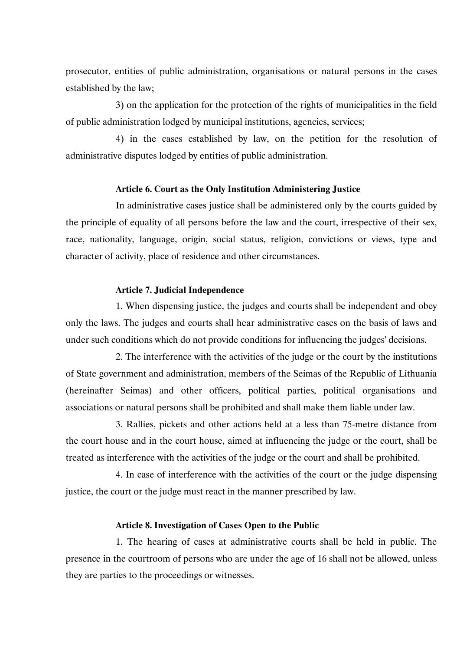prosecutor, entities of public administration, organisations or natural persons in the cases established by the law;

3) on the application for the protection of the rights of municipalities in the field of public administration lodged by municipal institutions, agencies, services;

4) in the cases established by law, on the petition for the resolution of administrative disputes lodged by entities of public administration.

### **Article 6. Court as the Only Institution Administering Justice**

In administrative cases justice shall be administered only by the courts guided by the principle of equality of all persons before the law and the court, irrespective of their sex, race, nationality, language, origin, social status, religion, convictions or views, type and character of activity, place of residence and other circumstances.

### **Article 7. Judicial Independence**

1. When dispensing justice, the judges and courts shall be independent and obey only the laws. The judges and courts shall hear administrative cases on the basis of laws and under such conditions which do not provide conditions for influencing the judges' decisions.

2. The interference with the activities of the judge or the court by the institutions of State government and administration, members of the Seimas of the Republic of Lithuania (hereinafter Seimas) and other officers, political parties, political organisations and associations or natural persons shall be prohibited and shall make them liable under law.

3. Rallies, pickets and other actions held at a less than 75-metre distance from the court house and in the court house, aimed at influencing the judge or the court, shall be treated as interference with the activities of the judge or the court and shall be prohibited.

4. In case of interference with the activities of the court or the judge dispensing justice, the court or the judge must react in the manner prescribed by law.

### **Article 8. Investigation of Cases Open to the Public**

1. The hearing of cases at administrative courts shall be held in public. The presence in the courtroom of persons who are under the age of 16 shall not be allowed, unless they are parties to the proceedings or witnesses.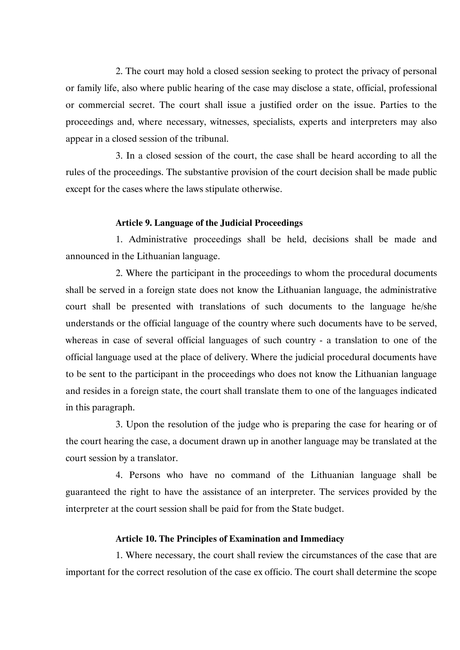2. The court may hold a closed session seeking to protect the privacy of personal or family life, also where public hearing of the case may disclose a state, official, professional or commercial secret. The court shall issue a justified order on the issue. Parties to the proceedings and, where necessary, witnesses, specialists, experts and interpreters may also appear in a closed session of the tribunal.

3. In a closed session of the court, the case shall be heard according to all the rules of the proceedings. The substantive provision of the court decision shall be made public except for the cases where the laws stipulate otherwise.

### **Article 9. Language of the Judicial Proceedings**

1. Administrative proceedings shall be held, decisions shall be made and announced in the Lithuanian language.

2. Where the participant in the proceedings to whom the procedural documents shall be served in a foreign state does not know the Lithuanian language, the administrative court shall be presented with translations of such documents to the language he/she understands or the official language of the country where such documents have to be served, whereas in case of several official languages of such country - a translation to one of the official language used at the place of delivery. Where the judicial procedural documents have to be sent to the participant in the proceedings who does not know the Lithuanian language and resides in a foreign state, the court shall translate them to one of the languages indicated in this paragraph.

3. Upon the resolution of the judge who is preparing the case for hearing or of the court hearing the case, a document drawn up in another language may be translated at the court session by a translator.

4. Persons who have no command of the Lithuanian language shall be guaranteed the right to have the assistance of an interpreter. The services provided by the interpreter at the court session shall be paid for from the State budget.

### **Article 10. The Principles of Examination and Immediacy**

1. Where necessary, the court shall review the circumstances of the case that are important for the correct resolution of the case ex officio. The court shall determine the scope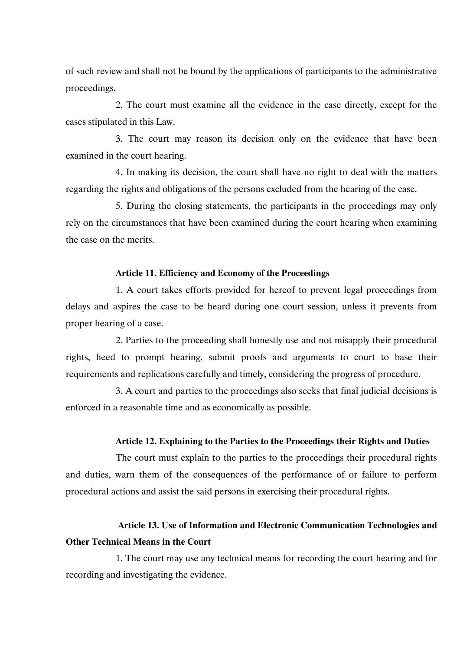of such review and shall not be bound by the applications of participants to the administrative proceedings.

2. The court must examine all the evidence in the case directly, except for the cases stipulated in this Law.

3. The court may reason its decision only on the evidence that have been examined in the court hearing.

4. In making its decision, the court shall have no right to deal with the matters regarding the rights and obligations of the persons excluded from the hearing of the case.

5. During the closing statements, the participants in the proceedings may only rely on the circumstances that have been examined during the court hearing when examining the case on the merits.

### **Article 11. Efficiency and Economy of the Proceedings**

1. A court takes efforts provided for hereof to prevent legal proceedings from delays and aspires the case to be heard during one court session, unless it prevents from proper hearing of a case.

2. Parties to the proceeding shall honestly use and not misapply their procedural rights, heed to prompt hearing, submit proofs and arguments to court to base their requirements and replications carefully and timely, considering the progress of procedure.

3. A court and parties to the proceedings also seeks that final judicial decisions is enforced in a reasonable time and as economically as possible.

### **Article 12. Explaining to the Parties to the Proceedings their Rights and Duties**

The court must explain to the parties to the proceedings their procedural rights and duties, warn them of the consequences of the performance of or failure to perform procedural actions and assist the said persons in exercising their procedural rights.

## **Article 13. Use of Information and Electronic Communication Technologies and Other Technical Means in the Court**

1. The court may use any technical means for recording the court hearing and for recording and investigating the evidence.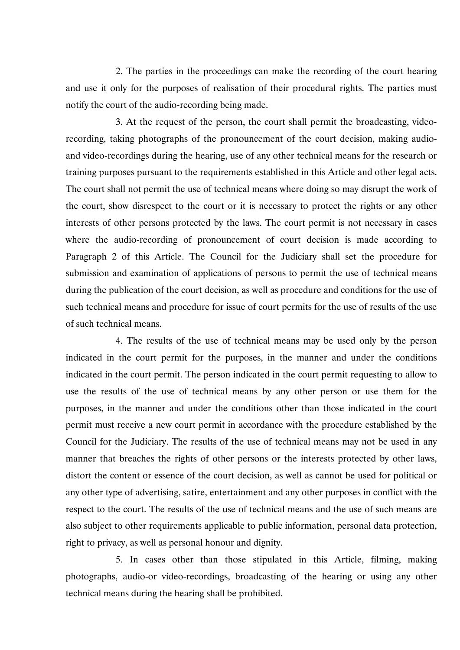2. The parties in the proceedings can make the recording of the court hearing and use it only for the purposes of realisation of their procedural rights. The parties must notify the court of the audio-recording being made.

3. At the request of the person, the court shall permit the broadcasting, videorecording, taking photographs of the pronouncement of the court decision, making audioand video-recordings during the hearing, use of any other technical means for the research or training purposes pursuant to the requirements established in this Article and other legal acts. The court shall not permit the use of technical means where doing so may disrupt the work of the court, show disrespect to the court or it is necessary to protect the rights or any other interests of other persons protected by the laws. The court permit is not necessary in cases where the audio-recording of pronouncement of court decision is made according to Paragraph 2 of this Article. The Council for the Judiciary shall set the procedure for submission and examination of applications of persons to permit the use of technical means during the publication of the court decision, as well as procedure and conditions for the use of such technical means and procedure for issue of court permits for the use of results of the use of such technical means.

4. The results of the use of technical means may be used only by the person indicated in the court permit for the purposes, in the manner and under the conditions indicated in the court permit. The person indicated in the court permit requesting to allow to use the results of the use of technical means by any other person or use them for the purposes, in the manner and under the conditions other than those indicated in the court permit must receive a new court permit in accordance with the procedure established by the Council for the Judiciary. The results of the use of technical means may not be used in any manner that breaches the rights of other persons or the interests protected by other laws, distort the content or essence of the court decision, as well as cannot be used for political or any other type of advertising, satire, entertainment and any other purposes in conflict with the respect to the court. The results of the use of technical means and the use of such means are also subject to other requirements applicable to public information, personal data protection, right to privacy, as well as personal honour and dignity.

5. In cases other than those stipulated in this Article, filming, making photographs, audio-or video-recordings, broadcasting of the hearing or using any other technical means during the hearing shall be prohibited.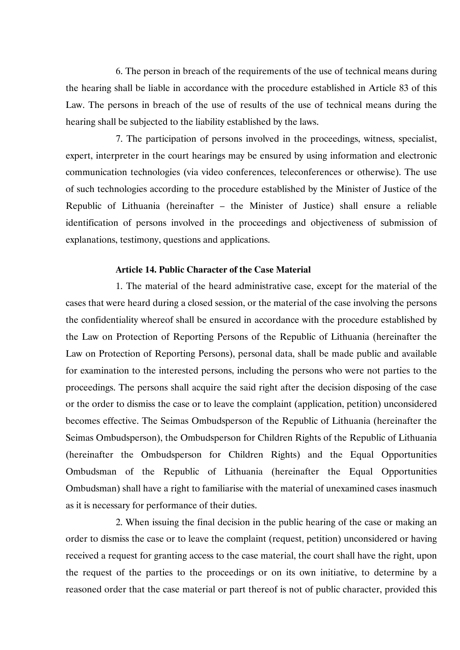6. The person in breach of the requirements of the use of technical means during the hearing shall be liable in accordance with the procedure established in Article 83 of this Law. The persons in breach of the use of results of the use of technical means during the hearing shall be subjected to the liability established by the laws.

7. The participation of persons involved in the proceedings, witness, specialist, expert, interpreter in the court hearings may be ensured by using information and electronic communication technologies (via video conferences, teleconferences or otherwise). The use of such technologies according to the procedure established by the Minister of Justice of the Republic of Lithuania (hereinafter – the Minister of Justice) shall ensure a reliable identification of persons involved in the proceedings and objectiveness of submission of explanations, testimony, questions and applications.

## **Article 14. Public Character of the Case Material**

1. The material of the heard administrative case, except for the material of the cases that were heard during a closed session, or the material of the case involving the persons the confidentiality whereof shall be ensured in accordance with the procedure established by the Law on Protection of Reporting Persons of the Republic of Lithuania (hereinafter the Law on Protection of Reporting Persons), personal data, shall be made public and available for examination to the interested persons, including the persons who were not parties to the proceedings. The persons shall acquire the said right after the decision disposing of the case or the order to dismiss the case or to leave the complaint (application, petition) unconsidered becomes effective. The Seimas Ombudsperson of the Republic of Lithuania (hereinafter the Seimas Ombudsperson), the Ombudsperson for Children Rights of the Republic of Lithuania (hereinafter the Ombudsperson for Children Rights) and the Equal Opportunities Ombudsman of the Republic of Lithuania (hereinafter the Equal Opportunities Ombudsman) shall have a right to familiarise with the material of unexamined cases inasmuch as it is necessary for performance of their duties.

2. When issuing the final decision in the public hearing of the case or making an order to dismiss the case or to leave the complaint (request, petition) unconsidered or having received a request for granting access to the case material, the court shall have the right, upon the request of the parties to the proceedings or on its own initiative, to determine by a reasoned order that the case material or part thereof is not of public character, provided this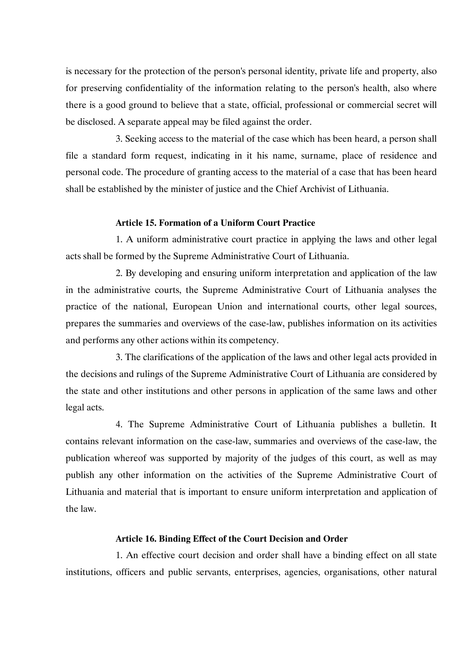is necessary for the protection of the person's personal identity, private life and property, also for preserving confidentiality of the information relating to the person's health, also where there is a good ground to believe that a state, official, professional or commercial secret will be disclosed. A separate appeal may be filed against the order.

3. Seeking access to the material of the case which has been heard, a person shall file a standard form request, indicating in it his name, surname, place of residence and personal code. The procedure of granting access to the material of a case that has been heard shall be established by the minister of justice and the Chief Archivist of Lithuania.

### **Article 15. Formation of a Uniform Court Practice**

1. A uniform administrative court practice in applying the laws and other legal acts shall be formed by the Supreme Administrative Court of Lithuania.

2. By developing and ensuring uniform interpretation and application of the law in the administrative courts, the Supreme Administrative Court of Lithuania analyses the practice of the national, European Union and international courts, other legal sources, prepares the summaries and overviews of the case-law, publishes information on its activities and performs any other actions within its competency.

3. The clarifications of the application of the laws and other legal acts provided in the decisions and rulings of the Supreme Administrative Court of Lithuania are considered by the state and other institutions and other persons in application of the same laws and other legal acts.

4. The Supreme Administrative Court of Lithuania publishes a bulletin. It contains relevant information on the case-law, summaries and overviews of the case-law, the publication whereof was supported by majority of the judges of this court, as well as may publish any other information on the activities of the Supreme Administrative Court of Lithuania and material that is important to ensure uniform interpretation and application of the law.

### **Article 16. Binding Effect of the Court Decision and Order**

1. An effective court decision and order shall have a binding effect on all state institutions, officers and public servants, enterprises, agencies, organisations, other natural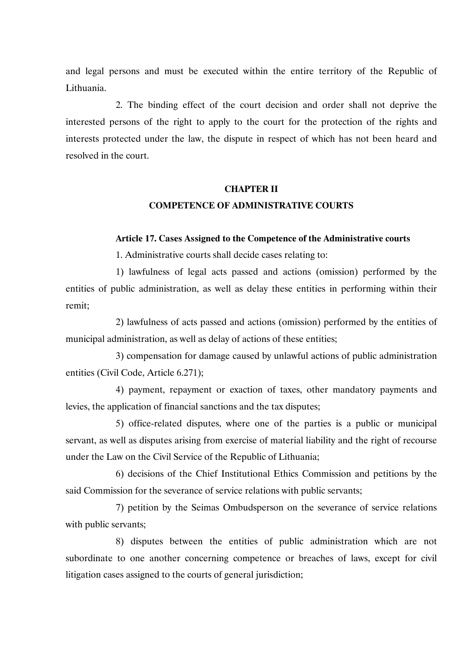and legal persons and must be executed within the entire territory of the Republic of Lithuania.

2. The binding effect of the court decision and order shall not deprive the interested persons of the right to apply to the court for the protection of the rights and interests protected under the law, the dispute in respect of which has not been heard and resolved in the court.

# **CHAPTER II COMPETENCE OF ADMINISTRATIVE COURTS**

### **Article 17. Cases Assigned to the Competence of the Administrative courts**

1. Administrative courts shall decide cases relating to:

1) lawfulness of legal acts passed and actions (omission) performed by the entities of public administration, as well as delay these entities in performing within their remit;

2) lawfulness of acts passed and actions (omission) performed by the entities of municipal administration, as well as delay of actions of these entities;

3) compensation for damage caused by unlawful actions of public administration entities (Civil Code, Article 6.271);

4) payment, repayment or exaction of taxes, other mandatory payments and levies, the application of financial sanctions and the tax disputes;

5) office-related disputes, where one of the parties is a public or municipal servant, as well as disputes arising from exercise of material liability and the right of recourse under the Law on the Civil Service of the Republic of Lithuania;

6) decisions of the Chief Institutional Ethics Commission and petitions by the said Commission for the severance of service relations with public servants;

7) petition by the Seimas Ombudsperson on the severance of service relations with public servants;

8) disputes between the entities of public administration which are not subordinate to one another concerning competence or breaches of laws, except for civil litigation cases assigned to the courts of general jurisdiction;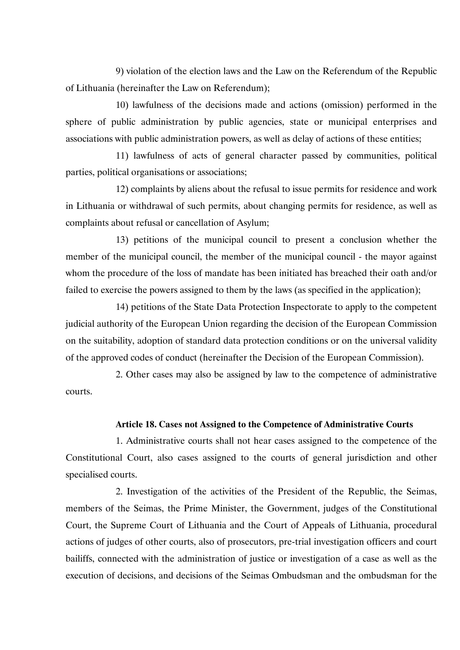9) violation of the election laws and the Law on the Referendum of the Republic of Lithuania (hereinafter the Law on Referendum);

10) lawfulness of the decisions made and actions (omission) performed in the sphere of public administration by public agencies, state or municipal enterprises and associations with public administration powers, as well as delay of actions of these entities;

11) lawfulness of acts of general character passed by communities, political parties, political organisations or associations;

12) complaints by aliens about the refusal to issue permits for residence and work in Lithuania or withdrawal of such permits, about changing permits for residence, as well as complaints about refusal or cancellation of Asylum;

13) petitions of the municipal council to present a conclusion whether the member of the municipal council, the member of the municipal council - the mayor against whom the procedure of the loss of mandate has been initiated has breached their oath and/or failed to exercise the powers assigned to them by the laws (as specified in the application);

14) petitions of the State Data Protection Inspectorate to apply to the competent judicial authority of the European Union regarding the decision of the European Commission on the suitability, adoption of standard data protection conditions or on the universal validity of the approved codes of conduct (hereinafter the Decision of the European Commission).

2. Other cases may also be assigned by law to the competence of administrative courts.

### **Article 18. Cases not Assigned to the Competence of Administrative Courts**

1. Administrative courts shall not hear cases assigned to the competence of the Constitutional Court, also cases assigned to the courts of general jurisdiction and other specialised courts.

2. Investigation of the activities of the President of the Republic, the Seimas, members of the Seimas, the Prime Minister, the Government, judges of the Constitutional Court, the Supreme Court of Lithuania and the Court of Appeals of Lithuania, procedural actions of judges of other courts, also of prosecutors, pre-trial investigation officers and court bailiffs, connected with the administration of justice or investigation of a case as well as the execution of decisions, and decisions of the Seimas Ombudsman and the ombudsman for the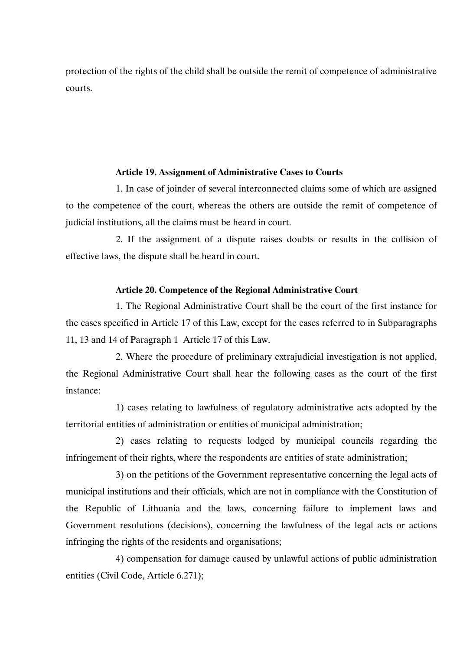protection of the rights of the child shall be outside the remit of competence of administrative courts.

### **Article 19. Assignment of Administrative Cases to Courts**

1. In case of joinder of several interconnected claims some of which are assigned to the competence of the court, whereas the others are outside the remit of competence of judicial institutions, all the claims must be heard in court.

2. If the assignment of a dispute raises doubts or results in the collision of effective laws, the dispute shall be heard in court.

### **Article 20. Competence of the Regional Administrative Court**

1. The Regional Administrative Court shall be the court of the first instance for the cases specified in Article 17 of this Law, except for the cases referred to in Subparagraphs 11, 13 and 14 of Paragraph 1 Article 17 of this Law.

2. Where the procedure of preliminary extrajudicial investigation is not applied, the Regional Administrative Court shall hear the following cases as the court of the first instance:

1) cases relating to lawfulness of regulatory administrative acts adopted by the territorial entities of administration or entities of municipal administration;

2) cases relating to requests lodged by municipal councils regarding the infringement of their rights, where the respondents are entities of state administration;

3) on the petitions of the Government representative concerning the legal acts of municipal institutions and their officials, which are not in compliance with the Constitution of the Republic of Lithuania and the laws, concerning failure to implement laws and Government resolutions (decisions), concerning the lawfulness of the legal acts or actions infringing the rights of the residents and organisations;

4) compensation for damage caused by unlawful actions of public administration entities (Civil Code, Article 6.271);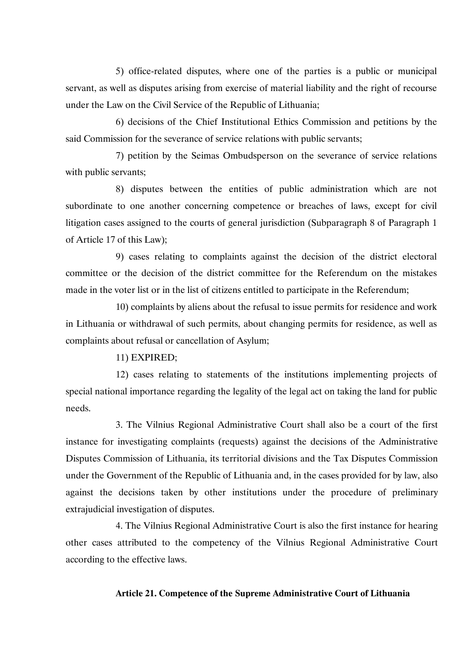5) office-related disputes, where one of the parties is a public or municipal servant, as well as disputes arising from exercise of material liability and the right of recourse under the Law on the Civil Service of the Republic of Lithuania;

6) decisions of the Chief Institutional Ethics Commission and petitions by the said Commission for the severance of service relations with public servants;

7) petition by the Seimas Ombudsperson on the severance of service relations with public servants;

8) disputes between the entities of public administration which are not subordinate to one another concerning competence or breaches of laws, except for civil litigation cases assigned to the courts of general jurisdiction (Subparagraph 8 of Paragraph 1 of Article 17 of this Law);

9) cases relating to complaints against the decision of the district electoral committee or the decision of the district committee for the Referendum on the mistakes made in the voter list or in the list of citizens entitled to participate in the Referendum;

10) complaints by aliens about the refusal to issue permits for residence and work in Lithuania or withdrawal of such permits, about changing permits for residence, as well as complaints about refusal or cancellation of Asylum;

### 11) EXPIRED;

12) cases relating to statements of the institutions implementing projects of special national importance regarding the legality of the legal act on taking the land for public needs.

3. The Vilnius Regional Administrative Court shall also be a court of the first instance for investigating complaints (requests) against the decisions of the Administrative Disputes Commission of Lithuania, its territorial divisions and the Tax Disputes Commission under the Government of the Republic of Lithuania and, in the cases provided for by law, also against the decisions taken by other institutions under the procedure of preliminary extrajudicial investigation of disputes.

4. The Vilnius Regional Administrative Court is also the first instance for hearing other cases attributed to the competency of the Vilnius Regional Administrative Court according to the effective laws.

#### **Article 21. Competence of the Supreme Administrative Court of Lithuania**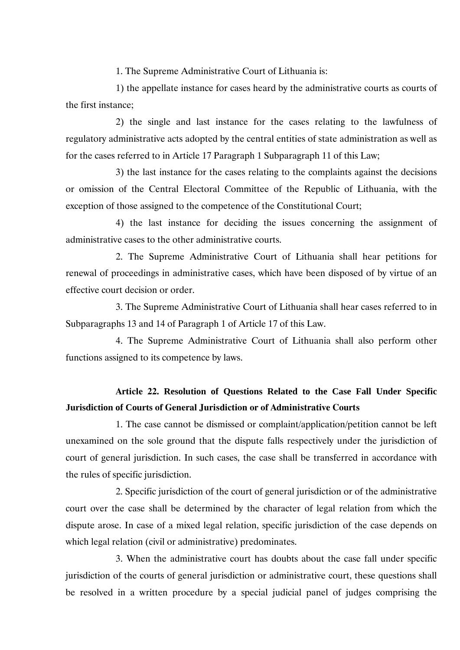1. The Supreme Administrative Court of Lithuania is:

1) the appellate instance for cases heard by the administrative courts as courts of the first instance;

2) the single and last instance for the cases relating to the lawfulness of regulatory administrative acts adopted by the central entities of state administration as well as for the cases referred to in Article 17 Paragraph 1 Subparagraph 11 of this Law;

3) the last instance for the cases relating to the complaints against the decisions or omission of the Central Electoral Committee of the Republic of Lithuania, with the exception of those assigned to the competence of the Constitutional Court;

4) the last instance for deciding the issues concerning the assignment of administrative cases to the other administrative courts.

2. The Supreme Administrative Court of Lithuania shall hear petitions for renewal of proceedings in administrative cases, which have been disposed of by virtue of an effective court decision or order.

3. The Supreme Administrative Court of Lithuania shall hear cases referred to in Subparagraphs 13 and 14 of Paragraph 1 of Article 17 of this Law.

4. The Supreme Administrative Court of Lithuania shall also perform other functions assigned to its competence by laws.

## **Article 22. Resolution of Questions Related to the Case Fall Under Specific Jurisdiction of Courts of General Jurisdiction or of Administrative Courts**

1. The case cannot be dismissed or complaint/application/petition cannot be left unexamined on the sole ground that the dispute falls respectively under the jurisdiction of court of general jurisdiction. In such cases, the case shall be transferred in accordance with the rules of specific jurisdiction.

2. Specific jurisdiction of the court of general jurisdiction or of the administrative court over the case shall be determined by the character of legal relation from which the dispute arose. In case of a mixed legal relation, specific jurisdiction of the case depends on which legal relation (civil or administrative) predominates.

3. When the administrative court has doubts about the case fall under specific jurisdiction of the courts of general jurisdiction or administrative court, these questions shall be resolved in a written procedure by a special judicial panel of judges comprising the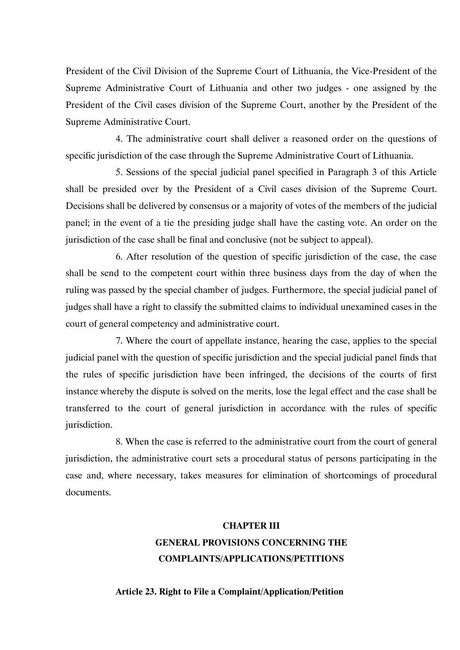President of the Civil Division of the Supreme Court of Lithuania, the Vice-President of the Supreme Administrative Court of Lithuania and other two judges - one assigned by the President of the Civil cases division of the Supreme Court, another by the President of the Supreme Administrative Court.

4. The administrative court shall deliver a reasoned order on the questions of specific jurisdiction of the case through the Supreme Administrative Court of Lithuania.

5. Sessions of the special judicial panel specified in Paragraph 3 of this Article shall be presided over by the President of a Civil cases division of the Supreme Court. Decisions shall be delivered by consensus or a majority of votes of the members of the judicial panel; in the event of a tie the presiding judge shall have the casting vote. An order on the jurisdiction of the case shall be final and conclusive (not be subject to appeal).

6. After resolution of the question of specific jurisdiction of the case, the case shall be send to the competent court within three business days from the day of when the ruling was passed by the special chamber of judges. Furthermore, the special judicial panel of judges shall have a right to classify the submitted claims to individual unexamined cases in the court of general competency and administrative court.

7. Where the court of appellate instance, hearing the case, applies to the special judicial panel with the question of specific jurisdiction and the special judicial panel finds that the rules of specific jurisdiction have been infringed, the decisions of the courts of first instance whereby the dispute is solved on the merits, lose the legal effect and the case shall be transferred to the court of general jurisdiction in accordance with the rules of specific jurisdiction.

8. When the case is referred to the administrative court from the court of general jurisdiction, the administrative court sets a procedural status of persons participating in the case and, where necessary, takes measures for elimination of shortcomings of procedural documents.

# **CHAPTER III GENERAL PROVISIONS CONCERNING THE COMPLAINTS/APPLICATIONS/PETITIONS**

### **Article 23. Right to File a Complaint/Application/Petition**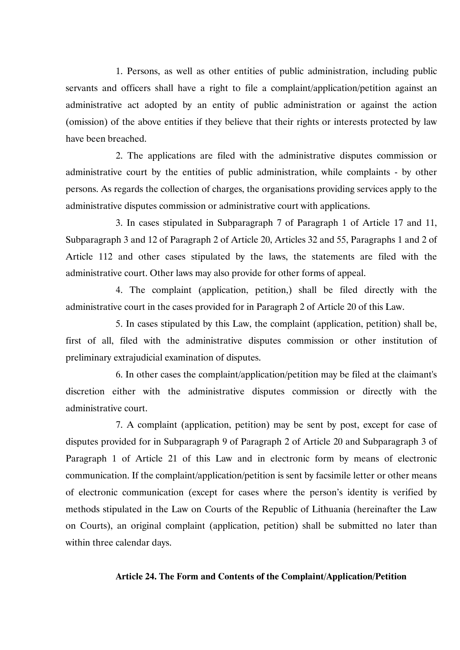1. Persons, as well as other entities of public administration, including public servants and officers shall have a right to file a complaint/application/petition against an administrative act adopted by an entity of public administration or against the action (omission) of the above entities if they believe that their rights or interests protected by law have been breached.

2. The applications are filed with the administrative disputes commission or administrative court by the entities of public administration, while complaints - by other persons. As regards the collection of charges, the organisations providing services apply to the administrative disputes commission or administrative court with applications.

3. In cases stipulated in Subparagraph 7 of Paragraph 1 of Article 17 and 11, Subparagraph 3 and 12 of Paragraph 2 of Article 20, Articles 32 and 55, Paragraphs 1 and 2 of Article 112 and other cases stipulated by the laws, the statements are filed with the administrative court. Other laws may also provide for other forms of appeal.

4. The complaint (application, petition,) shall be filed directly with the administrative court in the cases provided for in Paragraph 2 of Article 20 of this Law.

5. In cases stipulated by this Law, the complaint (application, petition) shall be, first of all, filed with the administrative disputes commission or other institution of preliminary extrajudicial examination of disputes.

6. In other cases the complaint/application/petition may be filed at the claimant's discretion either with the administrative disputes commission or directly with the administrative court.

7. A complaint (application, petition) may be sent by post, except for case of disputes provided for in Subparagraph 9 of Paragraph 2 of Article 20 and Subparagraph 3 of Paragraph 1 of Article 21 of this Law and in electronic form by means of electronic communication. If the complaint/application/petition is sent by facsimile letter or other means of electronic communication (except for cases where the person's identity is verified by methods stipulated in the Law on Courts of the Republic of Lithuania (hereinafter the Law on Courts), an original complaint (application, petition) shall be submitted no later than within three calendar days.

### **Article 24. The Form and Contents of the Complaint/Application/Petition**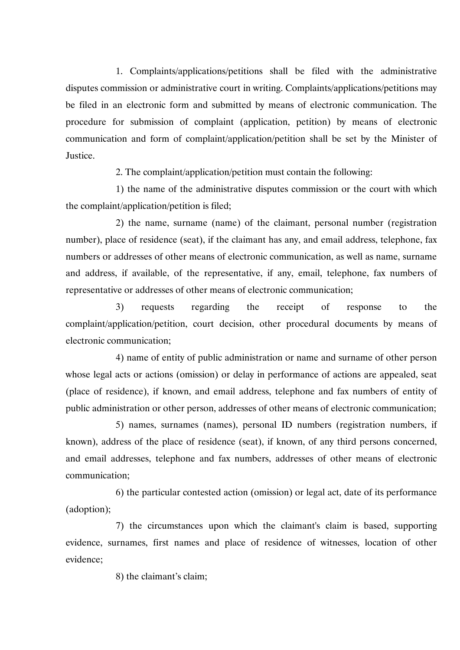1. Complaints/applications/petitions shall be filed with the administrative disputes commission or administrative court in writing. Complaints/applications/petitions may be filed in an electronic form and submitted by means of electronic communication. The procedure for submission of complaint (application, petition) by means of electronic communication and form of complaint/application/petition shall be set by the Minister of Justice.

2. The complaint/application/petition must contain the following:

1) the name of the administrative disputes commission or the court with which the complaint/application/petition is filed;

2) the name, surname (name) of the claimant, personal number (registration number), place of residence (seat), if the claimant has any, and email address, telephone, fax numbers or addresses of other means of electronic communication, as well as name, surname and address, if available, of the representative, if any, email, telephone, fax numbers of representative or addresses of other means of electronic communication;

3) requests regarding the receipt of response to the complaint/application/petition, court decision, other procedural documents by means of electronic communication;

4) name of entity of public administration or name and surname of other person whose legal acts or actions (omission) or delay in performance of actions are appealed, seat (place of residence), if known, and email address, telephone and fax numbers of entity of public administration or other person, addresses of other means of electronic communication;

5) names, surnames (names), personal ID numbers (registration numbers, if known), address of the place of residence (seat), if known, of any third persons concerned, and email addresses, telephone and fax numbers, addresses of other means of electronic communication;

6) the particular contested action (omission) or legal act, date of its performance (adoption);

7) the circumstances upon which the claimant's claim is based, supporting evidence, surnames, first names and place of residence of witnesses, location of other evidence;

8) the claimant's claim;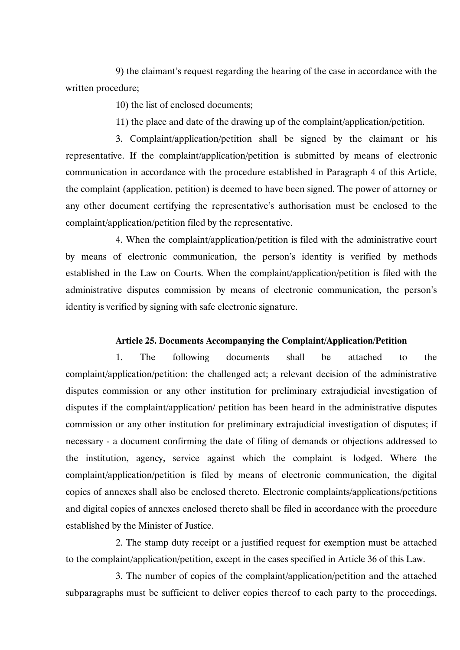9) the claimant's request regarding the hearing of the case in accordance with the written procedure;

10) the list of enclosed documents;

11) the place and date of the drawing up of the complaint/application/petition.

3. Complaint/application/petition shall be signed by the claimant or his representative. If the complaint/application/petition is submitted by means of electronic communication in accordance with the procedure established in Paragraph 4 of this Article, the complaint (application, petition) is deemed to have been signed. The power of attorney or any other document certifying the representative's authorisation must be enclosed to the complaint/application/petition filed by the representative.

4. When the complaint/application/petition is filed with the administrative court by means of electronic communication, the person's identity is verified by methods established in the Law on Courts. When the complaint/application/petition is filed with the administrative disputes commission by means of electronic communication, the person's identity is verified by signing with safe electronic signature.

### **Article 25. Documents Accompanying the Complaint/Application/Petition**

1. The following documents shall be attached to the complaint/application/petition: the challenged act; a relevant decision of the administrative disputes commission or any other institution for preliminary extrajudicial investigation of disputes if the complaint/application/ petition has been heard in the administrative disputes commission or any other institution for preliminary extrajudicial investigation of disputes; if necessary - a document confirming the date of filing of demands or objections addressed to the institution, agency, service against which the complaint is lodged. Where the complaint/application/petition is filed by means of electronic communication, the digital copies of annexes shall also be enclosed thereto. Electronic complaints/applications/petitions and digital copies of annexes enclosed thereto shall be filed in accordance with the procedure established by the Minister of Justice.

2. The stamp duty receipt or a justified request for exemption must be attached to the complaint/application/petition, except in the cases specified in Article 36 of this Law.

3. The number of copies of the complaint/application/petition and the attached subparagraphs must be sufficient to deliver copies thereof to each party to the proceedings,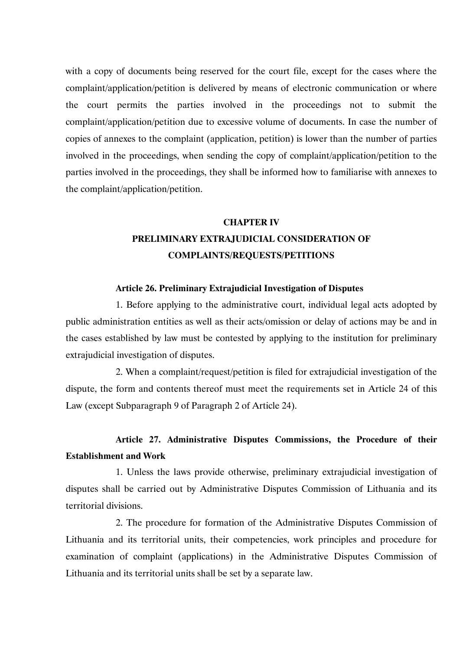with a copy of documents being reserved for the court file, except for the cases where the complaint/application/petition is delivered by means of electronic communication or where the court permits the parties involved in the proceedings not to submit the complaint/application/petition due to excessive volume of documents. In case the number of copies of annexes to the complaint (application, petition) is lower than the number of parties involved in the proceedings, when sending the copy of complaint/application/petition to the parties involved in the proceedings, they shall be informed how to familiarise with annexes to the complaint/application/petition.

# **CHAPTER IV PRELIMINARY EXTRAJUDICIAL CONSIDERATION OF COMPLAINTS/REQUESTS/PETITIONS**

### **Article 26. Preliminary Extrajudicial Investigation of Disputes**

1. Before applying to the administrative court, individual legal acts adopted by public administration entities as well as their acts/omission or delay of actions may be and in the cases established by law must be contested by applying to the institution for preliminary extrajudicial investigation of disputes.

2. When a complaint/request/petition is filed for extrajudicial investigation of the dispute, the form and contents thereof must meet the requirements set in Article 24 of this Law (except Subparagraph 9 of Paragraph 2 of Article 24).

# **Article 27. Administrative Disputes Commissions, the Procedure of their Establishment and Work**

1. Unless the laws provide otherwise, preliminary extrajudicial investigation of disputes shall be carried out by Administrative Disputes Commission of Lithuania and its territorial divisions.

2. The procedure for formation of the Administrative Disputes Commission of Lithuania and its territorial units, their competencies, work principles and procedure for examination of complaint (applications) in the Administrative Disputes Commission of Lithuania and its territorial units shall be set by a separate law.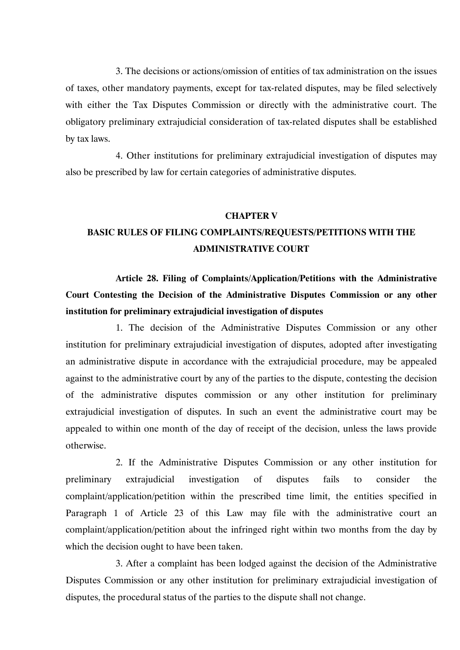3. The decisions or actions/omission of entities of tax administration on the issues of taxes, other mandatory payments, except for tax-related disputes, may be filed selectively with either the Tax Disputes Commission or directly with the administrative court. The obligatory preliminary extrajudicial consideration of tax-related disputes shall be established by tax laws.

4. Other institutions for preliminary extrajudicial investigation of disputes may also be prescribed by law for certain categories of administrative disputes.

### **CHAPTER V**

# **BASIC RULES OF FILING COMPLAINTS/REQUESTS/PETITIONS WITH THE ADMINISTRATIVE COURT**

**Article 28. Filing of Complaints/Application/Petitions with the Administrative Court Contesting the Decision of the Administrative Disputes Commission or any other institution for preliminary extrajudicial investigation of disputes**

1. The decision of the Administrative Disputes Commission or any other institution for preliminary extrajudicial investigation of disputes, adopted after investigating an administrative dispute in accordance with the extrajudicial procedure, may be appealed against to the administrative court by any of the parties to the dispute, contesting the decision of the administrative disputes commission or any other institution for preliminary extrajudicial investigation of disputes. In such an event the administrative court may be appealed to within one month of the day of receipt of the decision, unless the laws provide otherwise.

2. If the Administrative Disputes Commission or any other institution for preliminary extrajudicial investigation of disputes fails to consider the complaint/application/petition within the prescribed time limit, the entities specified in Paragraph 1 of Article 23 of this Law may file with the administrative court an complaint/application/petition about the infringed right within two months from the day by which the decision ought to have been taken.

3. After a complaint has been lodged against the decision of the Administrative Disputes Commission or any other institution for preliminary extrajudicial investigation of disputes, the procedural status of the parties to the dispute shall not change.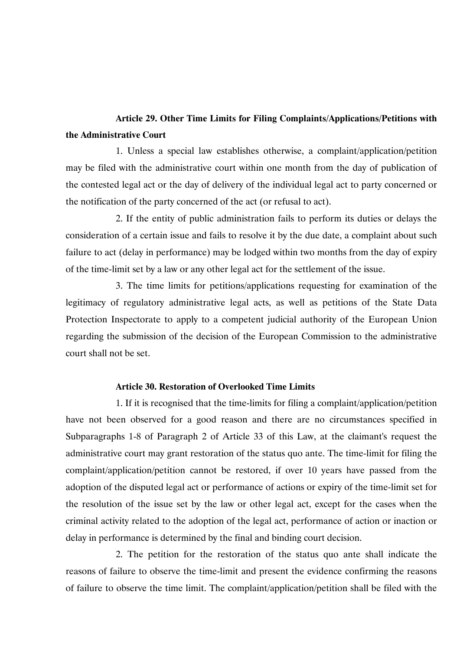## **Article 29. Other Time Limits for Filing Complaints/Applications/Petitions with the Administrative Court**

1. Unless a special law establishes otherwise, a complaint/application/petition may be filed with the administrative court within one month from the day of publication of the contested legal act or the day of delivery of the individual legal act to party concerned or the notification of the party concerned of the act (or refusal to act).

2. If the entity of public administration fails to perform its duties or delays the consideration of a certain issue and fails to resolve it by the due date, a complaint about such failure to act (delay in performance) may be lodged within two months from the day of expiry of the time-limit set by a law or any other legal act for the settlement of the issue.

3. The time limits for petitions/applications requesting for examination of the legitimacy of regulatory administrative legal acts, as well as petitions of the State Data Protection Inspectorate to apply to a competent judicial authority of the European Union regarding the submission of the decision of the European Commission to the administrative court shall not be set.

### **Article 30. Restoration of Overlooked Time Limits**

1. If it is recognised that the time-limits for filing a complaint/application/petition have not been observed for a good reason and there are no circumstances specified in Subparagraphs 1-8 of Paragraph 2 of Article 33 of this Law, at the claimant's request the administrative court may grant restoration of the status quo ante. The time-limit for filing the complaint/application/petition cannot be restored, if over 10 years have passed from the adoption of the disputed legal act or performance of actions or expiry of the time-limit set for the resolution of the issue set by the law or other legal act, except for the cases when the criminal activity related to the adoption of the legal act, performance of action or inaction or delay in performance is determined by the final and binding court decision.

2. The petition for the restoration of the status quo ante shall indicate the reasons of failure to observe the time-limit and present the evidence confirming the reasons of failure to observe the time limit. The complaint/application/petition shall be filed with the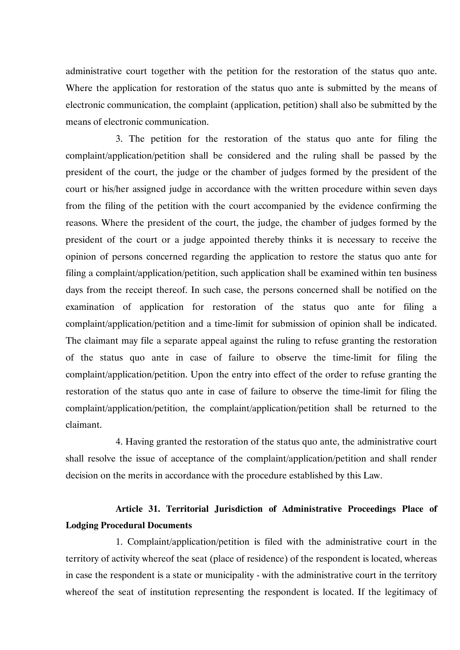administrative court together with the petition for the restoration of the status quo ante. Where the application for restoration of the status quo ante is submitted by the means of electronic communication, the complaint (application, petition) shall also be submitted by the means of electronic communication.

3. The petition for the restoration of the status quo ante for filing the complaint/application/petition shall be considered and the ruling shall be passed by the president of the court, the judge or the chamber of judges formed by the president of the court or his/her assigned judge in accordance with the written procedure within seven days from the filing of the petition with the court accompanied by the evidence confirming the reasons. Where the president of the court, the judge, the chamber of judges formed by the president of the court or a judge appointed thereby thinks it is necessary to receive the opinion of persons concerned regarding the application to restore the status quo ante for filing a complaint/application/petition, such application shall be examined within ten business days from the receipt thereof. In such case, the persons concerned shall be notified on the examination of application for restoration of the status quo ante for filing a complaint/application/petition and a time-limit for submission of opinion shall be indicated. The claimant may file a separate appeal against the ruling to refuse granting the restoration of the status quo ante in case of failure to observe the time-limit for filing the complaint/application/petition. Upon the entry into effect of the order to refuse granting the restoration of the status quo ante in case of failure to observe the time-limit for filing the complaint/application/petition, the complaint/application/petition shall be returned to the claimant.

4. Having granted the restoration of the status quo ante, the administrative court shall resolve the issue of acceptance of the complaint/application/petition and shall render decision on the merits in accordance with the procedure established by this Law.

## **Article 31. Territorial Jurisdiction of Administrative Proceedings Place of Lodging Procedural Documents**

1. Complaint/application/petition is filed with the administrative court in the territory of activity whereof the seat (place of residence) of the respondent is located, whereas in case the respondent is a state or municipality - with the administrative court in the territory whereof the seat of institution representing the respondent is located. If the legitimacy of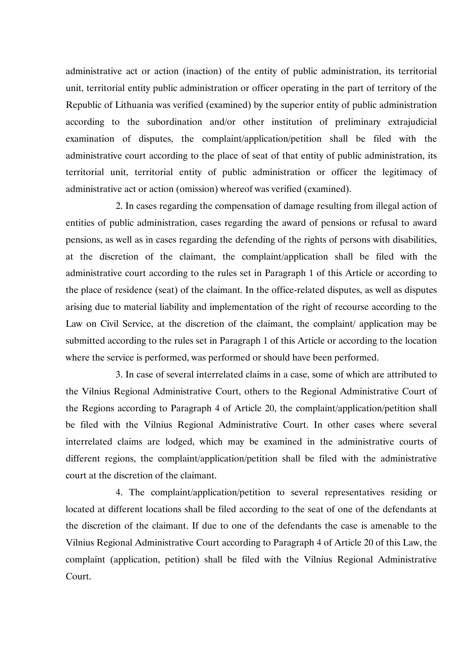administrative act or action (inaction) of the entity of public administration, its territorial unit, territorial entity public administration or officer operating in the part of territory of the Republic of Lithuania was verified (examined) by the superior entity of public administration according to the subordination and/or other institution of preliminary extrajudicial examination of disputes, the complaint/application/petition shall be filed with the administrative court according to the place of seat of that entity of public administration, its territorial unit, territorial entity of public administration or officer the legitimacy of administrative act or action (omission) whereof was verified (examined).

2. In cases regarding the compensation of damage resulting from illegal action of entities of public administration, cases regarding the award of pensions or refusal to award pensions, as well as in cases regarding the defending of the rights of persons with disabilities, at the discretion of the claimant, the complaint/application shall be filed with the administrative court according to the rules set in Paragraph 1 of this Article or according to the place of residence (seat) of the claimant. In the office-related disputes, as well as disputes arising due to material liability and implementation of the right of recourse according to the Law on Civil Service, at the discretion of the claimant, the complaint/ application may be submitted according to the rules set in Paragraph 1 of this Article or according to the location where the service is performed, was performed or should have been performed.

3. In case of several interrelated claims in a case, some of which are attributed to the Vilnius Regional Administrative Court, others to the Regional Administrative Court of the Regions according to Paragraph 4 of Article 20, the complaint/application/petition shall be filed with the Vilnius Regional Administrative Court. In other cases where several interrelated claims are lodged, which may be examined in the administrative courts of different regions, the complaint/application/petition shall be filed with the administrative court at the discretion of the claimant.

4. The complaint/application/petition to several representatives residing or located at different locations shall be filed according to the seat of one of the defendants at the discretion of the claimant. If due to one of the defendants the case is amenable to the Vilnius Regional Administrative Court according to Paragraph 4 of Article 20 of this Law, the complaint (application, petition) shall be filed with the Vilnius Regional Administrative Court.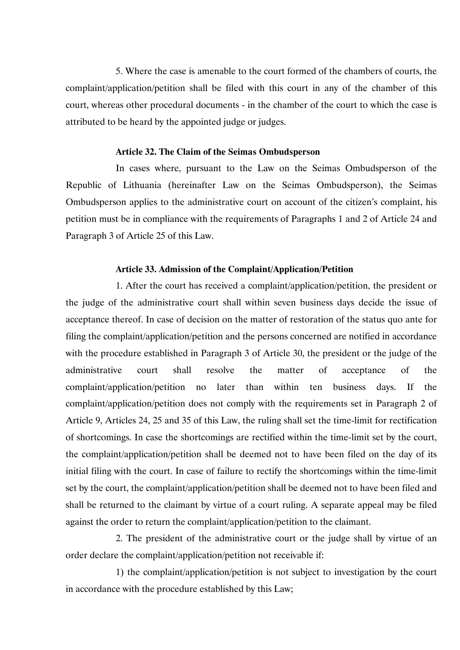5. Where the case is amenable to the court formed of the chambers of courts, the complaint/application/petition shall be filed with this court in any of the chamber of this court, whereas other procedural documents - in the chamber of the court to which the case is attributed to be heard by the appointed judge or judges.

#### **Article 32. The Claim of the Seimas Ombudsperson**

In cases where, pursuant to the Law on the Seimas Ombudsperson of the Republic of Lithuania (hereinafter Law on the Seimas Ombudsperson), the Seimas Ombudsperson applies to the administrative court on account of the citizen's complaint, his petition must be in compliance with the requirements of Paragraphs 1 and 2 of Article 24 and Paragraph 3 of Article 25 of this Law.

### **Article 33. Admission of the Complaint/Application/Petition**

1. After the court has received a complaint/application/petition, the president or the judge of the administrative court shall within seven business days decide the issue of acceptance thereof. In case of decision on the matter of restoration of the status quo ante for filing the complaint/application/petition and the persons concerned are notified in accordance with the procedure established in Paragraph 3 of Article 30, the president or the judge of the administrative court shall resolve the matter of acceptance of the complaint/application/petition no later than within ten business days. If the complaint/application/petition does not comply with the requirements set in Paragraph 2 of Article 9, Articles 24, 25 and 35 of this Law, the ruling shall set the time-limit for rectification of shortcomings. In case the shortcomings are rectified within the time-limit set by the court, the complaint/application/petition shall be deemed not to have been filed on the day of its initial filing with the court. In case of failure to rectify the shortcomings within the time-limit set by the court, the complaint/application/petition shall be deemed not to have been filed and shall be returned to the claimant by virtue of a court ruling. A separate appeal may be filed against the order to return the complaint/application/petition to the claimant.

2. The president of the administrative court or the judge shall by virtue of an order declare the complaint/application/petition not receivable if:

1) the complaint/application/petition is not subject to investigation by the court in accordance with the procedure established by this Law;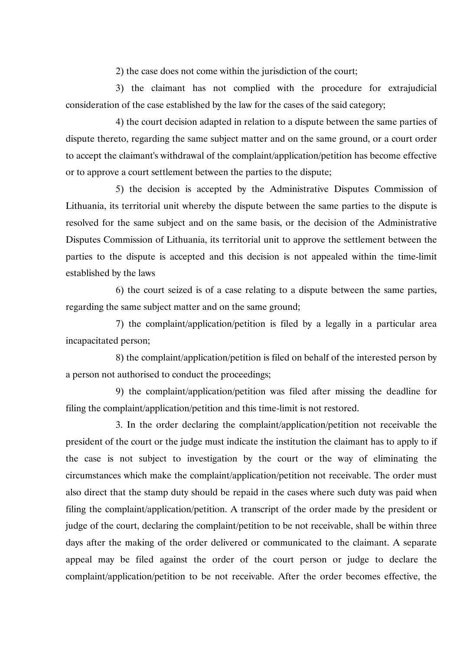2) the case does not come within the jurisdiction of the court;

3) the claimant has not complied with the procedure for extrajudicial consideration of the case established by the law for the cases of the said category;

4) the court decision adapted in relation to a dispute between the same parties of dispute thereto, regarding the same subject matter and on the same ground, or a court order to accept the claimant's withdrawal of the complaint/application/petition has become effective or to approve a court settlement between the parties to the dispute;

5) the decision is accepted by the Administrative Disputes Commission of Lithuania, its territorial unit whereby the dispute between the same parties to the dispute is resolved for the same subject and on the same basis, or the decision of the Administrative Disputes Commission of Lithuania, its territorial unit to approve the settlement between the parties to the dispute is accepted and this decision is not appealed within the time-limit established by the laws

6) the court seized is of a case relating to a dispute between the same parties, regarding the same subject matter and on the same ground;

7) the complaint/application/petition is filed by a legally in a particular area incapacitated person;

8) the complaint/application/petition is filed on behalf of the interested person by a person not authorised to conduct the proceedings;

9) the complaint/application/petition was filed after missing the deadline for filing the complaint/application/petition and this time-limit is not restored.

3. In the order declaring the complaint/application/petition not receivable the president of the court or the judge must indicate the institution the claimant has to apply to if the case is not subject to investigation by the court or the way of eliminating the circumstances which make the complaint/application/petition not receivable. The order must also direct that the stamp duty should be repaid in the cases where such duty was paid when filing the complaint/application/petition. A transcript of the order made by the president or judge of the court, declaring the complaint/petition to be not receivable, shall be within three days after the making of the order delivered or communicated to the claimant. A separate appeal may be filed against the order of the court person or judge to declare the complaint/application/petition to be not receivable. After the order becomes effective, the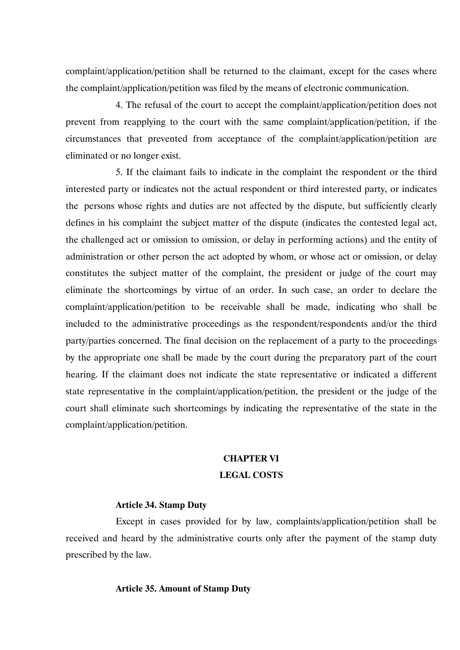complaint/application/petition shall be returned to the claimant, except for the cases where the complaint/application/petition was filed by the means of electronic communication.

4. The refusal of the court to accept the complaint/application/petition does not prevent from reapplying to the court with the same complaint/application/petition, if the circumstances that prevented from acceptance of the complaint/application/petition are eliminated or no longer exist.

5. If the claimant fails to indicate in the complaint the respondent or the third interested party or indicates not the actual respondent or third interested party, or indicates the persons whose rights and duties are not affected by the dispute, but sufficiently clearly defines in his complaint the subject matter of the dispute (indicates the contested legal act, the challenged act or omission to omission, or delay in performing actions) and the entity of administration or other person the act adopted by whom, or whose act or omission, or delay constitutes the subject matter of the complaint, the president or judge of the court may eliminate the shortcomings by virtue of an order. In such case, an order to declare the complaint/application/petition to be receivable shall be made, indicating who shall be included to the administrative proceedings as the respondent/respondents and/or the third party/parties concerned. The final decision on the replacement of a party to the proceedings by the appropriate one shall be made by the court during the preparatory part of the court hearing. If the claimant does not indicate the state representative or indicated a different state representative in the complaint/application/petition, the president or the judge of the court shall eliminate such shortcomings by indicating the representative of the state in the complaint/application/petition.

## **CHAPTER VI LEGAL COSTS**

### **Article 34. Stamp Duty**

Except in cases provided for by law, complaints/application/petition shall be received and heard by the administrative courts only after the payment of the stamp duty prescribed by the law.

### **Article 35. Amount of Stamp Duty**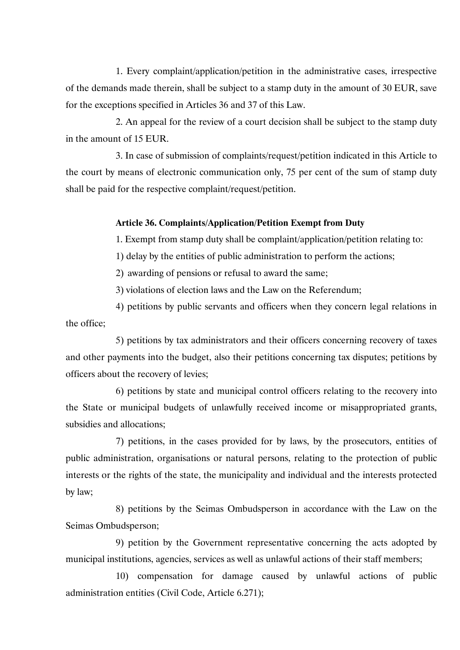1. Every complaint/application/petition in the administrative cases, irrespective of the demands made therein, shall be subject to a stamp duty in the amount of 30 EUR, save for the exceptions specified in Articles 36 and 37 of this Law.

2. An appeal for the review of a court decision shall be subject to the stamp duty in the amount of 15 EUR.

3. In case of submission of complaints/request/petition indicated in this Article to the court by means of electronic communication only, 75 per cent of the sum of stamp duty shall be paid for the respective complaint/request/petition.

### **Article 36. Complaints/Application/Petition Exempt from Duty**

1. Exempt from stamp duty shall be complaint/application/petition relating to:

1) delay by the entities of public administration to perform the actions;

2) awarding of pensions or refusal to award the same;

3) violations of election laws and the Law on the Referendum;

4) petitions by public servants and officers when they concern legal relations in the office;

5) petitions by tax administrators and their officers concerning recovery of taxes and other payments into the budget, also their petitions concerning tax disputes; petitions by officers about the recovery of levies;

6) petitions by state and municipal control officers relating to the recovery into the State or municipal budgets of unlawfully received income or misappropriated grants, subsidies and allocations;

7) petitions, in the cases provided for by laws, by the prosecutors, entities of public administration, organisations or natural persons, relating to the protection of public interests or the rights of the state, the municipality and individual and the interests protected by law;

8) petitions by the Seimas Ombudsperson in accordance with the Law on the Seimas Ombudsperson;

9) petition by the Government representative concerning the acts adopted by municipal institutions, agencies, services as well as unlawful actions of their staff members;

10) compensation for damage caused by unlawful actions of public administration entities (Civil Code, Article 6.271);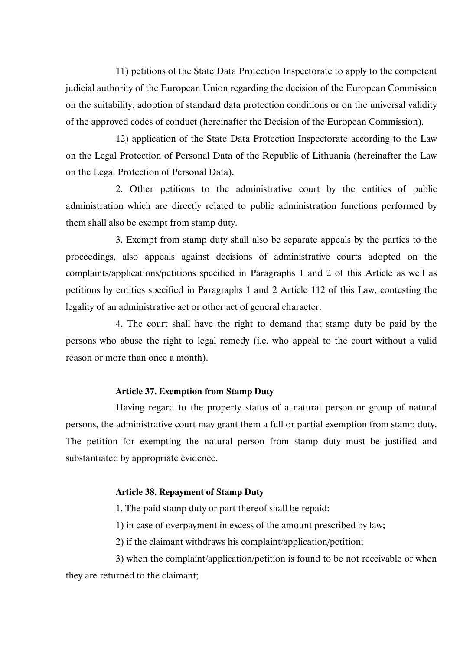11) petitions of the State Data Protection Inspectorate to apply to the competent judicial authority of the European Union regarding the decision of the European Commission on the suitability, adoption of standard data protection conditions or on the universal validity of the approved codes of conduct (hereinafter the Decision of the European Commission).

12) application of the State Data Protection Inspectorate according to the Law on the Legal Protection of Personal Data of the Republic of Lithuania (hereinafter the Law on the Legal Protection of Personal Data).

2. Other petitions to the administrative court by the entities of public administration which are directly related to public administration functions performed by them shall also be exempt from stamp duty.

3. Exempt from stamp duty shall also be separate appeals by the parties to the proceedings, also appeals against decisions of administrative courts adopted on the complaints/applications/petitions specified in Paragraphs 1 and 2 of this Article as well as petitions by entities specified in Paragraphs 1 and 2 Article 112 of this Law, contesting the legality of an administrative act or other act of general character.

4. The court shall have the right to demand that stamp duty be paid by the persons who abuse the right to legal remedy (i.e. who appeal to the court without a valid reason or more than once a month).

### **Article 37. Exemption from Stamp Duty**

Having regard to the property status of a natural person or group of natural persons, the administrative court may grant them a full or partial exemption from stamp duty. The petition for exempting the natural person from stamp duty must be justified and substantiated by appropriate evidence.

### **Article 38. Repayment of Stamp Duty**

1. The paid stamp duty or part thereof shall be repaid:

1) in case of overpayment in excess of the amount prescribed by law;

2) if the claimant withdraws his complaint/application/petition;

3) when the complaint/application/petition is found to be not receivable or when they are returned to the claimant;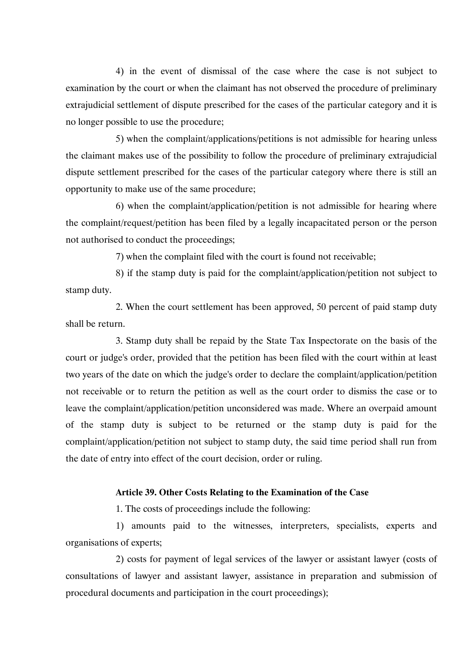4) in the event of dismissal of the case where the case is not subject to examination by the court or when the claimant has not observed the procedure of preliminary extrajudicial settlement of dispute prescribed for the cases of the particular category and it is no longer possible to use the procedure;

5) when the complaint/applications/petitions is not admissible for hearing unless the claimant makes use of the possibility to follow the procedure of preliminary extrajudicial dispute settlement prescribed for the cases of the particular category where there is still an opportunity to make use of the same procedure;

6) when the complaint/application/petition is not admissible for hearing where the complaint/request/petition has been filed by a legally incapacitated person or the person not authorised to conduct the proceedings;

7) when the complaint filed with the court is found not receivable;

8) if the stamp duty is paid for the complaint/application/petition not subject to stamp duty.

2. When the court settlement has been approved, 50 percent of paid stamp duty shall be return.

3. Stamp duty shall be repaid by the State Tax Inspectorate on the basis of the court or judge's order, provided that the petition has been filed with the court within at least two years of the date on which the judge's order to declare the complaint/application/petition not receivable or to return the petition as well as the court order to dismiss the case or to leave the complaint/application/petition unconsidered was made. Where an overpaid amount of the stamp duty is subject to be returned or the stamp duty is paid for the complaint/application/petition not subject to stamp duty, the said time period shall run from the date of entry into effect of the court decision, order or ruling.

### **Article 39. Other Costs Relating to the Examination of the Case**

1. The costs of proceedings include the following:

1) amounts paid to the witnesses, interpreters, specialists, experts and organisations of experts;

2) costs for payment of legal services of the lawyer or assistant lawyer (costs of consultations of lawyer and assistant lawyer, assistance in preparation and submission of procedural documents and participation in the court proceedings);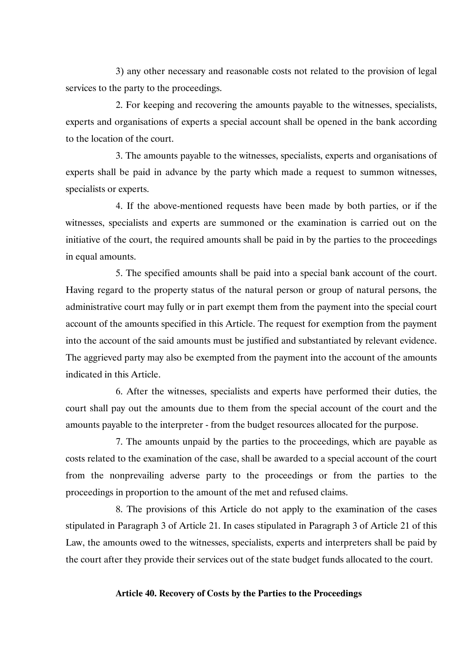3) any other necessary and reasonable costs not related to the provision of legal services to the party to the proceedings.

2. For keeping and recovering the amounts payable to the witnesses, specialists, experts and organisations of experts a special account shall be opened in the bank according to the location of the court.

3. The amounts payable to the witnesses, specialists, experts and organisations of experts shall be paid in advance by the party which made a request to summon witnesses, specialists or experts.

4. If the above-mentioned requests have been made by both parties, or if the witnesses, specialists and experts are summoned or the examination is carried out on the initiative of the court, the required amounts shall be paid in by the parties to the proceedings in equal amounts.

5. The specified amounts shall be paid into a special bank account of the court. Having regard to the property status of the natural person or group of natural persons, the administrative court may fully or in part exempt them from the payment into the special court account of the amounts specified in this Article. The request for exemption from the payment into the account of the said amounts must be justified and substantiated by relevant evidence. The aggrieved party may also be exempted from the payment into the account of the amounts indicated in this Article.

6. After the witnesses, specialists and experts have performed their duties, the court shall pay out the amounts due to them from the special account of the court and the amounts payable to the interpreter - from the budget resources allocated for the purpose.

7. The amounts unpaid by the parties to the proceedings, which are payable as costs related to the examination of the case, shall be awarded to a special account of the court from the nonprevailing adverse party to the proceedings or from the parties to the proceedings in proportion to the amount of the met and refused claims.

8. The provisions of this Article do not apply to the examination of the cases stipulated in Paragraph 3 of Article 21. In cases stipulated in Paragraph 3 of Article 21 of this Law, the amounts owed to the witnesses, specialists, experts and interpreters shall be paid by the court after they provide their services out of the state budget funds allocated to the court.

#### **Article 40. Recovery of Costs by the Parties to the Proceedings**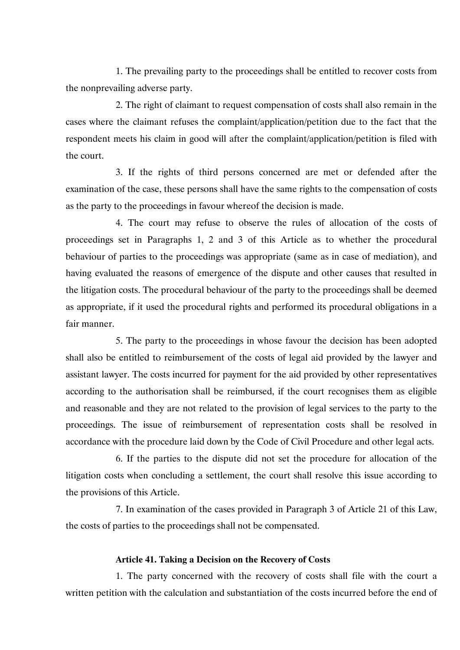1. The prevailing party to the proceedings shall be entitled to recover costs from the nonprevailing adverse party.

2. The right of claimant to request compensation of costs shall also remain in the cases where the claimant refuses the complaint/application/petition due to the fact that the respondent meets his claim in good will after the complaint/application/petition is filed with the court.

3. If the rights of third persons concerned are met or defended after the examination of the case, these persons shall have the same rights to the compensation of costs as the party to the proceedings in favour whereof the decision is made.

4. The court may refuse to observe the rules of allocation of the costs of proceedings set in Paragraphs 1, 2 and 3 of this Article as to whether the procedural behaviour of parties to the proceedings was appropriate (same as in case of mediation), and having evaluated the reasons of emergence of the dispute and other causes that resulted in the litigation costs. The procedural behaviour of the party to the proceedings shall be deemed as appropriate, if it used the procedural rights and performed its procedural obligations in a fair manner.

5. The party to the proceedings in whose favour the decision has been adopted shall also be entitled to reimbursement of the costs of legal aid provided by the lawyer and assistant lawyer. The costs incurred for payment for the aid provided by other representatives according to the authorisation shall be reimbursed, if the court recognises them as eligible and reasonable and they are not related to the provision of legal services to the party to the proceedings. The issue of reimbursement of representation costs shall be resolved in accordance with the procedure laid down by the Code of Civil Procedure and other legal acts.

6. If the parties to the dispute did not set the procedure for allocation of the litigation costs when concluding a settlement, the court shall resolve this issue according to the provisions of this Article.

7. In examination of the cases provided in Paragraph 3 of Article 21 of this Law, the costs of parties to the proceedings shall not be compensated.

### **Article 41. Taking a Decision on the Recovery of Costs**

1. The party concerned with the recovery of costs shall file with the court a written petition with the calculation and substantiation of the costs incurred before the end of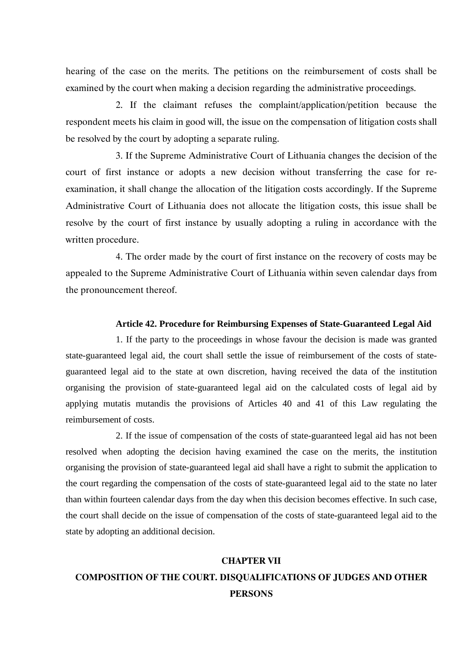hearing of the case on the merits. The petitions on the reimbursement of costs shall be examined by the court when making a decision regarding the administrative proceedings.

2. If the claimant refuses the complaint/application/petition because the respondent meets his claim in good will, the issue on the compensation of litigation costs shall be resolved by the court by adopting a separate ruling.

3. If the Supreme Administrative Court of Lithuania changes the decision of the court of first instance or adopts a new decision without transferring the case for reexamination, it shall change the allocation of the litigation costs accordingly. If the Supreme Administrative Court of Lithuania does not allocate the litigation costs, this issue shall be resolve by the court of first instance by usually adopting a ruling in accordance with the written procedure.

4. The order made by the court of first instance on the recovery of costs may be appealed to the Supreme Administrative Court of Lithuania within seven calendar days from the pronouncement thereof.

### **Article 42. Procedure for Reimbursing Expenses of State-Guaranteed Legal Aid**

1. If the party to the proceedings in whose favour the decision is made was granted state-guaranteed legal aid, the court shall settle the issue of reimbursement of the costs of stateguaranteed legal aid to the state at own discretion, having received the data of the institution organising the provision of state-guaranteed legal aid on the calculated costs of legal aid by applying mutatis mutandis the provisions of Articles 40 and 41 of this Law regulating the reimbursement of costs.

2. If the issue of compensation of the costs of state-guaranteed legal aid has not been resolved when adopting the decision having examined the case on the merits, the institution organising the provision of state-guaranteed legal aid shall have a right to submit the application to the court regarding the compensation of the costs of state-guaranteed legal aid to the state no later than within fourteen calendar days from the day when this decision becomes effective. In such case, the court shall decide on the issue of compensation of the costs of state-guaranteed legal aid to the state by adopting an additional decision.

# **CHAPTER VII COMPOSITION OF THE COURT. DISQUALIFICATIONS OF JUDGES AND OTHER PERSONS**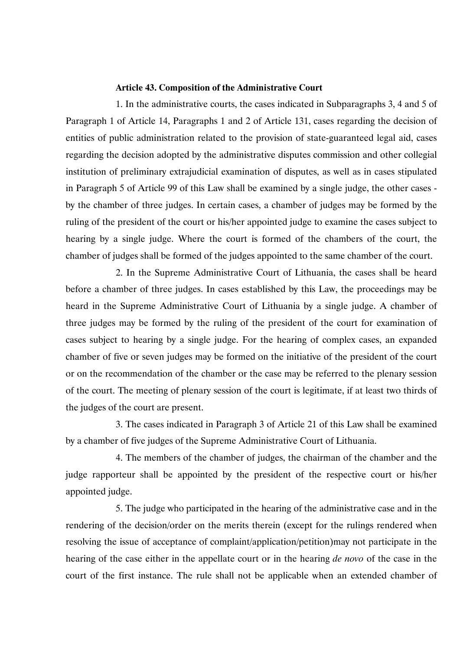### **Article 43. Composition of the Administrative Court**

1. In the administrative courts, the cases indicated in Subparagraphs 3, 4 and 5 of Paragraph 1 of Article 14, Paragraphs 1 and 2 of Article 131, cases regarding the decision of entities of public administration related to the provision of state-guaranteed legal aid, cases regarding the decision adopted by the administrative disputes commission and other collegial institution of preliminary extrajudicial examination of disputes, as well as in cases stipulated in Paragraph 5 of Article 99 of this Law shall be examined by a single judge, the other cases by the chamber of three judges. In certain cases, a chamber of judges may be formed by the ruling of the president of the court or his/her appointed judge to examine the cases subject to hearing by a single judge. Where the court is formed of the chambers of the court, the chamber of judges shall be formed of the judges appointed to the same chamber of the court.

2. In the Supreme Administrative Court of Lithuania, the cases shall be heard before a chamber of three judges. In cases established by this Law, the proceedings may be heard in the Supreme Administrative Court of Lithuania by a single judge. A chamber of three judges may be formed by the ruling of the president of the court for examination of cases subject to hearing by a single judge. For the hearing of complex cases, an expanded chamber of five or seven judges may be formed on the initiative of the president of the court or on the recommendation of the chamber or the case may be referred to the plenary session of the court. The meeting of plenary session of the court is legitimate, if at least two thirds of the judges of the court are present.

3. The cases indicated in Paragraph 3 of Article 21 of this Law shall be examined by a chamber of five judges of the Supreme Administrative Court of Lithuania.

4. The members of the chamber of judges, the chairman of the chamber and the judge rapporteur shall be appointed by the president of the respective court or his/her appointed judge.

5. The judge who participated in the hearing of the administrative case and in the rendering of the decision/order on the merits therein (except for the rulings rendered when resolving the issue of acceptance of complaint/application/petition)may not participate in the hearing of the case either in the appellate court or in the hearing *de novo* of the case in the court of the first instance. The rule shall not be applicable when an extended chamber of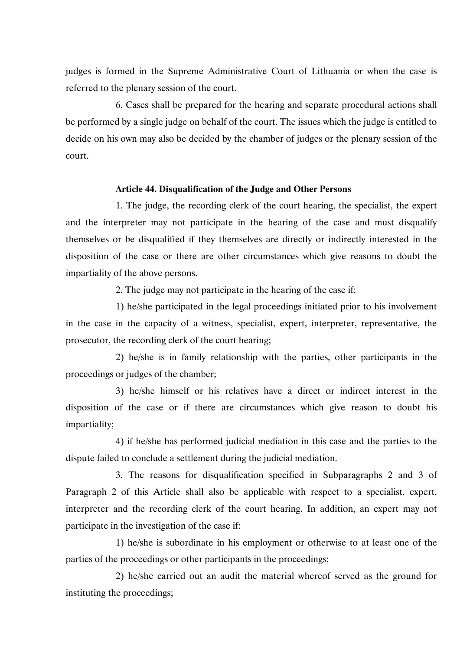judges is formed in the Supreme Administrative Court of Lithuania or when the case is referred to the plenary session of the court.

6. Cases shall be prepared for the hearing and separate procedural actions shall be performed by a single judge on behalf of the court. The issues which the judge is entitled to decide on his own may also be decided by the chamber of judges or the plenary session of the court.

### **Article 44. Disqualification of the Judge and Other Persons**

1. The judge, the recording clerk of the court hearing, the specialist, the expert and the interpreter may not participate in the hearing of the case and must disqualify themselves or be disqualified if they themselves are directly or indirectly interested in the disposition of the case or there are other circumstances which give reasons to doubt the impartiality of the above persons.

2. The judge may not participate in the hearing of the case if:

1) he/she participated in the legal proceedings initiated prior to his involvement in the case in the capacity of a witness, specialist, expert, interpreter, representative, the prosecutor, the recording clerk of the court hearing;

2) he/she is in family relationship with the parties, other participants in the proceedings or judges of the chamber;

3) he/she himself or his relatives have a direct or indirect interest in the disposition of the case or if there are circumstances which give reason to doubt his impartiality;

4) if he/she has performed judicial mediation in this case and the parties to the dispute failed to conclude a settlement during the judicial mediation.

3. The reasons for disqualification specified in Subparagraphs 2 and 3 of Paragraph 2 of this Article shall also be applicable with respect to a specialist, expert, interpreter and the recording clerk of the court hearing. In addition, an expert may not participate in the investigation of the case if:

1) he/she is subordinate in his employment or otherwise to at least one of the parties of the proceedings or other participants in the proceedings;

2) he/she carried out an audit the material whereof served as the ground for instituting the proceedings;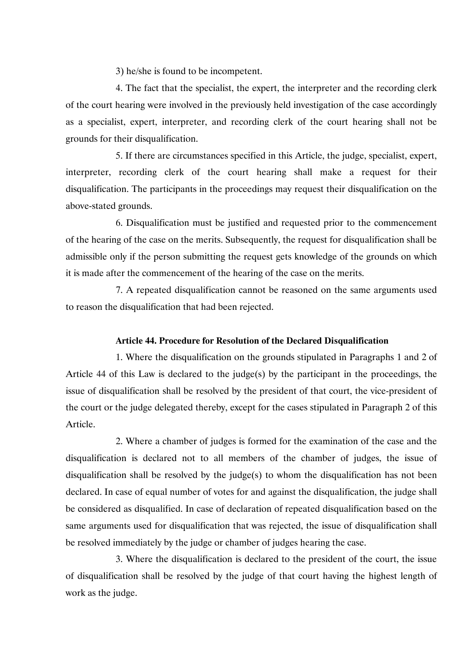3) he/she is found to be incompetent.

4. The fact that the specialist, the expert, the interpreter and the recording clerk of the court hearing were involved in the previously held investigation of the case accordingly as a specialist, expert, interpreter, and recording clerk of the court hearing shall not be grounds for their disqualification.

5. If there are circumstances specified in this Article, the judge, specialist, expert, interpreter, recording clerk of the court hearing shall make a request for their disqualification. The participants in the proceedings may request their disqualification on the above-stated grounds.

6. Disqualification must be justified and requested prior to the commencement of the hearing of the case on the merits. Subsequently, the request for disqualification shall be admissible only if the person submitting the request gets knowledge of the grounds on which it is made after the commencement of the hearing of the case on the merits.

7. A repeated disqualification cannot be reasoned on the same arguments used to reason the disqualification that had been rejected.

### **Article 44. Procedure for Resolution of the Declared Disqualification**

1. Where the disqualification on the grounds stipulated in Paragraphs 1 and 2 of Article 44 of this Law is declared to the judge(s) by the participant in the proceedings, the issue of disqualification shall be resolved by the president of that court, the vice-president of the court or the judge delegated thereby, except for the cases stipulated in Paragraph 2 of this Article.

2. Where a chamber of judges is formed for the examination of the case and the disqualification is declared not to all members of the chamber of judges, the issue of disqualification shall be resolved by the judge(s) to whom the disqualification has not been declared. In case of equal number of votes for and against the disqualification, the judge shall be considered as disqualified. In case of declaration of repeated disqualification based on the same arguments used for disqualification that was rejected, the issue of disqualification shall be resolved immediately by the judge or chamber of judges hearing the case.

3. Where the disqualification is declared to the president of the court, the issue of disqualification shall be resolved by the judge of that court having the highest length of work as the judge.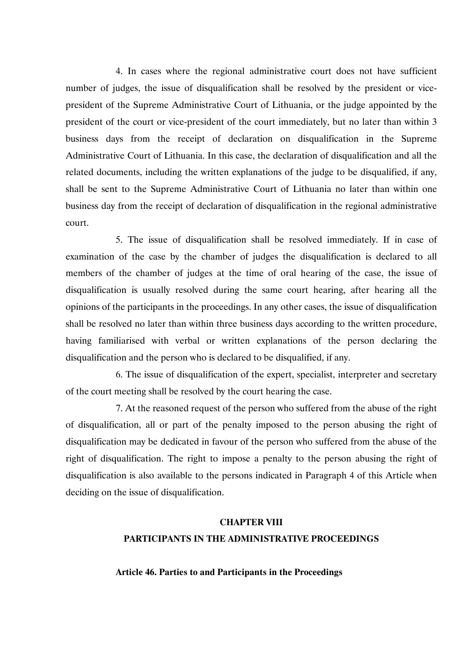4. In cases where the regional administrative court does not have sufficient number of judges, the issue of disqualification shall be resolved by the president or vicepresident of the Supreme Administrative Court of Lithuania, or the judge appointed by the president of the court or vice-president of the court immediately, but no later than within 3 business days from the receipt of declaration on disqualification in the Supreme Administrative Court of Lithuania. In this case, the declaration of disqualification and all the related documents, including the written explanations of the judge to be disqualified, if any, shall be sent to the Supreme Administrative Court of Lithuania no later than within one business day from the receipt of declaration of disqualification in the regional administrative court.

5. The issue of disqualification shall be resolved immediately. If in case of examination of the case by the chamber of judges the disqualification is declared to all members of the chamber of judges at the time of oral hearing of the case, the issue of disqualification is usually resolved during the same court hearing, after hearing all the opinions of the participants in the proceedings. In any other cases, the issue of disqualification shall be resolved no later than within three business days according to the written procedure, having familiarised with verbal or written explanations of the person declaring the disqualification and the person who is declared to be disqualified, if any.

6. The issue of disqualification of the expert, specialist, interpreter and secretary of the court meeting shall be resolved by the court hearing the case.

7. At the reasoned request of the person who suffered from the abuse of the right of disqualification, all or part of the penalty imposed to the person abusing the right of disqualification may be dedicated in favour of the person who suffered from the abuse of the right of disqualification. The right to impose a penalty to the person abusing the right of disqualification is also available to the persons indicated in Paragraph 4 of this Article when deciding on the issue of disqualification.

### **CHAPTER VIII**

## **PARTICIPANTS IN THE ADMINISTRATIVE PROCEEDINGS**

### **Article 46. Parties to and Participants in the Proceedings**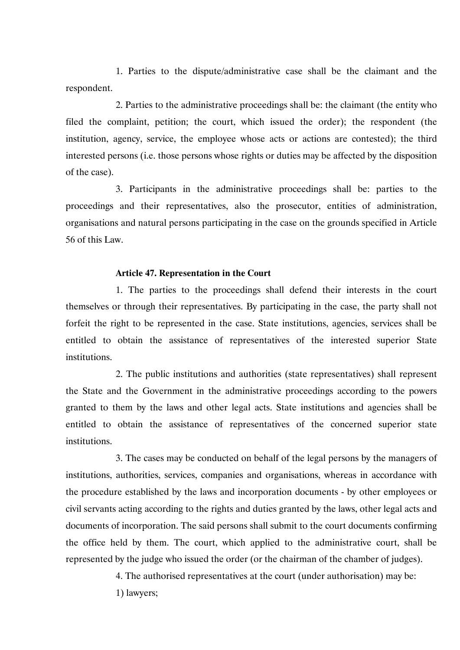1. Parties to the dispute/administrative case shall be the claimant and the respondent.

2. Parties to the administrative proceedings shall be: the claimant (the entity who filed the complaint, petition; the court, which issued the order); the respondent (the institution, agency, service, the employee whose acts or actions are contested); the third interested persons (i.e. those persons whose rights or duties may be affected by the disposition of the case).

3. Participants in the administrative proceedings shall be: parties to the proceedings and their representatives, also the prosecutor, entities of administration, organisations and natural persons participating in the case on the grounds specified in Article 56 of this Law.

#### **Article 47. Representation in the Court**

1. The parties to the proceedings shall defend their interests in the court themselves or through their representatives. By participating in the case, the party shall not forfeit the right to be represented in the case. State institutions, agencies, services shall be entitled to obtain the assistance of representatives of the interested superior State institutions.

2. The public institutions and authorities (state representatives) shall represent the State and the Government in the administrative proceedings according to the powers granted to them by the laws and other legal acts. State institutions and agencies shall be entitled to obtain the assistance of representatives of the concerned superior state institutions.

3. The cases may be conducted on behalf of the legal persons by the managers of institutions, authorities, services, companies and organisations, whereas in accordance with the procedure established by the laws and incorporation documents - by other employees or civil servants acting according to the rights and duties granted by the laws, other legal acts and documents of incorporation. The said persons shall submit to the court documents confirming the office held by them. The court, which applied to the administrative court, shall be represented by the judge who issued the order (or the chairman of the chamber of judges).

4. The authorised representatives at the court (under authorisation) may be:

1) lawyers;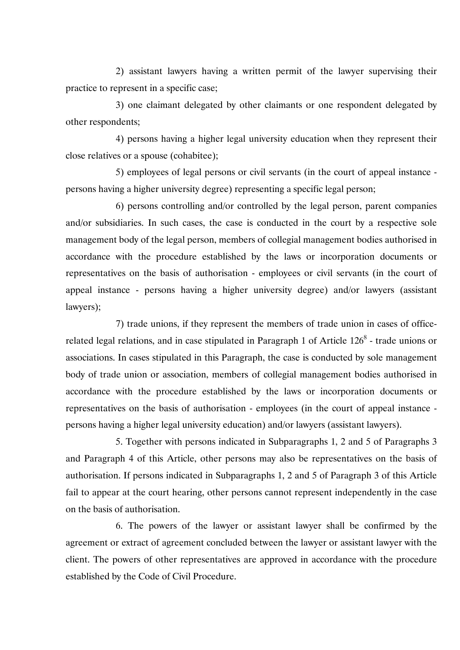2) assistant lawyers having a written permit of the lawyer supervising their practice to represent in a specific case;

3) one claimant delegated by other claimants or one respondent delegated by other respondents;

4) persons having a higher legal university education when they represent their close relatives or a spouse (cohabitee);

5) employees of legal persons or civil servants (in the court of appeal instance persons having a higher university degree) representing a specific legal person;

6) persons controlling and/or controlled by the legal person, parent companies and/or subsidiaries. In such cases, the case is conducted in the court by a respective sole management body of the legal person, members of collegial management bodies authorised in accordance with the procedure established by the laws or incorporation documents or representatives on the basis of authorisation - employees or civil servants (in the court of appeal instance - persons having a higher university degree) and/or lawyers (assistant lawyers);

7) trade unions, if they represent the members of trade union in cases of officerelated legal relations, and in case stipulated in Paragraph 1 of Article  $126<sup>8</sup>$  - trade unions or associations. In cases stipulated in this Paragraph, the case is conducted by sole management body of trade union or association, members of collegial management bodies authorised in accordance with the procedure established by the laws or incorporation documents or representatives on the basis of authorisation - employees (in the court of appeal instance persons having a higher legal university education) and/or lawyers (assistant lawyers).

5. Together with persons indicated in Subparagraphs 1, 2 and 5 of Paragraphs 3 and Paragraph 4 of this Article, other persons may also be representatives on the basis of authorisation. If persons indicated in Subparagraphs 1, 2 and 5 of Paragraph 3 of this Article fail to appear at the court hearing, other persons cannot represent independently in the case on the basis of authorisation.

6. The powers of the lawyer or assistant lawyer shall be confirmed by the agreement or extract of agreement concluded between the lawyer or assistant lawyer with the client. The powers of other representatives are approved in accordance with the procedure established by the Code of Civil Procedure.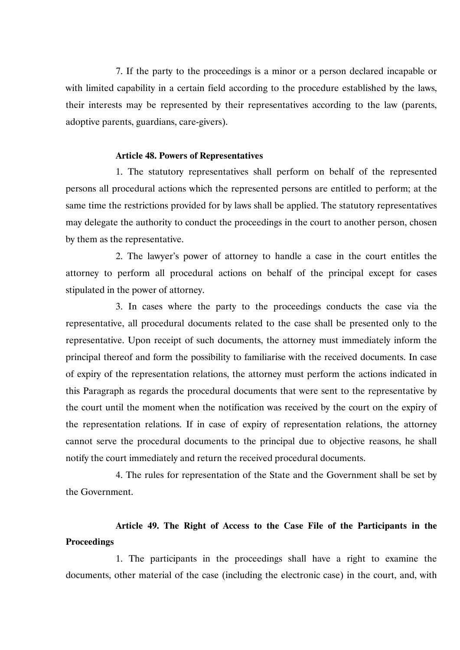7. If the party to the proceedings is a minor or a person declared incapable or with limited capability in a certain field according to the procedure established by the laws, their interests may be represented by their representatives according to the law (parents, adoptive parents, guardians, care-givers).

#### **Article 48. Powers of Representatives**

1. The statutory representatives shall perform on behalf of the represented persons all procedural actions which the represented persons are entitled to perform; at the same time the restrictions provided for by laws shall be applied. The statutory representatives may delegate the authority to conduct the proceedings in the court to another person, chosen by them as the representative.

2. The lawyer's power of attorney to handle a case in the court entitles the attorney to perform all procedural actions on behalf of the principal except for cases stipulated in the power of attorney.

3. In cases where the party to the proceedings conducts the case via the representative, all procedural documents related to the case shall be presented only to the representative. Upon receipt of such documents, the attorney must immediately inform the principal thereof and form the possibility to familiarise with the received documents. In case of expiry of the representation relations, the attorney must perform the actions indicated in this Paragraph as regards the procedural documents that were sent to the representative by the court until the moment when the notification was received by the court on the expiry of the representation relations. If in case of expiry of representation relations, the attorney cannot serve the procedural documents to the principal due to objective reasons, he shall notify the court immediately and return the received procedural documents.

4. The rules for representation of the State and the Government shall be set by the Government.

# **Article 49. The Right of Access to the Case File of the Participants in the Proceedings**

1. The participants in the proceedings shall have a right to examine the documents, other material of the case (including the electronic case) in the court, and, with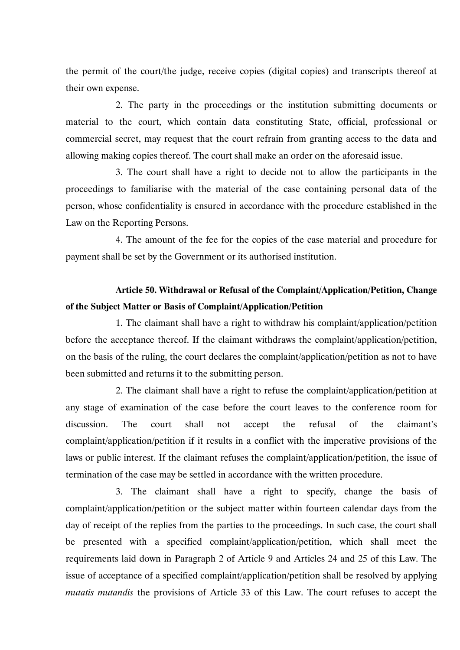the permit of the court/the judge, receive copies (digital copies) and transcripts thereof at their own expense.

2. The party in the proceedings or the institution submitting documents or material to the court, which contain data constituting State, official, professional or commercial secret, may request that the court refrain from granting access to the data and allowing making copies thereof. The court shall make an order on the aforesaid issue.

3. The court shall have a right to decide not to allow the participants in the proceedings to familiarise with the material of the case containing personal data of the person, whose confidentiality is ensured in accordance with the procedure established in the Law on the Reporting Persons.

4. The amount of the fee for the copies of the case material and procedure for payment shall be set by the Government or its authorised institution.

# **Article 50. Withdrawal or Refusal of the Complaint/Application/Petition, Change of the Subject Matter or Basis of Complaint/Application/Petition**

1. The claimant shall have a right to withdraw his complaint/application/petition before the acceptance thereof. If the claimant withdraws the complaint/application/petition, on the basis of the ruling, the court declares the complaint/application/petition as not to have been submitted and returns it to the submitting person.

2. The claimant shall have a right to refuse the complaint/application/petition at any stage of examination of the case before the court leaves to the conference room for discussion. The court shall not accept the refusal of the claimant's complaint/application/petition if it results in a conflict with the imperative provisions of the laws or public interest. If the claimant refuses the complaint/application/petition, the issue of termination of the case may be settled in accordance with the written procedure.

3. The claimant shall have a right to specify, change the basis of complaint/application/petition or the subject matter within fourteen calendar days from the day of receipt of the replies from the parties to the proceedings. In such case, the court shall be presented with a specified complaint/application/petition, which shall meet the requirements laid down in Paragraph 2 of Article 9 and Articles 24 and 25 of this Law. The issue of acceptance of a specified complaint/application/petition shall be resolved by applying *mutatis mutandis* the provisions of Article 33 of this Law. The court refuses to accept the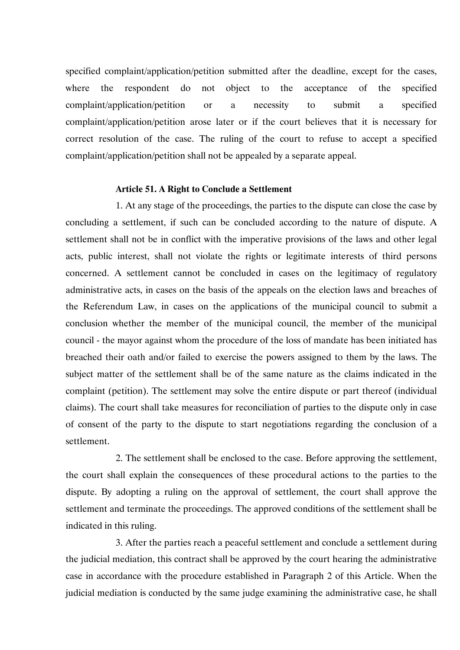specified complaint/application/petition submitted after the deadline, except for the cases, where the respondent do not object to the acceptance of the specified complaint/application/petition or a necessity to submit a specified complaint/application/petition arose later or if the court believes that it is necessary for correct resolution of the case. The ruling of the court to refuse to accept a specified complaint/application/petition shall not be appealed by a separate appeal.

#### **Article 51. A Right to Conclude a Settlement**

1. At any stage of the proceedings, the parties to the dispute can close the case by concluding a settlement, if such can be concluded according to the nature of dispute. A settlement shall not be in conflict with the imperative provisions of the laws and other legal acts, public interest, shall not violate the rights or legitimate interests of third persons concerned. A settlement cannot be concluded in cases on the legitimacy of regulatory administrative acts, in cases on the basis of the appeals on the election laws and breaches of the Referendum Law, in cases on the applications of the municipal council to submit a conclusion whether the member of the municipal council, the member of the municipal council - the mayor against whom the procedure of the loss of mandate has been initiated has breached their oath and/or failed to exercise the powers assigned to them by the laws. The subject matter of the settlement shall be of the same nature as the claims indicated in the complaint (petition). The settlement may solve the entire dispute or part thereof (individual claims). The court shall take measures for reconciliation of parties to the dispute only in case of consent of the party to the dispute to start negotiations regarding the conclusion of a settlement.

2. The settlement shall be enclosed to the case. Before approving the settlement, the court shall explain the consequences of these procedural actions to the parties to the dispute. By adopting a ruling on the approval of settlement, the court shall approve the settlement and terminate the proceedings. The approved conditions of the settlement shall be indicated in this ruling.

3. After the parties reach a peaceful settlement and conclude a settlement during the judicial mediation, this contract shall be approved by the court hearing the administrative case in accordance with the procedure established in Paragraph 2 of this Article. When the judicial mediation is conducted by the same judge examining the administrative case, he shall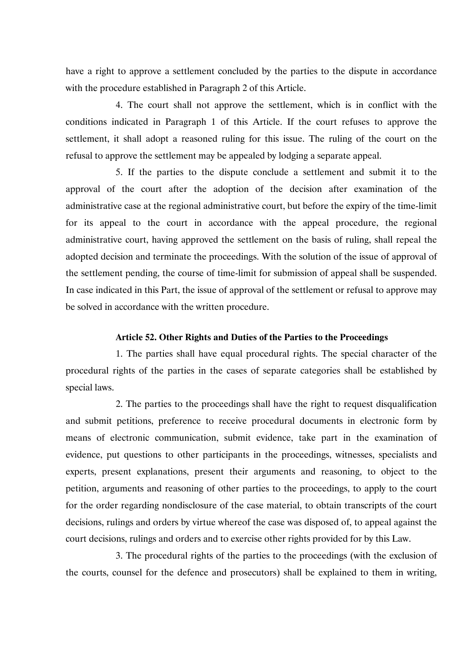have a right to approve a settlement concluded by the parties to the dispute in accordance with the procedure established in Paragraph 2 of this Article.

4. The court shall not approve the settlement, which is in conflict with the conditions indicated in Paragraph 1 of this Article. If the court refuses to approve the settlement, it shall adopt a reasoned ruling for this issue. The ruling of the court on the refusal to approve the settlement may be appealed by lodging a separate appeal.

5. If the parties to the dispute conclude a settlement and submit it to the approval of the court after the adoption of the decision after examination of the administrative case at the regional administrative court, but before the expiry of the time-limit for its appeal to the court in accordance with the appeal procedure, the regional administrative court, having approved the settlement on the basis of ruling, shall repeal the adopted decision and terminate the proceedings. With the solution of the issue of approval of the settlement pending, the course of time-limit for submission of appeal shall be suspended. In case indicated in this Part, the issue of approval of the settlement or refusal to approve may be solved in accordance with the written procedure.

### **Article 52. Other Rights and Duties of the Parties to the Proceedings**

1. The parties shall have equal procedural rights. The special character of the procedural rights of the parties in the cases of separate categories shall be established by special laws.

2. The parties to the proceedings shall have the right to request disqualification and submit petitions, preference to receive procedural documents in electronic form by means of electronic communication, submit evidence, take part in the examination of evidence, put questions to other participants in the proceedings, witnesses, specialists and experts, present explanations, present their arguments and reasoning, to object to the petition, arguments and reasoning of other parties to the proceedings, to apply to the court for the order regarding nondisclosure of the case material, to obtain transcripts of the court decisions, rulings and orders by virtue whereof the case was disposed of, to appeal against the court decisions, rulings and orders and to exercise other rights provided for by this Law.

3. The procedural rights of the parties to the proceedings (with the exclusion of the courts, counsel for the defence and prosecutors) shall be explained to them in writing,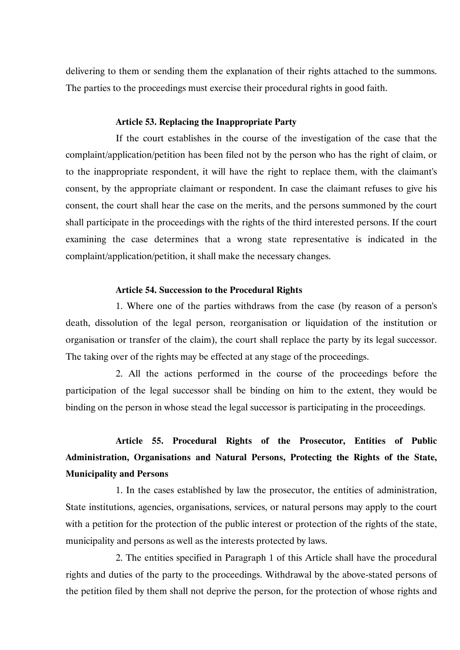delivering to them or sending them the explanation of their rights attached to the summons. The parties to the proceedings must exercise their procedural rights in good faith.

#### **Article 53. Replacing the Inappropriate Party**

If the court establishes in the course of the investigation of the case that the complaint/application/petition has been filed not by the person who has the right of claim, or to the inappropriate respondent, it will have the right to replace them, with the claimant's consent, by the appropriate claimant or respondent. In case the claimant refuses to give his consent, the court shall hear the case on the merits, and the persons summoned by the court shall participate in the proceedings with the rights of the third interested persons. If the court examining the case determines that a wrong state representative is indicated in the complaint/application/petition, it shall make the necessary changes.

#### **Article 54. Succession to the Procedural Rights**

1. Where one of the parties withdraws from the case (by reason of a person's death, dissolution of the legal person, reorganisation or liquidation of the institution or organisation or transfer of the claim), the court shall replace the party by its legal successor. The taking over of the rights may be effected at any stage of the proceedings.

2. All the actions performed in the course of the proceedings before the participation of the legal successor shall be binding on him to the extent, they would be binding on the person in whose stead the legal successor is participating in the proceedings.

# **Article 55. Procedural Rights of the Prosecutor, Entities of Public Administration, Organisations and Natural Persons, Protecting the Rights of the State, Municipality and Persons**

1. In the cases established by law the prosecutor, the entities of administration, State institutions, agencies, organisations, services, or natural persons may apply to the court with a petition for the protection of the public interest or protection of the rights of the state, municipality and persons as well as the interests protected by laws.

2. The entities specified in Paragraph 1 of this Article shall have the procedural rights and duties of the party to the proceedings. Withdrawal by the above-stated persons of the petition filed by them shall not deprive the person, for the protection of whose rights and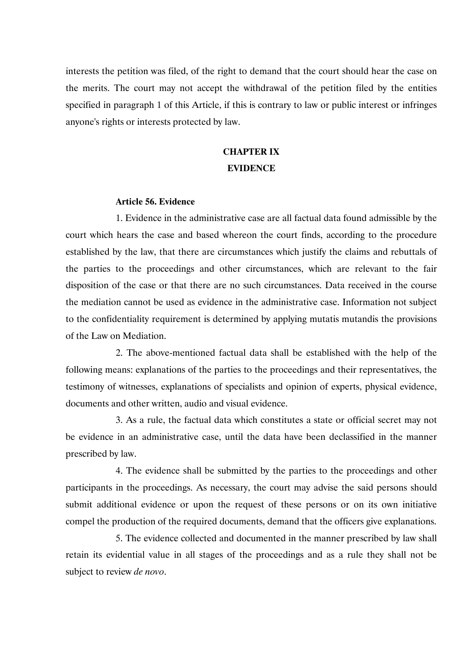interests the petition was filed, of the right to demand that the court should hear the case on the merits. The court may not accept the withdrawal of the petition filed by the entities specified in paragraph 1 of this Article, if this is contrary to law or public interest or infringes anyone's rights or interests protected by law.

# **CHAPTER IX EVIDENCE**

### **Article 56. Evidence**

1. Evidence in the administrative case are all factual data found admissible by the court which hears the case and based whereon the court finds, according to the procedure established by the law, that there are circumstances which justify the claims and rebuttals of the parties to the proceedings and other circumstances, which are relevant to the fair disposition of the case or that there are no such circumstances. Data received in the course the mediation cannot be used as evidence in the administrative case. Information not subject to the confidentiality requirement is determined by applying mutatis mutandis the provisions of the Law on Mediation.

2. The above-mentioned factual data shall be established with the help of the following means: explanations of the parties to the proceedings and their representatives, the testimony of witnesses, explanations of specialists and opinion of experts, physical evidence, documents and other written, audio and visual evidence.

3. As a rule, the factual data which constitutes a state or official secret may not be evidence in an administrative case, until the data have been declassified in the manner prescribed by law.

4. The evidence shall be submitted by the parties to the proceedings and other participants in the proceedings. As necessary, the court may advise the said persons should submit additional evidence or upon the request of these persons or on its own initiative compel the production of the required documents, demand that the officers give explanations.

5. The evidence collected and documented in the manner prescribed by law shall retain its evidential value in all stages of the proceedings and as a rule they shall not be subject to review *de novo*.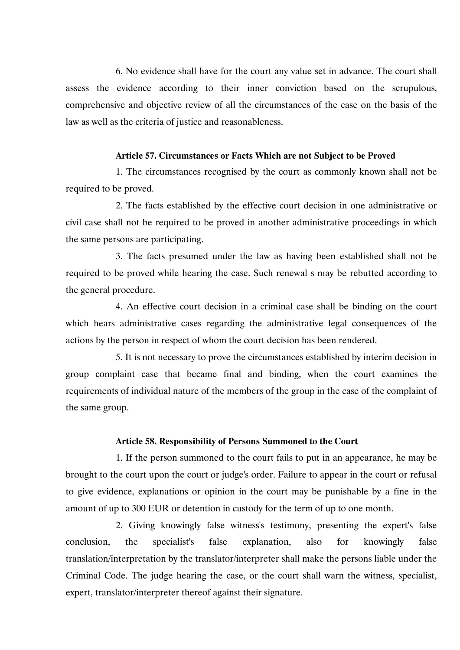6. No evidence shall have for the court any value set in advance. The court shall assess the evidence according to their inner conviction based on the scrupulous, comprehensive and objective review of all the circumstances of the case on the basis of the law as well as the criteria of justice and reasonableness.

#### **Article 57. Circumstances or Facts Which are not Subject to be Proved**

1. The circumstances recognised by the court as commonly known shall not be required to be proved.

2. The facts established by the effective court decision in one administrative or civil case shall not be required to be proved in another administrative proceedings in which the same persons are participating.

3. The facts presumed under the law as having been established shall not be required to be proved while hearing the case. Such renewal s may be rebutted according to the general procedure.

4. An effective court decision in a criminal case shall be binding on the court which hears administrative cases regarding the administrative legal consequences of the actions by the person in respect of whom the court decision has been rendered.

5. It is not necessary to prove the circumstances established by interim decision in group complaint case that became final and binding, when the court examines the requirements of individual nature of the members of the group in the case of the complaint of the same group.

#### **Article 58. Responsibility of Persons Summoned to the Court**

1. If the person summoned to the court fails to put in an appearance, he may be brought to the court upon the court or judge's order. Failure to appear in the court or refusal to give evidence, explanations or opinion in the court may be punishable by a fine in the amount of up to 300 EUR or detention in custody for the term of up to one month.

2. Giving knowingly false witness's testimony, presenting the expert's false conclusion, the specialist's false explanation, also for knowingly false translation/interpretation by the translator/interpreter shall make the persons liable under the Criminal Code. The judge hearing the case, or the court shall warn the witness, specialist, expert, translator/interpreter thereof against their signature.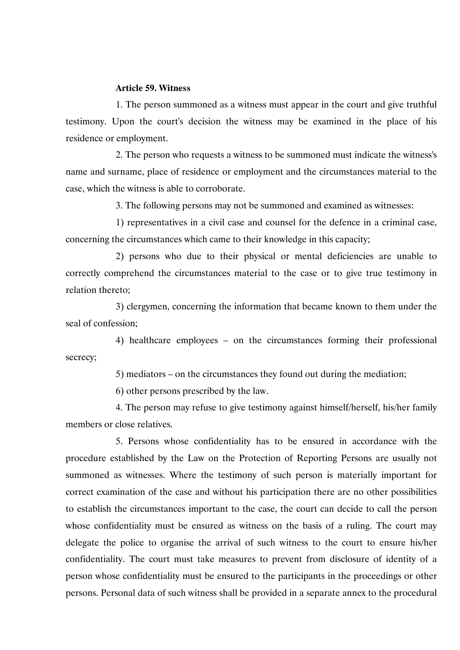#### **Article 59. Witness**

1. The person summoned as a witness must appear in the court and give truthful testimony. Upon the court's decision the witness may be examined in the place of his residence or employment.

2. The person who requests a witness to be summoned must indicate the witness's name and surname, place of residence or employment and the circumstances material to the case, which the witness is able to corroborate.

3. The following persons may not be summoned and examined as witnesses:

1) representatives in a civil case and counsel for the defence in a criminal case, concerning the circumstances which came to their knowledge in this capacity;

2) persons who due to their physical or mental deficiencies are unable to correctly comprehend the circumstances material to the case or to give true testimony in relation thereto;

3) clergymen, concerning the information that became known to them under the seal of confession;

4) healthcare employees – on the circumstances forming their professional secrecy;

5) mediators – on the circumstances they found out during the mediation;

6) other persons prescribed by the law.

4. The person may refuse to give testimony against himself/herself, his/her family members or close relatives.

5. Persons whose confidentiality has to be ensured in accordance with the procedure established by the Law on the Protection of Reporting Persons are usually not summoned as witnesses. Where the testimony of such person is materially important for correct examination of the case and without his participation there are no other possibilities to establish the circumstances important to the case, the court can decide to call the person whose confidentiality must be ensured as witness on the basis of a ruling. The court may delegate the police to organise the arrival of such witness to the court to ensure his/her confidentiality. The court must take measures to prevent from disclosure of identity of a person whose confidentiality must be ensured to the participants in the proceedings or other persons. Personal data of such witness shall be provided in a separate annex to the procedural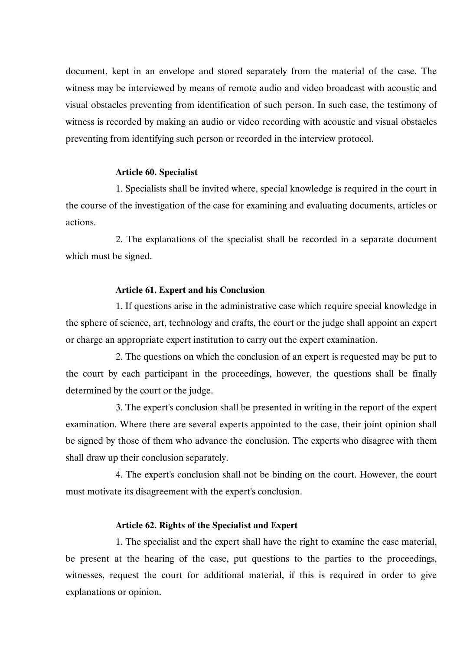document, kept in an envelope and stored separately from the material of the case. The witness may be interviewed by means of remote audio and video broadcast with acoustic and visual obstacles preventing from identification of such person. In such case, the testimony of witness is recorded by making an audio or video recording with acoustic and visual obstacles preventing from identifying such person or recorded in the interview protocol.

#### **Article 60. Specialist**

1. Specialists shall be invited where, special knowledge is required in the court in the course of the investigation of the case for examining and evaluating documents, articles or actions.

2. The explanations of the specialist shall be recorded in a separate document which must be signed.

#### **Article 61. Expert and his Conclusion**

1. If questions arise in the administrative case which require special knowledge in the sphere of science, art, technology and crafts, the court or the judge shall appoint an expert or charge an appropriate expert institution to carry out the expert examination.

2. The questions on which the conclusion of an expert is requested may be put to the court by each participant in the proceedings, however, the questions shall be finally determined by the court or the judge.

3. The expert's conclusion shall be presented in writing in the report of the expert examination. Where there are several experts appointed to the case, their joint opinion shall be signed by those of them who advance the conclusion. The experts who disagree with them shall draw up their conclusion separately.

4. The expert's conclusion shall not be binding on the court. However, the court must motivate its disagreement with the expert's conclusion.

### **Article 62. Rights of the Specialist and Expert**

1. The specialist and the expert shall have the right to examine the case material, be present at the hearing of the case, put questions to the parties to the proceedings, witnesses, request the court for additional material, if this is required in order to give explanations or opinion.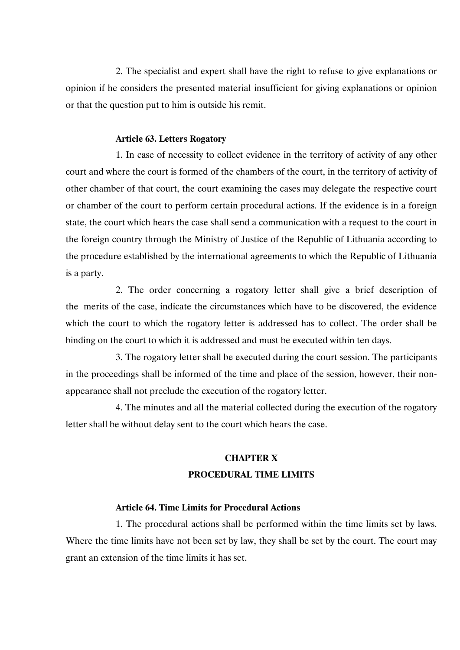2. The specialist and expert shall have the right to refuse to give explanations or opinion if he considers the presented material insufficient for giving explanations or opinion or that the question put to him is outside his remit.

### **Article 63. Letters Rogatory**

1. In case of necessity to collect evidence in the territory of activity of any other court and where the court is formed of the chambers of the court, in the territory of activity of other chamber of that court, the court examining the cases may delegate the respective court or chamber of the court to perform certain procedural actions. If the evidence is in a foreign state, the court which hears the case shall send a communication with a request to the court in the foreign country through the Ministry of Justice of the Republic of Lithuania according to the procedure established by the international agreements to which the Republic of Lithuania is a party.

2. The order concerning a rogatory letter shall give a brief description of the merits of the case, indicate the circumstances which have to be discovered, the evidence which the court to which the rogatory letter is addressed has to collect. The order shall be binding on the court to which it is addressed and must be executed within ten days.

3. The rogatory letter shall be executed during the court session. The participants in the proceedings shall be informed of the time and place of the session, however, their nonappearance shall not preclude the execution of the rogatory letter.

4. The minutes and all the material collected during the execution of the rogatory letter shall be without delay sent to the court which hears the case.

## **CHAPTER X PROCEDURAL TIME LIMITS**

### **Article 64. Time Limits for Procedural Actions**

1. The procedural actions shall be performed within the time limits set by laws. Where the time limits have not been set by law, they shall be set by the court. The court may grant an extension of the time limits it has set.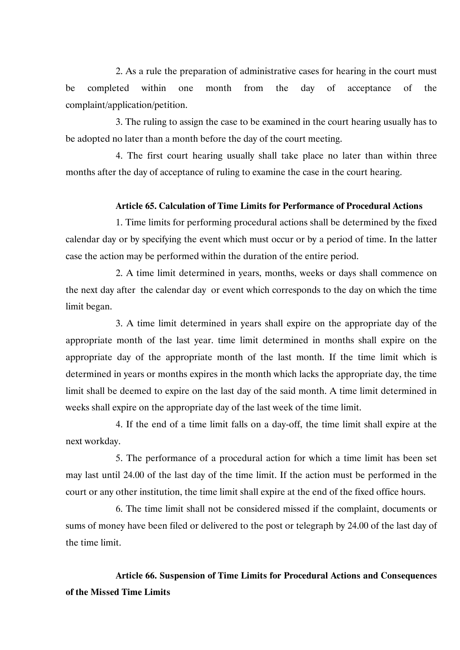2. As a rule the preparation of administrative cases for hearing in the court must be completed within one month from the day of acceptance of the complaint/application/petition.

3. The ruling to assign the case to be examined in the court hearing usually has to be adopted no later than a month before the day of the court meeting.

4. The first court hearing usually shall take place no later than within three months after the day of acceptance of ruling to examine the case in the court hearing.

#### **Article 65. Calculation of Time Limits for Performance of Procedural Actions**

1. Time limits for performing procedural actions shall be determined by the fixed calendar day or by specifying the event which must occur or by a period of time. In the latter case the action may be performed within the duration of the entire period.

2. A time limit determined in years, months, weeks or days shall commence on the next day after the calendar day or event which corresponds to the day on which the time limit began.

3. A time limit determined in years shall expire on the appropriate day of the appropriate month of the last year. time limit determined in months shall expire on the appropriate day of the appropriate month of the last month. If the time limit which is determined in years or months expires in the month which lacks the appropriate day, the time limit shall be deemed to expire on the last day of the said month. A time limit determined in weeks shall expire on the appropriate day of the last week of the time limit.

4. If the end of a time limit falls on a day-off, the time limit shall expire at the next workday.

5. The performance of a procedural action for which a time limit has been set may last until 24.00 of the last day of the time limit. If the action must be performed in the court or any other institution, the time limit shall expire at the end of the fixed office hours.

6. The time limit shall not be considered missed if the complaint, documents or sums of money have been filed or delivered to the post or telegraph by 24.00 of the last day of the time limit.

**Article 66. Suspension of Time Limits for Procedural Actions and Consequences of the Missed Time Limits**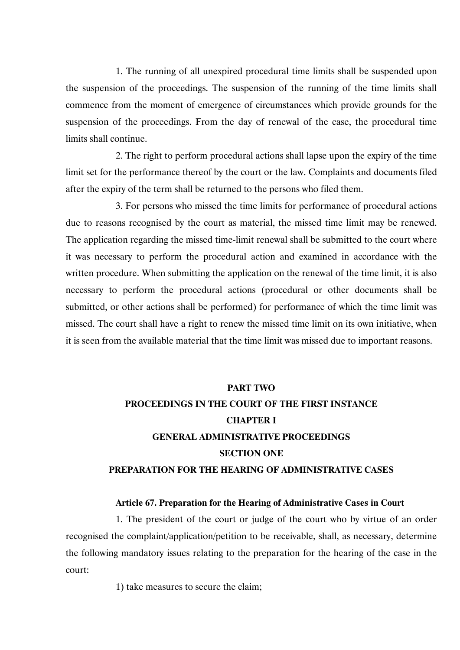1. The running of all unexpired procedural time limits shall be suspended upon the suspension of the proceedings. The suspension of the running of the time limits shall commence from the moment of emergence of circumstances which provide grounds for the suspension of the proceedings. From the day of renewal of the case, the procedural time limits shall continue.

2. The right to perform procedural actions shall lapse upon the expiry of the time limit set for the performance thereof by the court or the law. Complaints and documents filed after the expiry of the term shall be returned to the persons who filed them.

3. For persons who missed the time limits for performance of procedural actions due to reasons recognised by the court as material, the missed time limit may be renewed. The application regarding the missed time-limit renewal shall be submitted to the court where it was necessary to perform the procedural action and examined in accordance with the written procedure. When submitting the application on the renewal of the time limit, it is also necessary to perform the procedural actions (procedural or other documents shall be submitted, or other actions shall be performed) for performance of which the time limit was missed. The court shall have a right to renew the missed time limit on its own initiative, when it is seen from the available material that the time limit was missed due to important reasons.

#### **PART TWO**

# **PROCEEDINGS IN THE COURT OF THE FIRST INSTANCE CHAPTER I GENERAL ADMINISTRATIVE PROCEEDINGS SECTION ONE PREPARATION FOR THE HEARING OF ADMINISTRATIVE CASES**

### **Article 67. Preparation for the Hearing of Administrative Cases in Court**

1. The president of the court or judge of the court who by virtue of an order recognised the complaint/application/petition to be receivable, shall, as necessary, determine the following mandatory issues relating to the preparation for the hearing of the case in the court:

1) take measures to secure the claim;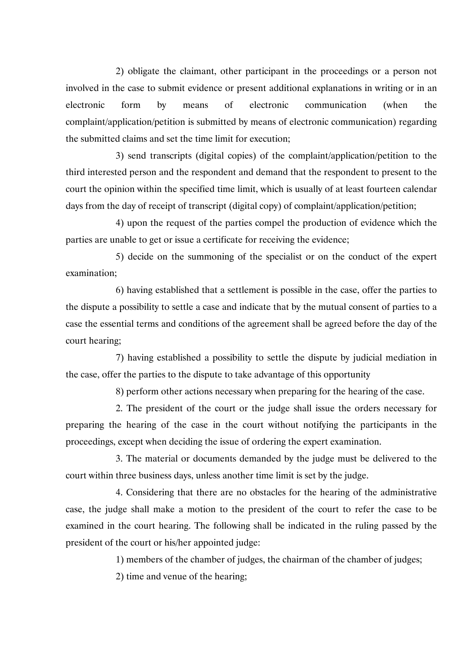2) obligate the claimant, other participant in the proceedings or a person not involved in the case to submit evidence or present additional explanations in writing or in an electronic form by means of electronic communication (when the complaint/application/petition is submitted by means of electronic communication) regarding the submitted claims and set the time limit for execution;

3) send transcripts (digital copies) of the complaint/application/petition to the third interested person and the respondent and demand that the respondent to present to the court the opinion within the specified time limit, which is usually of at least fourteen calendar days from the day of receipt of transcript (digital copy) of complaint/application/petition;

4) upon the request of the parties compel the production of evidence which the parties are unable to get or issue a certificate for receiving the evidence;

5) decide on the summoning of the specialist or on the conduct of the expert examination;

6) having established that a settlement is possible in the case, offer the parties to the dispute a possibility to settle a case and indicate that by the mutual consent of parties to a case the essential terms and conditions of the agreement shall be agreed before the day of the court hearing;

7) having established a possibility to settle the dispute by judicial mediation in the case, offer the parties to the dispute to take advantage of this opportunity

8) perform other actions necessary when preparing for the hearing of the case.

2. The president of the court or the judge shall issue the orders necessary for preparing the hearing of the case in the court without notifying the participants in the proceedings, except when deciding the issue of ordering the expert examination.

3. The material or documents demanded by the judge must be delivered to the court within three business days, unless another time limit is set by the judge.

4. Considering that there are no obstacles for the hearing of the administrative case, the judge shall make a motion to the president of the court to refer the case to be examined in the court hearing. The following shall be indicated in the ruling passed by the president of the court or his/her appointed judge:

1) members of the chamber of judges, the chairman of the chamber of judges;

2) time and venue of the hearing;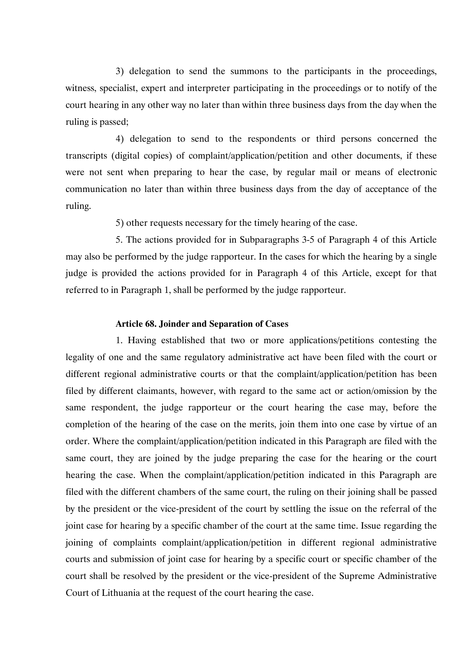3) delegation to send the summons to the participants in the proceedings, witness, specialist, expert and interpreter participating in the proceedings or to notify of the court hearing in any other way no later than within three business days from the day when the ruling is passed;

4) delegation to send to the respondents or third persons concerned the transcripts (digital copies) of complaint/application/petition and other documents, if these were not sent when preparing to hear the case, by regular mail or means of electronic communication no later than within three business days from the day of acceptance of the ruling.

5) other requests necessary for the timely hearing of the case.

5. The actions provided for in Subparagraphs 3-5 of Paragraph 4 of this Article may also be performed by the judge rapporteur. In the cases for which the hearing by a single judge is provided the actions provided for in Paragraph 4 of this Article, except for that referred to in Paragraph 1, shall be performed by the judge rapporteur.

#### **Article 68. Joinder and Separation of Cases**

1. Having established that two or more applications/petitions contesting the legality of one and the same regulatory administrative act have been filed with the court or different regional administrative courts or that the complaint/application/petition has been filed by different claimants, however, with regard to the same act or action/omission by the same respondent, the judge rapporteur or the court hearing the case may, before the completion of the hearing of the case on the merits, join them into one case by virtue of an order. Where the complaint/application/petition indicated in this Paragraph are filed with the same court, they are joined by the judge preparing the case for the hearing or the court hearing the case. When the complaint/application/petition indicated in this Paragraph are filed with the different chambers of the same court, the ruling on their joining shall be passed by the president or the vice-president of the court by settling the issue on the referral of the joint case for hearing by a specific chamber of the court at the same time. Issue regarding the joining of complaints complaint/application/petition in different regional administrative courts and submission of joint case for hearing by a specific court or specific chamber of the court shall be resolved by the president or the vice-president of the Supreme Administrative Court of Lithuania at the request of the court hearing the case.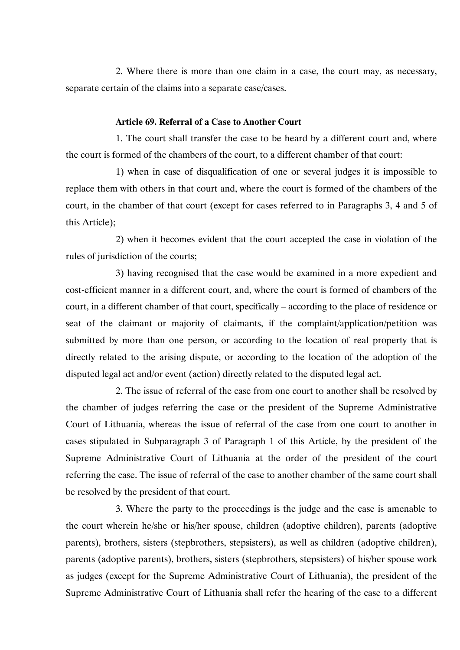2. Where there is more than one claim in a case, the court may, as necessary, separate certain of the claims into a separate case/cases.

#### **Article 69. Referral of a Case to Another Court**

1. The court shall transfer the case to be heard by a different court and, where the court is formed of the chambers of the court, to a different chamber of that court:

1) when in case of disqualification of one or several judges it is impossible to replace them with others in that court and, where the court is formed of the chambers of the court, in the chamber of that court (except for cases referred to in Paragraphs 3, 4 and 5 of this Article);

2) when it becomes evident that the court accepted the case in violation of the rules of jurisdiction of the courts;

3) having recognised that the case would be examined in a more expedient and cost-efficient manner in a different court, and, where the court is formed of chambers of the court, in a different chamber of that court, specifically – according to the place of residence or seat of the claimant or majority of claimants, if the complaint/application/petition was submitted by more than one person, or according to the location of real property that is directly related to the arising dispute, or according to the location of the adoption of the disputed legal act and/or event (action) directly related to the disputed legal act.

2. The issue of referral of the case from one court to another shall be resolved by the chamber of judges referring the case or the president of the Supreme Administrative Court of Lithuania, whereas the issue of referral of the case from one court to another in cases stipulated in Subparagraph 3 of Paragraph 1 of this Article, by the president of the Supreme Administrative Court of Lithuania at the order of the president of the court referring the case. The issue of referral of the case to another chamber of the same court shall be resolved by the president of that court.

3. Where the party to the proceedings is the judge and the case is amenable to the court wherein he/she or his/her spouse, children (adoptive children), parents (adoptive parents), brothers, sisters (stepbrothers, stepsisters), as well as children (adoptive children), parents (adoptive parents), brothers, sisters (stepbrothers, stepsisters) of his/her spouse work as judges (except for the Supreme Administrative Court of Lithuania), the president of the Supreme Administrative Court of Lithuania shall refer the hearing of the case to a different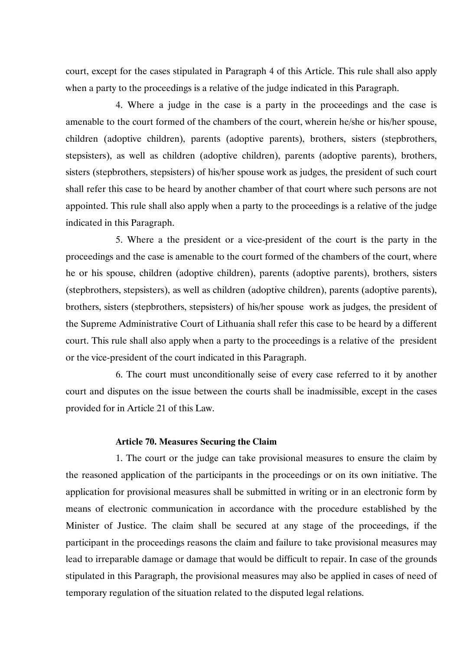court, except for the cases stipulated in Paragraph 4 of this Article. This rule shall also apply when a party to the proceedings is a relative of the judge indicated in this Paragraph.

4. Where a judge in the case is a party in the proceedings and the case is amenable to the court formed of the chambers of the court, wherein he/she or his/her spouse, children (adoptive children), parents (adoptive parents), brothers, sisters (stepbrothers, stepsisters), as well as children (adoptive children), parents (adoptive parents), brothers, sisters (stepbrothers, stepsisters) of his/her spouse work as judges, the president of such court shall refer this case to be heard by another chamber of that court where such persons are not appointed. This rule shall also apply when a party to the proceedings is a relative of the judge indicated in this Paragraph.

5. Where a the president or a vice-president of the court is the party in the proceedings and the case is amenable to the court formed of the chambers of the court, where he or his spouse, children (adoptive children), parents (adoptive parents), brothers, sisters (stepbrothers, stepsisters), as well as children (adoptive children), parents (adoptive parents), brothers, sisters (stepbrothers, stepsisters) of his/her spouse work as judges, the president of the Supreme Administrative Court of Lithuania shall refer this case to be heard by a different court. This rule shall also apply when a party to the proceedings is a relative of the president or the vice-president of the court indicated in this Paragraph.

6. The court must unconditionally seise of every case referred to it by another court and disputes on the issue between the courts shall be inadmissible, except in the cases provided for in Article 21 of this Law.

#### **Article 70. Measures Securing the Claim**

1. The court or the judge can take provisional measures to ensure the claim by the reasoned application of the participants in the proceedings or on its own initiative. The application for provisional measures shall be submitted in writing or in an electronic form by means of electronic communication in accordance with the procedure established by the Minister of Justice. The claim shall be secured at any stage of the proceedings, if the participant in the proceedings reasons the claim and failure to take provisional measures may lead to irreparable damage or damage that would be difficult to repair. In case of the grounds stipulated in this Paragraph, the provisional measures may also be applied in cases of need of temporary regulation of the situation related to the disputed legal relations.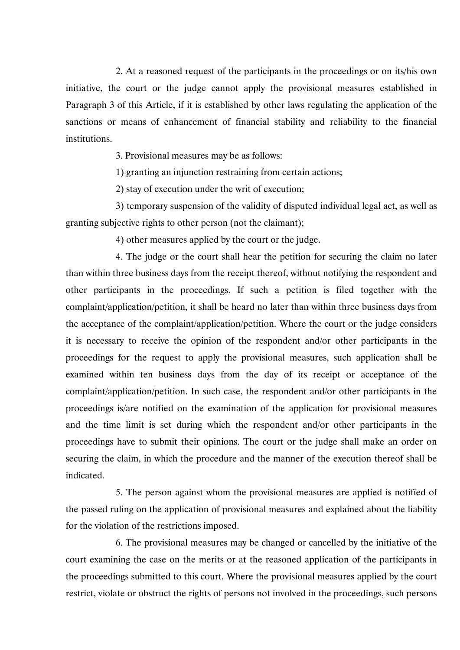2. At a reasoned request of the participants in the proceedings or on its/his own initiative, the court or the judge cannot apply the provisional measures established in Paragraph 3 of this Article, if it is established by other laws regulating the application of the sanctions or means of enhancement of financial stability and reliability to the financial institutions.

3. Provisional measures may be as follows:

1) granting an injunction restraining from certain actions;

2) stay of execution under the writ of execution;

3) temporary suspension of the validity of disputed individual legal act, as well as granting subjective rights to other person (not the claimant);

4) other measures applied by the court or the judge.

4. The judge or the court shall hear the petition for securing the claim no later than within three business days from the receipt thereof, without notifying the respondent and other participants in the proceedings. If such a petition is filed together with the complaint/application/petition, it shall be heard no later than within three business days from the acceptance of the complaint/application/petition. Where the court or the judge considers it is necessary to receive the opinion of the respondent and/or other participants in the proceedings for the request to apply the provisional measures, such application shall be examined within ten business days from the day of its receipt or acceptance of the complaint/application/petition. In such case, the respondent and/or other participants in the proceedings is/are notified on the examination of the application for provisional measures and the time limit is set during which the respondent and/or other participants in the proceedings have to submit their opinions. The court or the judge shall make an order on securing the claim, in which the procedure and the manner of the execution thereof shall be indicated.

5. The person against whom the provisional measures are applied is notified of the passed ruling on the application of provisional measures and explained about the liability for the violation of the restrictions imposed.

6. The provisional measures may be changed or cancelled by the initiative of the court examining the case on the merits or at the reasoned application of the participants in the proceedings submitted to this court. Where the provisional measures applied by the court restrict, violate or obstruct the rights of persons not involved in the proceedings, such persons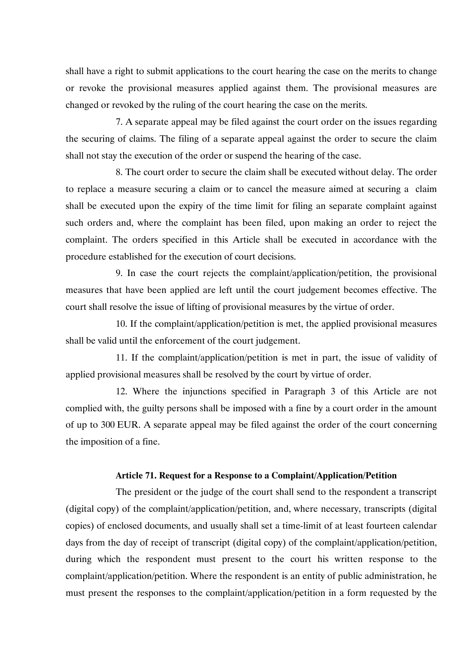shall have a right to submit applications to the court hearing the case on the merits to change or revoke the provisional measures applied against them. The provisional measures are changed or revoked by the ruling of the court hearing the case on the merits.

7. A separate appeal may be filed against the court order on the issues regarding the securing of claims. The filing of a separate appeal against the order to secure the claim shall not stay the execution of the order or suspend the hearing of the case.

8. The court order to secure the claim shall be executed without delay. The order to replace a measure securing a claim or to cancel the measure aimed at securing a claim shall be executed upon the expiry of the time limit for filing an separate complaint against such orders and, where the complaint has been filed, upon making an order to reject the complaint. The orders specified in this Article shall be executed in accordance with the procedure established for the execution of court decisions.

9. In case the court rejects the complaint/application/petition, the provisional measures that have been applied are left until the court judgement becomes effective. The court shall resolve the issue of lifting of provisional measures by the virtue of order.

10. If the complaint/application/petition is met, the applied provisional measures shall be valid until the enforcement of the court judgement.

11. If the complaint/application/petition is met in part, the issue of validity of applied provisional measures shall be resolved by the court by virtue of order.

12. Where the injunctions specified in Paragraph 3 of this Article are not complied with, the guilty persons shall be imposed with a fine by a court order in the amount of up to 300 EUR. A separate appeal may be filed against the order of the court concerning the imposition of a fine.

#### **Article 71. Request for a Response to a Complaint/Application/Petition**

The president or the judge of the court shall send to the respondent a transcript (digital copy) of the complaint/application/petition, and, where necessary, transcripts (digital copies) of enclosed documents, and usually shall set a time-limit of at least fourteen calendar days from the day of receipt of transcript (digital copy) of the complaint/application/petition, during which the respondent must present to the court his written response to the complaint/application/petition. Where the respondent is an entity of public administration, he must present the responses to the complaint/application/petition in a form requested by the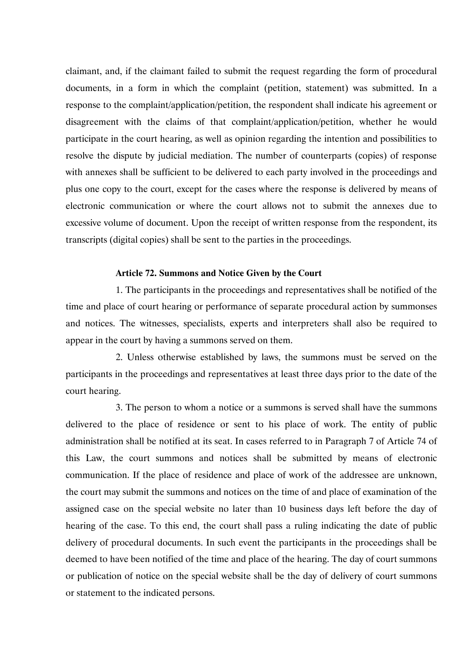claimant, and, if the claimant failed to submit the request regarding the form of procedural documents, in a form in which the complaint (petition, statement) was submitted. In a response to the complaint/application/petition, the respondent shall indicate his agreement or disagreement with the claims of that complaint/application/petition, whether he would participate in the court hearing, as well as opinion regarding the intention and possibilities to resolve the dispute by judicial mediation. The number of counterparts (copies) of response with annexes shall be sufficient to be delivered to each party involved in the proceedings and plus one copy to the court, except for the cases where the response is delivered by means of electronic communication or where the court allows not to submit the annexes due to excessive volume of document. Upon the receipt of written response from the respondent, its transcripts (digital copies) shall be sent to the parties in the proceedings.

#### **Article 72. Summons and Notice Given by the Court**

1. The participants in the proceedings and representatives shall be notified of the time and place of court hearing or performance of separate procedural action by summonses and notices. The witnesses, specialists, experts and interpreters shall also be required to appear in the court by having a summons served on them.

2. Unless otherwise established by laws, the summons must be served on the participants in the proceedings and representatives at least three days prior to the date of the court hearing.

3. The person to whom a notice or a summons is served shall have the summons delivered to the place of residence or sent to his place of work. The entity of public administration shall be notified at its seat. In cases referred to in Paragraph 7 of Article 74 of this Law, the court summons and notices shall be submitted by means of electronic communication. If the place of residence and place of work of the addressee are unknown, the court may submit the summons and notices on the time of and place of examination of the assigned case on the special website no later than 10 business days left before the day of hearing of the case. To this end, the court shall pass a ruling indicating the date of public delivery of procedural documents. In such event the participants in the proceedings shall be deemed to have been notified of the time and place of the hearing. The day of court summons or publication of notice on the special website shall be the day of delivery of court summons or statement to the indicated persons.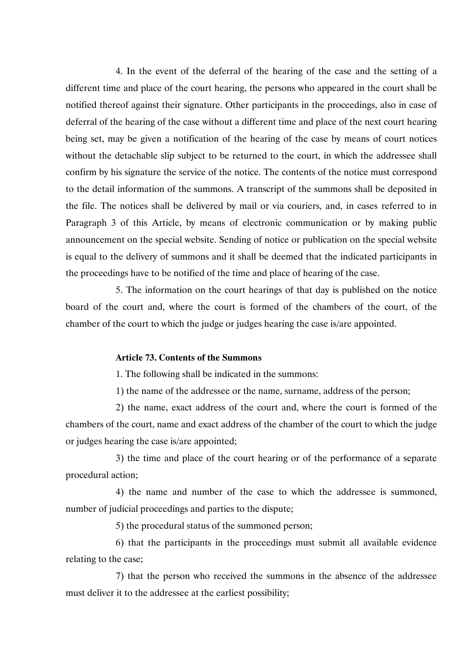4. In the event of the deferral of the hearing of the case and the setting of a different time and place of the court hearing, the persons who appeared in the court shall be notified thereof against their signature. Other participants in the proceedings, also in case of deferral of the hearing of the case without a different time and place of the next court hearing being set, may be given a notification of the hearing of the case by means of court notices without the detachable slip subject to be returned to the court, in which the addressee shall confirm by his signature the service of the notice. The contents of the notice must correspond to the detail information of the summons. A transcript of the summons shall be deposited in the file. The notices shall be delivered by mail or via couriers, and, in cases referred to in Paragraph 3 of this Article, by means of electronic communication or by making public announcement on the special website. Sending of notice or publication on the special website is equal to the delivery of summons and it shall be deemed that the indicated participants in the proceedings have to be notified of the time and place of hearing of the case.

5. The information on the court hearings of that day is published on the notice board of the court and, where the court is formed of the chambers of the court, of the chamber of the court to which the judge or judges hearing the case is/are appointed.

#### **Article 73. Contents of the Summons**

1. The following shall be indicated in the summons:

1) the name of the addressee or the name, surname, address of the person;

2) the name, exact address of the court and, where the court is formed of the chambers of the court, name and exact address of the chamber of the court to which the judge or judges hearing the case is/are appointed;

3) the time and place of the court hearing or of the performance of a separate procedural action;

4) the name and number of the case to which the addressee is summoned, number of judicial proceedings and parties to the dispute;

5) the procedural status of the summoned person;

6) that the participants in the proceedings must submit all available evidence relating to the case;

7) that the person who received the summons in the absence of the addressee must deliver it to the addressee at the earliest possibility;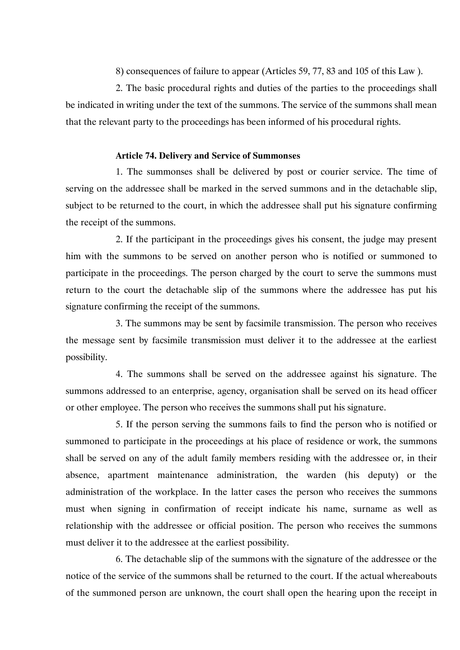8) consequences of failure to appear (Articles 59, 77, 83 and 105 of this Law ).

2. The basic procedural rights and duties of the parties to the proceedings shall be indicated in writing under the text of the summons. The service of the summons shall mean that the relevant party to the proceedings has been informed of his procedural rights.

#### **Article 74. Delivery and Service of Summonses**

1. The summonses shall be delivered by post or courier service. The time of serving on the addressee shall be marked in the served summons and in the detachable slip, subject to be returned to the court, in which the addressee shall put his signature confirming the receipt of the summons.

2. If the participant in the proceedings gives his consent, the judge may present him with the summons to be served on another person who is notified or summoned to participate in the proceedings. The person charged by the court to serve the summons must return to the court the detachable slip of the summons where the addressee has put his signature confirming the receipt of the summons.

3. The summons may be sent by facsimile transmission. The person who receives the message sent by facsimile transmission must deliver it to the addressee at the earliest possibility.

4. The summons shall be served on the addressee against his signature. The summons addressed to an enterprise, agency, organisation shall be served on its head officer or other employee. The person who receives the summons shall put his signature.

5. If the person serving the summons fails to find the person who is notified or summoned to participate in the proceedings at his place of residence or work, the summons shall be served on any of the adult family members residing with the addressee or, in their absence, apartment maintenance administration, the warden (his deputy) or the administration of the workplace. In the latter cases the person who receives the summons must when signing in confirmation of receipt indicate his name, surname as well as relationship with the addressee or official position. The person who receives the summons must deliver it to the addressee at the earliest possibility.

6. The detachable slip of the summons with the signature of the addressee or the notice of the service of the summons shall be returned to the court. If the actual whereabouts of the summoned person are unknown, the court shall open the hearing upon the receipt in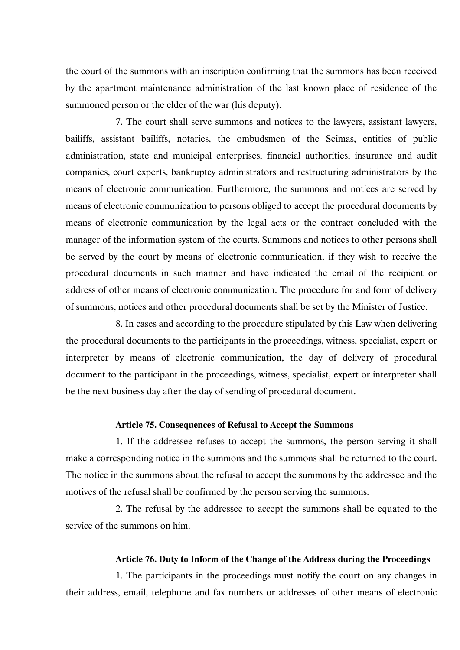the court of the summons with an inscription confirming that the summons has been received by the apartment maintenance administration of the last known place of residence of the summoned person or the elder of the war (his deputy).

7. The court shall serve summons and notices to the lawyers, assistant lawyers, bailiffs, assistant bailiffs, notaries, the ombudsmen of the Seimas, entities of public administration, state and municipal enterprises, financial authorities, insurance and audit companies, court experts, bankruptcy administrators and restructuring administrators by the means of electronic communication. Furthermore, the summons and notices are served by means of electronic communication to persons obliged to accept the procedural documents by means of electronic communication by the legal acts or the contract concluded with the manager of the information system of the courts. Summons and notices to other persons shall be served by the court by means of electronic communication, if they wish to receive the procedural documents in such manner and have indicated the email of the recipient or address of other means of electronic communication. The procedure for and form of delivery of summons, notices and other procedural documents shall be set by the Minister of Justice.

8. In cases and according to the procedure stipulated by this Law when delivering the procedural documents to the participants in the proceedings, witness, specialist, expert or interpreter by means of electronic communication, the day of delivery of procedural document to the participant in the proceedings, witness, specialist, expert or interpreter shall be the next business day after the day of sending of procedural document.

#### **Article 75. Consequences of Refusal to Accept the Summons**

1. If the addressee refuses to accept the summons, the person serving it shall make a corresponding notice in the summons and the summons shall be returned to the court. The notice in the summons about the refusal to accept the summons by the addressee and the motives of the refusal shall be confirmed by the person serving the summons.

2. The refusal by the addressee to accept the summons shall be equated to the service of the summons on him.

#### **Article 76. Duty to Inform of the Change of the Address during the Proceedings**

1. The participants in the proceedings must notify the court on any changes in their address, email, telephone and fax numbers or addresses of other means of electronic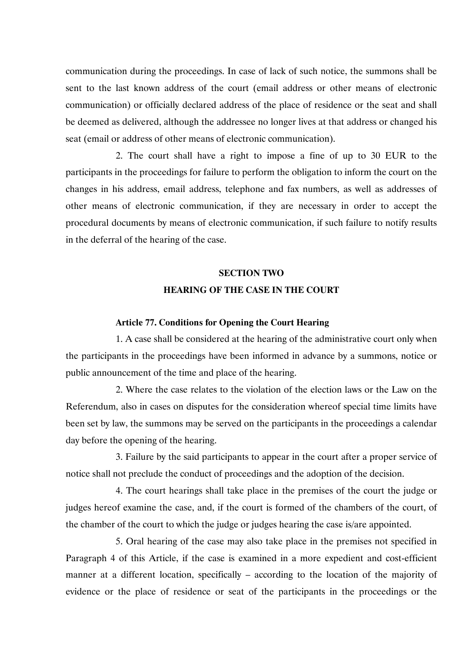communication during the proceedings. In case of lack of such notice, the summons shall be sent to the last known address of the court (email address or other means of electronic communication) or officially declared address of the place of residence or the seat and shall be deemed as delivered, although the addressee no longer lives at that address or changed his seat (email or address of other means of electronic communication).

2. The court shall have a right to impose a fine of up to 30 EUR to the participants in the proceedings for failure to perform the obligation to inform the court on the changes in his address, email address, telephone and fax numbers, as well as addresses of other means of electronic communication, if they are necessary in order to accept the procedural documents by means of electronic communication, if such failure to notify results in the deferral of the hearing of the case.

# **SECTION TWO HEARING OF THE CASE IN THE COURT**

#### **Article 77. Conditions for Opening the Court Hearing**

1. A case shall be considered at the hearing of the administrative court only when the participants in the proceedings have been informed in advance by a summons, notice or public announcement of the time and place of the hearing.

2. Where the case relates to the violation of the election laws or the Law on the Referendum, also in cases on disputes for the consideration whereof special time limits have been set by law, the summons may be served on the participants in the proceedings a calendar day before the opening of the hearing.

3. Failure by the said participants to appear in the court after a proper service of notice shall not preclude the conduct of proceedings and the adoption of the decision.

4. The court hearings shall take place in the premises of the court the judge or judges hereof examine the case, and, if the court is formed of the chambers of the court, of the chamber of the court to which the judge or judges hearing the case is/are appointed.

5. Oral hearing of the case may also take place in the premises not specified in Paragraph 4 of this Article, if the case is examined in a more expedient and cost-efficient manner at a different location, specifically – according to the location of the majority of evidence or the place of residence or seat of the participants in the proceedings or the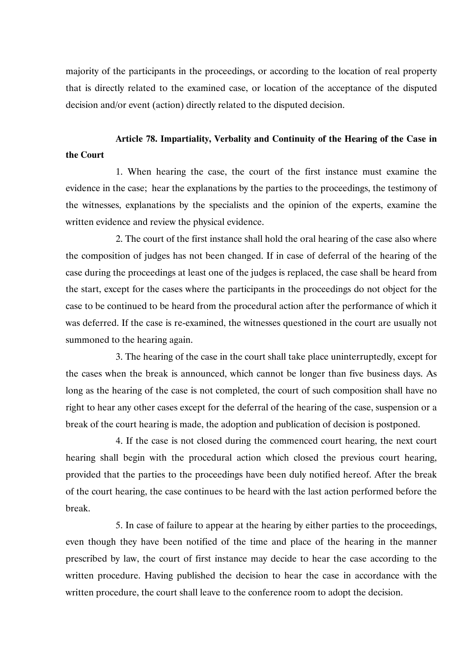majority of the participants in the proceedings, or according to the location of real property that is directly related to the examined case, or location of the acceptance of the disputed decision and/or event (action) directly related to the disputed decision.

# **Article 78. Impartiality, Verbality and Continuity of the Hearing of the Case in the Court**

1. When hearing the case, the court of the first instance must examine the evidence in the case; hear the explanations by the parties to the proceedings, the testimony of the witnesses, explanations by the specialists and the opinion of the experts, examine the written evidence and review the physical evidence.

2. The court of the first instance shall hold the oral hearing of the case also where the composition of judges has not been changed. If in case of deferral of the hearing of the case during the proceedings at least one of the judges is replaced, the case shall be heard from the start, except for the cases where the participants in the proceedings do not object for the case to be continued to be heard from the procedural action after the performance of which it was deferred. If the case is re-examined, the witnesses questioned in the court are usually not summoned to the hearing again.

3. The hearing of the case in the court shall take place uninterruptedly, except for the cases when the break is announced, which cannot be longer than five business days. As long as the hearing of the case is not completed, the court of such composition shall have no right to hear any other cases except for the deferral of the hearing of the case, suspension or a break of the court hearing is made, the adoption and publication of decision is postponed.

4. If the case is not closed during the commenced court hearing, the next court hearing shall begin with the procedural action which closed the previous court hearing, provided that the parties to the proceedings have been duly notified hereof. After the break of the court hearing, the case continues to be heard with the last action performed before the break.

5. In case of failure to appear at the hearing by either parties to the proceedings, even though they have been notified of the time and place of the hearing in the manner prescribed by law, the court of first instance may decide to hear the case according to the written procedure. Having published the decision to hear the case in accordance with the written procedure, the court shall leave to the conference room to adopt the decision.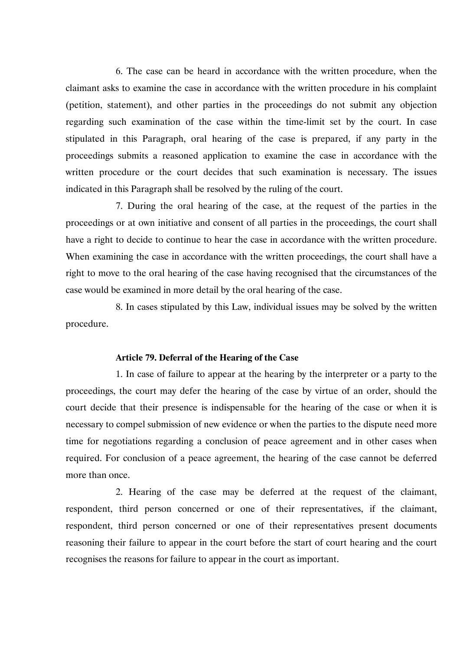6. The case can be heard in accordance with the written procedure, when the claimant asks to examine the case in accordance with the written procedure in his complaint (petition, statement), and other parties in the proceedings do not submit any objection regarding such examination of the case within the time-limit set by the court. In case stipulated in this Paragraph, oral hearing of the case is prepared, if any party in the proceedings submits a reasoned application to examine the case in accordance with the written procedure or the court decides that such examination is necessary. The issues indicated in this Paragraph shall be resolved by the ruling of the court.

7. During the oral hearing of the case, at the request of the parties in the proceedings or at own initiative and consent of all parties in the proceedings, the court shall have a right to decide to continue to hear the case in accordance with the written procedure. When examining the case in accordance with the written proceedings, the court shall have a right to move to the oral hearing of the case having recognised that the circumstances of the case would be examined in more detail by the oral hearing of the case.

8. In cases stipulated by this Law, individual issues may be solved by the written procedure.

#### **Article 79. Deferral of the Hearing of the Case**

1. In case of failure to appear at the hearing by the interpreter or a party to the proceedings, the court may defer the hearing of the case by virtue of an order, should the court decide that their presence is indispensable for the hearing of the case or when it is necessary to compel submission of new evidence or when the parties to the dispute need more time for negotiations regarding a conclusion of peace agreement and in other cases when required. For conclusion of a peace agreement, the hearing of the case cannot be deferred more than once.

2. Hearing of the case may be deferred at the request of the claimant, respondent, third person concerned or one of their representatives, if the claimant, respondent, third person concerned or one of their representatives present documents reasoning their failure to appear in the court before the start of court hearing and the court recognises the reasons for failure to appear in the court as important.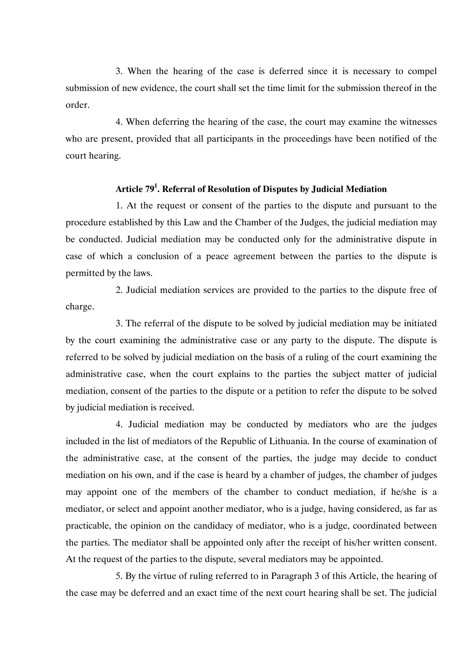3. When the hearing of the case is deferred since it is necessary to compel submission of new evidence, the court shall set the time limit for the submission thereof in the order.

4. When deferring the hearing of the case, the court may examine the witnesses who are present, provided that all participants in the proceedings have been notified of the court hearing.

### **Article 791 . Referral of Resolution of Disputes by Judicial Mediation**

1. At the request or consent of the parties to the dispute and pursuant to the procedure established by this Law and the Chamber of the Judges, the judicial mediation may be conducted. Judicial mediation may be conducted only for the administrative dispute in case of which a conclusion of a peace agreement between the parties to the dispute is permitted by the laws.

2. Judicial mediation services are provided to the parties to the dispute free of charge.

3. The referral of the dispute to be solved by judicial mediation may be initiated by the court examining the administrative case or any party to the dispute. The dispute is referred to be solved by judicial mediation on the basis of a ruling of the court examining the administrative case, when the court explains to the parties the subject matter of judicial mediation, consent of the parties to the dispute or a petition to refer the dispute to be solved by judicial mediation is received.

4. Judicial mediation may be conducted by mediators who are the judges included in the list of mediators of the Republic of Lithuania. In the course of examination of the administrative case, at the consent of the parties, the judge may decide to conduct mediation on his own, and if the case is heard by a chamber of judges, the chamber of judges may appoint one of the members of the chamber to conduct mediation, if he/she is a mediator, or select and appoint another mediator, who is a judge, having considered, as far as practicable, the opinion on the candidacy of mediator, who is a judge, coordinated between the parties. The mediator shall be appointed only after the receipt of his/her written consent. At the request of the parties to the dispute, several mediators may be appointed.

5. By the virtue of ruling referred to in Paragraph 3 of this Article, the hearing of the case may be deferred and an exact time of the next court hearing shall be set. The judicial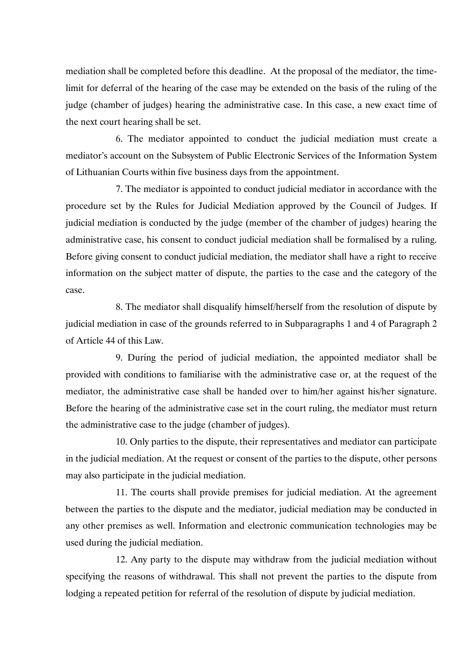mediation shall be completed before this deadline. At the proposal of the mediator, the timelimit for deferral of the hearing of the case may be extended on the basis of the ruling of the judge (chamber of judges) hearing the administrative case. In this case, a new exact time of the next court hearing shall be set.

6. The mediator appointed to conduct the judicial mediation must create a mediator's account on the Subsystem of Public Electronic Services of the Information System of Lithuanian Courts within five business days from the appointment.

7. The mediator is appointed to conduct judicial mediator in accordance with the procedure set by the Rules for Judicial Mediation approved by the Council of Judges. If judicial mediation is conducted by the judge (member of the chamber of judges) hearing the administrative case, his consent to conduct judicial mediation shall be formalised by a ruling. Before giving consent to conduct judicial mediation, the mediator shall have a right to receive information on the subject matter of dispute, the parties to the case and the category of the case.

8. The mediator shall disqualify himself/herself from the resolution of dispute by judicial mediation in case of the grounds referred to in Subparagraphs 1 and 4 of Paragraph 2 of Article 44 of this Law.

9. During the period of judicial mediation, the appointed mediator shall be provided with conditions to familiarise with the administrative case or, at the request of the mediator, the administrative case shall be handed over to him/her against his/her signature. Before the hearing of the administrative case set in the court ruling, the mediator must return the administrative case to the judge (chamber of judges).

10. Only parties to the dispute, their representatives and mediator can participate in the judicial mediation. At the request or consent of the parties to the dispute, other persons may also participate in the judicial mediation.

11. The courts shall provide premises for judicial mediation. At the agreement between the parties to the dispute and the mediator, judicial mediation may be conducted in any other premises as well. Information and electronic communication technologies may be used during the judicial mediation.

12. Any party to the dispute may withdraw from the judicial mediation without specifying the reasons of withdrawal. This shall not prevent the parties to the dispute from lodging a repeated petition for referral of the resolution of dispute by judicial mediation.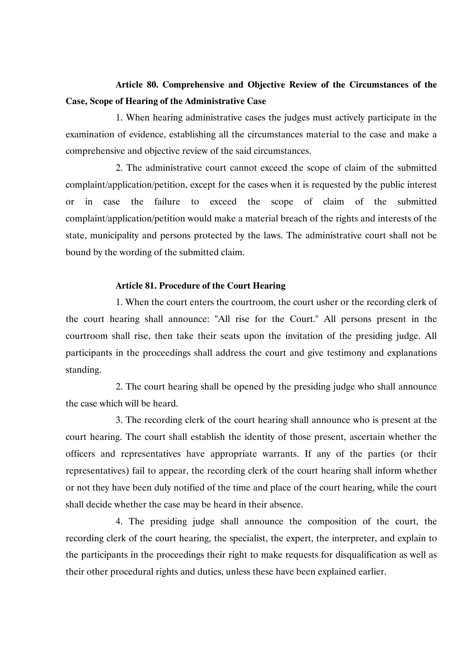# **Article 80. Comprehensive and Objective Review of the Circumstances of the Case, Scope of Hearing of the Administrative Case**

1. When hearing administrative cases the judges must actively participate in the examination of evidence, establishing all the circumstances material to the case and make a comprehensive and objective review of the said circumstances.

2. The administrative court cannot exceed the scope of claim of the submitted complaint/application/petition, except for the cases when it is requested by the public interest or in case the failure to exceed the scope of claim of the submitted complaint/application/petition would make a material breach of the rights and interests of the state, municipality and persons protected by the laws. The administrative court shall not be bound by the wording of the submitted claim.

#### **Article 81. Procedure of the Court Hearing**

1. When the court enters the courtroom, the court usher or the recording clerk of the court hearing shall announce: "All rise for the Court." All persons present in the courtroom shall rise, then take their seats upon the invitation of the presiding judge. All participants in the proceedings shall address the court and give testimony and explanations standing.

2. The court hearing shall be opened by the presiding judge who shall announce the case which will be heard.

3. The recording clerk of the court hearing shall announce who is present at the court hearing. The court shall establish the identity of those present, ascertain whether the officers and representatives have appropriate warrants. If any of the parties (or their representatives) fail to appear, the recording clerk of the court hearing shall inform whether or not they have been duly notified of the time and place of the court hearing, while the court shall decide whether the case may be heard in their absence.

4. The presiding judge shall announce the composition of the court, the recording clerk of the court hearing, the specialist, the expert, the interpreter, and explain to the participants in the proceedings their right to make requests for disqualification as well as their other procedural rights and duties, unless these have been explained earlier.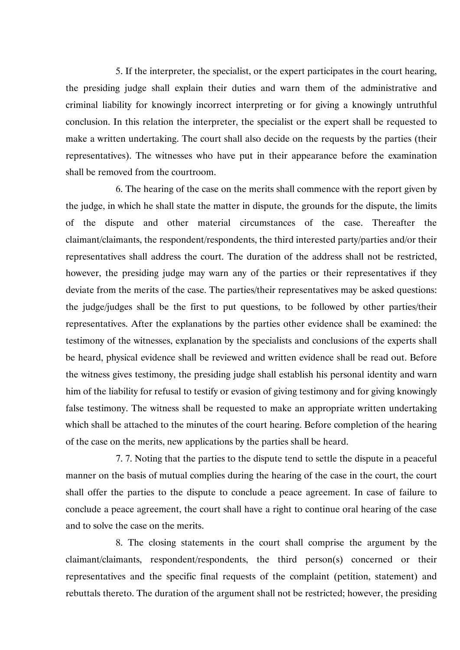5. If the interpreter, the specialist, or the expert participates in the court hearing, the presiding judge shall explain their duties and warn them of the administrative and criminal liability for knowingly incorrect interpreting or for giving a knowingly untruthful conclusion. In this relation the interpreter, the specialist or the expert shall be requested to make a written undertaking. The court shall also decide on the requests by the parties (their representatives). The witnesses who have put in their appearance before the examination shall be removed from the courtroom.

6. The hearing of the case on the merits shall commence with the report given by the judge, in which he shall state the matter in dispute, the grounds for the dispute, the limits of the dispute and other material circumstances of the case. Thereafter the claimant/claimants, the respondent/respondents, the third interested party/parties and/or their representatives shall address the court. The duration of the address shall not be restricted, however, the presiding judge may warn any of the parties or their representatives if they deviate from the merits of the case. The parties/their representatives may be asked questions: the judge/judges shall be the first to put questions, to be followed by other parties/their representatives. After the explanations by the parties other evidence shall be examined: the testimony of the witnesses, explanation by the specialists and conclusions of the experts shall be heard, physical evidence shall be reviewed and written evidence shall be read out. Before the witness gives testimony, the presiding judge shall establish his personal identity and warn him of the liability for refusal to testify or evasion of giving testimony and for giving knowingly false testimony. The witness shall be requested to make an appropriate written undertaking which shall be attached to the minutes of the court hearing. Before completion of the hearing of the case on the merits, new applications by the parties shall be heard.

7. 7. Noting that the parties to the dispute tend to settle the dispute in a peaceful manner on the basis of mutual complies during the hearing of the case in the court, the court shall offer the parties to the dispute to conclude a peace agreement. In case of failure to conclude a peace agreement, the court shall have a right to continue oral hearing of the case and to solve the case on the merits.

8. The closing statements in the court shall comprise the argument by the claimant/claimants, respondent/respondents, the third person(s) concerned or their representatives and the specific final requests of the complaint (petition, statement) and rebuttals thereto. The duration of the argument shall not be restricted; however, the presiding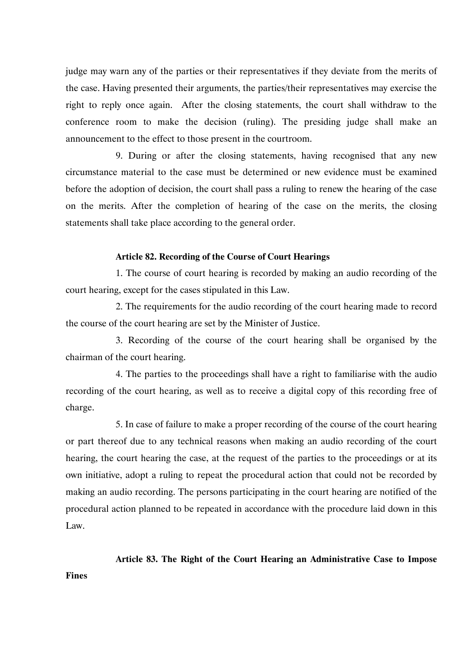judge may warn any of the parties or their representatives if they deviate from the merits of the case. Having presented their arguments, the parties/their representatives may exercise the right to reply once again. After the closing statements, the court shall withdraw to the conference room to make the decision (ruling). The presiding judge shall make an announcement to the effect to those present in the courtroom.

9. During or after the closing statements, having recognised that any new circumstance material to the case must be determined or new evidence must be examined before the adoption of decision, the court shall pass a ruling to renew the hearing of the case on the merits. After the completion of hearing of the case on the merits, the closing statements shall take place according to the general order.

#### **Article 82. Recording of the Course of Court Hearings**

1. The course of court hearing is recorded by making an audio recording of the court hearing, except for the cases stipulated in this Law.

2. The requirements for the audio recording of the court hearing made to record the course of the court hearing are set by the Minister of Justice.

3. Recording of the course of the court hearing shall be organised by the chairman of the court hearing.

4. The parties to the proceedings shall have a right to familiarise with the audio recording of the court hearing, as well as to receive a digital copy of this recording free of charge.

5. In case of failure to make a proper recording of the course of the court hearing or part thereof due to any technical reasons when making an audio recording of the court hearing, the court hearing the case, at the request of the parties to the proceedings or at its own initiative, adopt a ruling to repeat the procedural action that could not be recorded by making an audio recording. The persons participating in the court hearing are notified of the procedural action planned to be repeated in accordance with the procedure laid down in this Law.

**Article 83. The Right of the Court Hearing an Administrative Case to Impose** 

**Fines**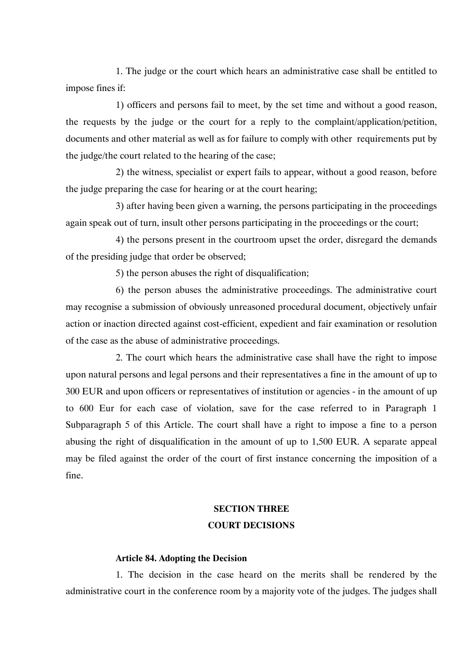1. The judge or the court which hears an administrative case shall be entitled to impose fines if:

1) officers and persons fail to meet, by the set time and without a good reason, the requests by the judge or the court for a reply to the complaint/application/petition, documents and other material as well as for failure to comply with other requirements put by the judge/the court related to the hearing of the case;

2) the witness, specialist or expert fails to appear, without a good reason, before the judge preparing the case for hearing or at the court hearing;

3) after having been given a warning, the persons participating in the proceedings again speak out of turn, insult other persons participating in the proceedings or the court;

4) the persons present in the courtroom upset the order, disregard the demands of the presiding judge that order be observed;

5) the person abuses the right of disqualification;

6) the person abuses the administrative proceedings. The administrative court may recognise a submission of obviously unreasoned procedural document, objectively unfair action or inaction directed against cost-efficient, expedient and fair examination or resolution of the case as the abuse of administrative proceedings.

2. The court which hears the administrative case shall have the right to impose upon natural persons and legal persons and their representatives a fine in the amount of up to 300 EUR and upon officers or representatives of institution or agencies - in the amount of up to 600 Eur for each case of violation, save for the case referred to in Paragraph 1 Subparagraph 5 of this Article. The court shall have a right to impose a fine to a person abusing the right of disqualification in the amount of up to 1,500 EUR. A separate appeal may be filed against the order of the court of first instance concerning the imposition of a fine.

# **SECTION THREE COURT DECISIONS**

#### **Article 84. Adopting the Decision**

1. The decision in the case heard on the merits shall be rendered by the administrative court in the conference room by a majority vote of the judges. The judges shall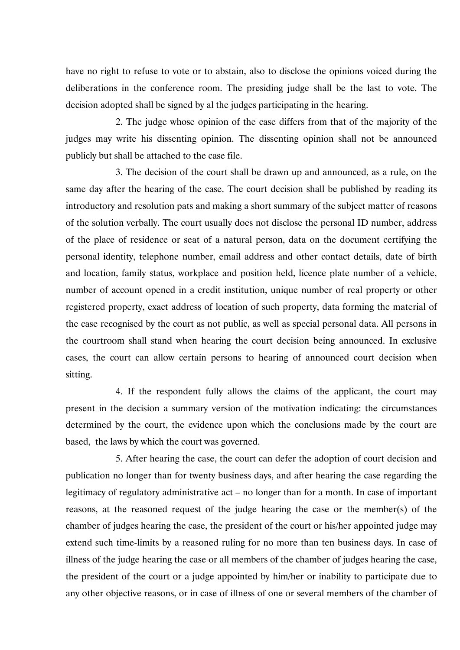have no right to refuse to vote or to abstain, also to disclose the opinions voiced during the deliberations in the conference room. The presiding judge shall be the last to vote. The decision adopted shall be signed by al the judges participating in the hearing.

2. The judge whose opinion of the case differs from that of the majority of the judges may write his dissenting opinion. The dissenting opinion shall not be announced publicly but shall be attached to the case file.

3. The decision of the court shall be drawn up and announced, as a rule, on the same day after the hearing of the case. The court decision shall be published by reading its introductory and resolution pats and making a short summary of the subject matter of reasons of the solution verbally. The court usually does not disclose the personal ID number, address of the place of residence or seat of a natural person, data on the document certifying the personal identity, telephone number, email address and other contact details, date of birth and location, family status, workplace and position held, licence plate number of a vehicle, number of account opened in a credit institution, unique number of real property or other registered property, exact address of location of such property, data forming the material of the case recognised by the court as not public, as well as special personal data. All persons in the courtroom shall stand when hearing the court decision being announced. In exclusive cases, the court can allow certain persons to hearing of announced court decision when sitting.

4. If the respondent fully allows the claims of the applicant, the court may present in the decision a summary version of the motivation indicating: the circumstances determined by the court, the evidence upon which the conclusions made by the court are based, the laws by which the court was governed.

5. After hearing the case, the court can defer the adoption of court decision and publication no longer than for twenty business days, and after hearing the case regarding the legitimacy of regulatory administrative act – no longer than for a month. In case of important reasons, at the reasoned request of the judge hearing the case or the member(s) of the chamber of judges hearing the case, the president of the court or his/her appointed judge may extend such time-limits by a reasoned ruling for no more than ten business days. In case of illness of the judge hearing the case or all members of the chamber of judges hearing the case, the president of the court or a judge appointed by him/her or inability to participate due to any other objective reasons, or in case of illness of one or several members of the chamber of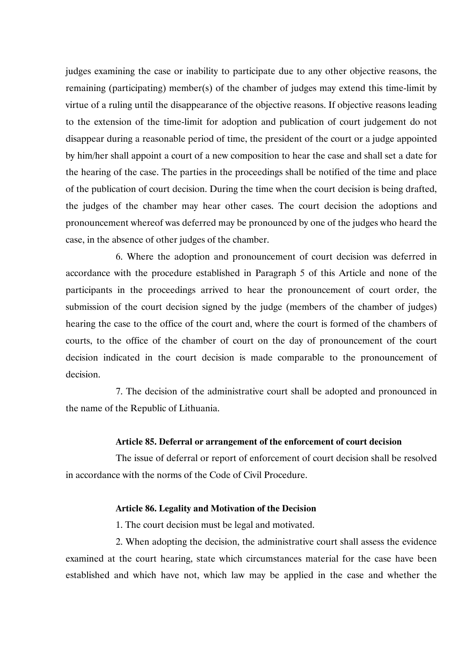judges examining the case or inability to participate due to any other objective reasons, the remaining (participating) member(s) of the chamber of judges may extend this time-limit by virtue of a ruling until the disappearance of the objective reasons. If objective reasons leading to the extension of the time-limit for adoption and publication of court judgement do not disappear during a reasonable period of time, the president of the court or a judge appointed by him/her shall appoint a court of a new composition to hear the case and shall set a date for the hearing of the case. The parties in the proceedings shall be notified of the time and place of the publication of court decision. During the time when the court decision is being drafted, the judges of the chamber may hear other cases. The court decision the adoptions and pronouncement whereof was deferred may be pronounced by one of the judges who heard the case, in the absence of other judges of the chamber.

6. Where the adoption and pronouncement of court decision was deferred in accordance with the procedure established in Paragraph 5 of this Article and none of the participants in the proceedings arrived to hear the pronouncement of court order, the submission of the court decision signed by the judge (members of the chamber of judges) hearing the case to the office of the court and, where the court is formed of the chambers of courts, to the office of the chamber of court on the day of pronouncement of the court decision indicated in the court decision is made comparable to the pronouncement of decision.

7. The decision of the administrative court shall be adopted and pronounced in the name of the Republic of Lithuania.

#### **Article 85. Deferral or arrangement of the enforcement of court decision**

The issue of deferral or report of enforcement of court decision shall be resolved in accordance with the norms of the Code of Civil Procedure.

#### **Article 86. Legality and Motivation of the Decision**

1. The court decision must be legal and motivated.

2. When adopting the decision, the administrative court shall assess the evidence examined at the court hearing, state which circumstances material for the case have been established and which have not, which law may be applied in the case and whether the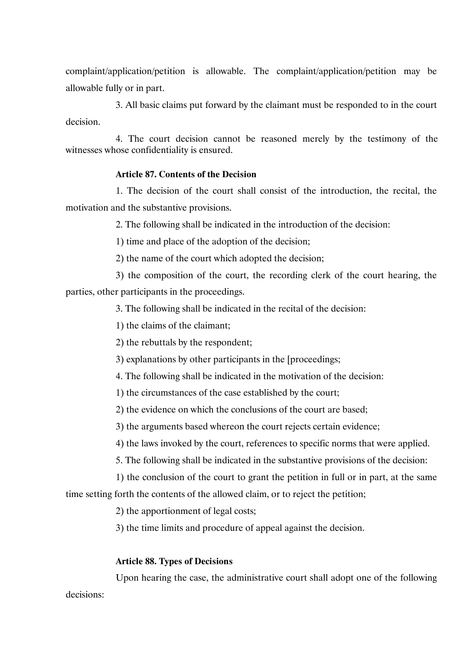complaint/application/petition is allowable. The complaint/application/petition may be allowable fully or in part.

3. All basic claims put forward by the claimant must be responded to in the court decision.

4. The court decision cannot be reasoned merely by the testimony of the witnesses whose confidentiality is ensured.

### **Article 87. Contents of the Decision**

1. The decision of the court shall consist of the introduction, the recital, the motivation and the substantive provisions.

2. The following shall be indicated in the introduction of the decision:

1) time and place of the adoption of the decision;

2) the name of the court which adopted the decision;

3) the composition of the court, the recording clerk of the court hearing, the parties, other participants in the proceedings.

3. The following shall be indicated in the recital of the decision:

1) the claims of the claimant;

2) the rebuttals by the respondent;

3) explanations by other participants in the [proceedings;

4. The following shall be indicated in the motivation of the decision:

1) the circumstances of the case established by the court;

2) the evidence on which the conclusions of the court are based;

3) the arguments based whereon the court rejects certain evidence;

4) the laws invoked by the court, references to specific norms that were applied.

5. The following shall be indicated in the substantive provisions of the decision:

1) the conclusion of the court to grant the petition in full or in part, at the same time setting forth the contents of the allowed claim, or to reject the petition;

2) the apportionment of legal costs;

3) the time limits and procedure of appeal against the decision.

### **Article 88. Types of Decisions**

Upon hearing the case, the administrative court shall adopt one of the following

decisions: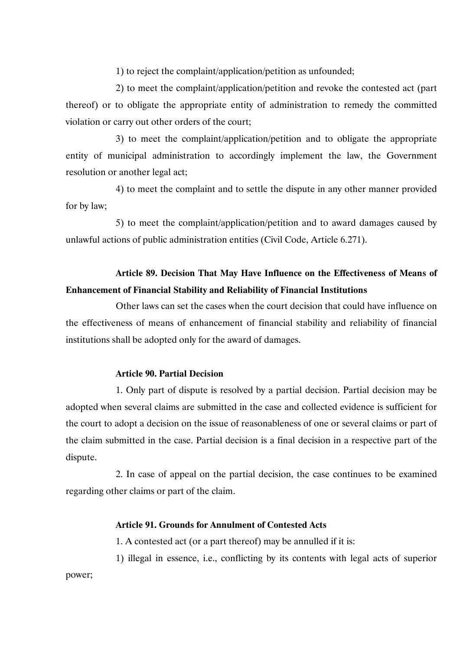1) to reject the complaint/application/petition as unfounded;

2) to meet the complaint/application/petition and revoke the contested act (part thereof) or to obligate the appropriate entity of administration to remedy the committed violation or carry out other orders of the court;

3) to meet the complaint/application/petition and to obligate the appropriate entity of municipal administration to accordingly implement the law, the Government resolution or another legal act;

4) to meet the complaint and to settle the dispute in any other manner provided for by law;

5) to meet the complaint/application/petition and to award damages caused by unlawful actions of public administration entities (Civil Code, Article 6.271).

## **Article 89. Decision That May Have Influence on the Effectiveness of Means of Enhancement of Financial Stability and Reliability of Financial Institutions**

Other laws can set the cases when the court decision that could have influence on the effectiveness of means of enhancement of financial stability and reliability of financial institutions shall be adopted only for the award of damages.

### **Article 90. Partial Decision**

1. Only part of dispute is resolved by a partial decision. Partial decision may be adopted when several claims are submitted in the case and collected evidence is sufficient for the court to adopt a decision on the issue of reasonableness of one or several claims or part of the claim submitted in the case. Partial decision is a final decision in a respective part of the dispute.

2. In case of appeal on the partial decision, the case continues to be examined regarding other claims or part of the claim.

### **Article 91. Grounds for Annulment of Contested Acts**

1. A contested act (or a part thereof) may be annulled if it is:

1) illegal in essence, i.e., conflicting by its contents with legal acts of superior

power;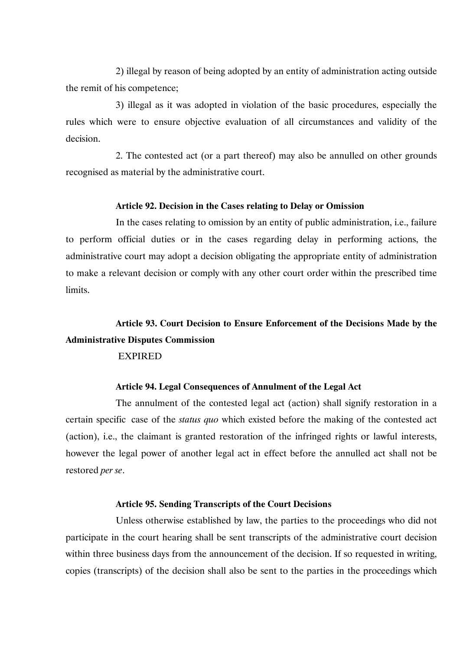2) illegal by reason of being adopted by an entity of administration acting outside the remit of his competence;

3) illegal as it was adopted in violation of the basic procedures, especially the rules which were to ensure objective evaluation of all circumstances and validity of the decision.

2. The contested act (or a part thereof) may also be annulled on other grounds recognised as material by the administrative court.

### **Article 92. Decision in the Cases relating to Delay or Omission**

In the cases relating to omission by an entity of public administration, i.e., failure to perform official duties or in the cases regarding delay in performing actions, the administrative court may adopt a decision obligating the appropriate entity of administration to make a relevant decision or comply with any other court order within the prescribed time limits.

# **Article 93. Court Decision to Ensure Enforcement of the Decisions Made by the Administrative Disputes Commission**

### EXPIRED

### **Article 94. Legal Consequences of Annulment of the Legal Act**

The annulment of the contested legal act (action) shall signify restoration in a certain specific case of the *status quo* which existed before the making of the contested act (action), i.e., the claimant is granted restoration of the infringed rights or lawful interests, however the legal power of another legal act in effect before the annulled act shall not be restored *per se*.

### **Article 95. Sending Transcripts of the Court Decisions**

Unless otherwise established by law, the parties to the proceedings who did not participate in the court hearing shall be sent transcripts of the administrative court decision within three business days from the announcement of the decision. If so requested in writing, copies (transcripts) of the decision shall also be sent to the parties in the proceedings which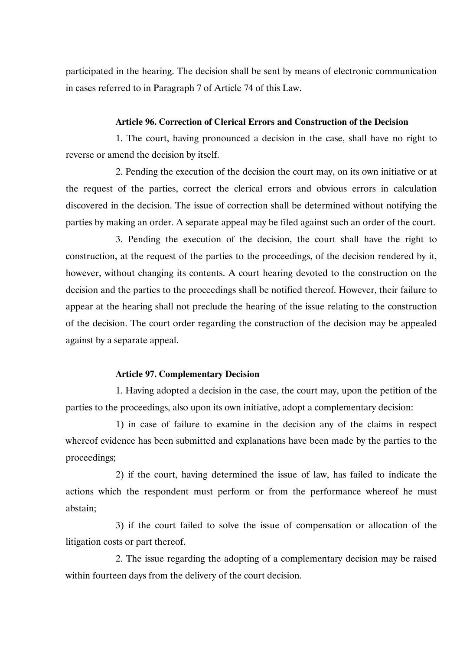participated in the hearing. The decision shall be sent by means of electronic communication in cases referred to in Paragraph 7 of Article 74 of this Law.

### **Article 96. Correction of Clerical Errors and Construction of the Decision**

1. The court, having pronounced a decision in the case, shall have no right to reverse or amend the decision by itself.

2. Pending the execution of the decision the court may, on its own initiative or at the request of the parties, correct the clerical errors and obvious errors in calculation discovered in the decision. The issue of correction shall be determined without notifying the parties by making an order. A separate appeal may be filed against such an order of the court.

3. Pending the execution of the decision, the court shall have the right to construction, at the request of the parties to the proceedings, of the decision rendered by it, however, without changing its contents. A court hearing devoted to the construction on the decision and the parties to the proceedings shall be notified thereof. However, their failure to appear at the hearing shall not preclude the hearing of the issue relating to the construction of the decision. The court order regarding the construction of the decision may be appealed against by a separate appeal.

### **Article 97. Complementary Decision**

1. Having adopted a decision in the case, the court may, upon the petition of the parties to the proceedings, also upon its own initiative, adopt a complementary decision:

1) in case of failure to examine in the decision any of the claims in respect whereof evidence has been submitted and explanations have been made by the parties to the proceedings;

2) if the court, having determined the issue of law, has failed to indicate the actions which the respondent must perform or from the performance whereof he must abstain;

3) if the court failed to solve the issue of compensation or allocation of the litigation costs or part thereof.

2. The issue regarding the adopting of a complementary decision may be raised within fourteen days from the delivery of the court decision.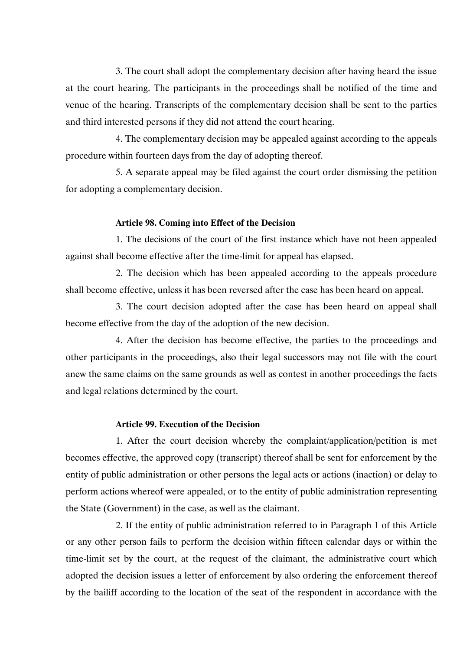3. The court shall adopt the complementary decision after having heard the issue at the court hearing. The participants in the proceedings shall be notified of the time and venue of the hearing. Transcripts of the complementary decision shall be sent to the parties and third interested persons if they did not attend the court hearing.

4. The complementary decision may be appealed against according to the appeals procedure within fourteen days from the day of adopting thereof.

5. A separate appeal may be filed against the court order dismissing the petition for adopting a complementary decision.

### **Article 98. Coming into Effect of the Decision**

1. The decisions of the court of the first instance which have not been appealed against shall become effective after the time-limit for appeal has elapsed.

2. The decision which has been appealed according to the appeals procedure shall become effective, unless it has been reversed after the case has been heard on appeal.

3. The court decision adopted after the case has been heard on appeal shall become effective from the day of the adoption of the new decision.

4. After the decision has become effective, the parties to the proceedings and other participants in the proceedings, also their legal successors may not file with the court anew the same claims on the same grounds as well as contest in another proceedings the facts and legal relations determined by the court.

### **Article 99. Execution of the Decision**

1. After the court decision whereby the complaint/application/petition is met becomes effective, the approved copy (transcript) thereof shall be sent for enforcement by the entity of public administration or other persons the legal acts or actions (inaction) or delay to perform actions whereof were appealed, or to the entity of public administration representing the State (Government) in the case, as well as the claimant.

2. If the entity of public administration referred to in Paragraph 1 of this Article or any other person fails to perform the decision within fifteen calendar days or within the time-limit set by the court, at the request of the claimant, the administrative court which adopted the decision issues a letter of enforcement by also ordering the enforcement thereof by the bailiff according to the location of the seat of the respondent in accordance with the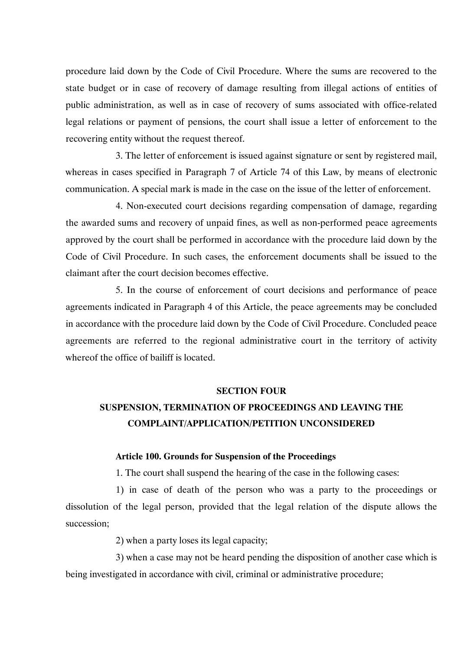procedure laid down by the Code of Civil Procedure. Where the sums are recovered to the state budget or in case of recovery of damage resulting from illegal actions of entities of public administration, as well as in case of recovery of sums associated with office-related legal relations or payment of pensions, the court shall issue a letter of enforcement to the recovering entity without the request thereof.

3. The letter of enforcement is issued against signature or sent by registered mail, whereas in cases specified in Paragraph 7 of Article 74 of this Law, by means of electronic communication. A special mark is made in the case on the issue of the letter of enforcement.

4. Non-executed court decisions regarding compensation of damage, regarding the awarded sums and recovery of unpaid fines, as well as non-performed peace agreements approved by the court shall be performed in accordance with the procedure laid down by the Code of Civil Procedure. In such cases, the enforcement documents shall be issued to the claimant after the court decision becomes effective.

5. In the course of enforcement of court decisions and performance of peace agreements indicated in Paragraph 4 of this Article, the peace agreements may be concluded in accordance with the procedure laid down by the Code of Civil Procedure. Concluded peace agreements are referred to the regional administrative court in the territory of activity whereof the office of bailiff is located.

#### **SECTION FOUR**

## **SUSPENSION, TERMINATION OF PROCEEDINGS AND LEAVING THE COMPLAINT/APPLICATION/PETITION UNCONSIDERED**

### **Article 100. Grounds for Suspension of the Proceedings**

1. The court shall suspend the hearing of the case in the following cases:

1) in case of death of the person who was a party to the proceedings or dissolution of the legal person, provided that the legal relation of the dispute allows the succession;

2) when a party loses its legal capacity;

3) when a case may not be heard pending the disposition of another case which is being investigated in accordance with civil, criminal or administrative procedure;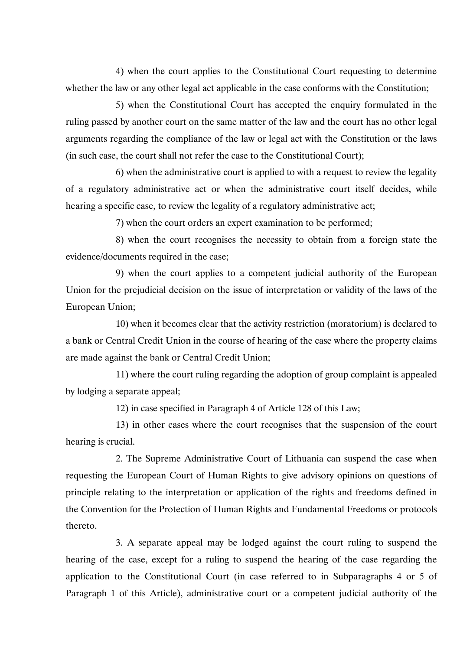4) when the court applies to the Constitutional Court requesting to determine whether the law or any other legal act applicable in the case conforms with the Constitution;

5) when the Constitutional Court has accepted the enquiry formulated in the ruling passed by another court on the same matter of the law and the court has no other legal arguments regarding the compliance of the law or legal act with the Constitution or the laws (in such case, the court shall not refer the case to the Constitutional Court);

6) when the administrative court is applied to with a request to review the legality of a regulatory administrative act or when the administrative court itself decides, while hearing a specific case, to review the legality of a regulatory administrative act;

7) when the court orders an expert examination to be performed;

8) when the court recognises the necessity to obtain from a foreign state the evidence/documents required in the case;

9) when the court applies to a competent judicial authority of the European Union for the prejudicial decision on the issue of interpretation or validity of the laws of the European Union;

10) when it becomes clear that the activity restriction (moratorium) is declared to a bank or Central Credit Union in the course of hearing of the case where the property claims are made against the bank or Central Credit Union;

11) where the court ruling regarding the adoption of group complaint is appealed by lodging a separate appeal;

12) in case specified in Paragraph 4 of Article 128 of this Law;

13) in other cases where the court recognises that the suspension of the court hearing is crucial.

2. The Supreme Administrative Court of Lithuania can suspend the case when requesting the European Court of Human Rights to give advisory opinions on questions of principle relating to the interpretation or application of the rights and freedoms defined in the Convention for the Protection of Human Rights and Fundamental Freedoms or protocols thereto.

3. A separate appeal may be lodged against the court ruling to suspend the hearing of the case, except for a ruling to suspend the hearing of the case regarding the application to the Constitutional Court (in case referred to in Subparagraphs 4 or 5 of Paragraph 1 of this Article), administrative court or a competent judicial authority of the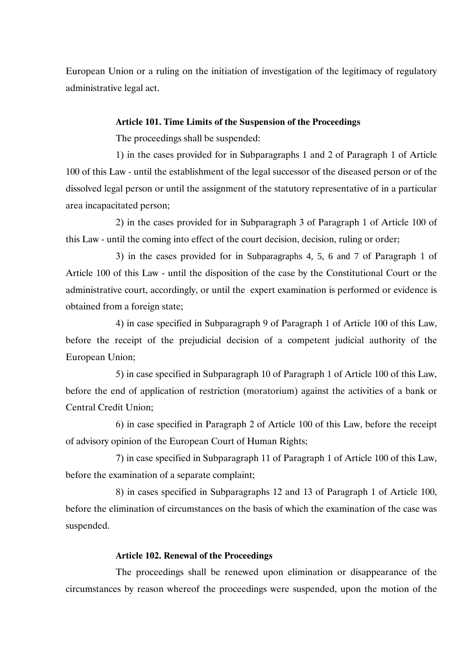European Union or a ruling on the initiation of investigation of the legitimacy of regulatory administrative legal act.

### **Article 101. Time Limits of the Suspension of the Proceedings**

The proceedings shall be suspended:

1) in the cases provided for in Subparagraphs 1 and 2 of Paragraph 1 of Article 100 of this Law - until the establishment of the legal successor of the diseased person or of the dissolved legal person or until the assignment of the statutory representative of in a particular area incapacitated person;

2) in the cases provided for in Subparagraph 3 of Paragraph 1 of Article 100 of this Law - until the coming into effect of the court decision, decision, ruling or order;

3) in the cases provided for in Subparagraphs 4, 5, 6 and 7 of Paragraph 1 of Article 100 of this Law - until the disposition of the case by the Constitutional Court or the administrative court, accordingly, or until the expert examination is performed or evidence is obtained from a foreign state;

4) in case specified in Subparagraph 9 of Paragraph 1 of Article 100 of this Law, before the receipt of the prejudicial decision of a competent judicial authority of the European Union;

5) in case specified in Subparagraph 10 of Paragraph 1 of Article 100 of this Law, before the end of application of restriction (moratorium) against the activities of a bank or Central Credit Union;

6) in case specified in Paragraph 2 of Article 100 of this Law, before the receipt of advisory opinion of the European Court of Human Rights;

7) in case specified in Subparagraph 11 of Paragraph 1 of Article 100 of this Law, before the examination of a separate complaint;

8) in cases specified in Subparagraphs 12 and 13 of Paragraph 1 of Article 100, before the elimination of circumstances on the basis of which the examination of the case was suspended.

### **Article 102. Renewal of the Proceedings**

The proceedings shall be renewed upon elimination or disappearance of the circumstances by reason whereof the proceedings were suspended, upon the motion of the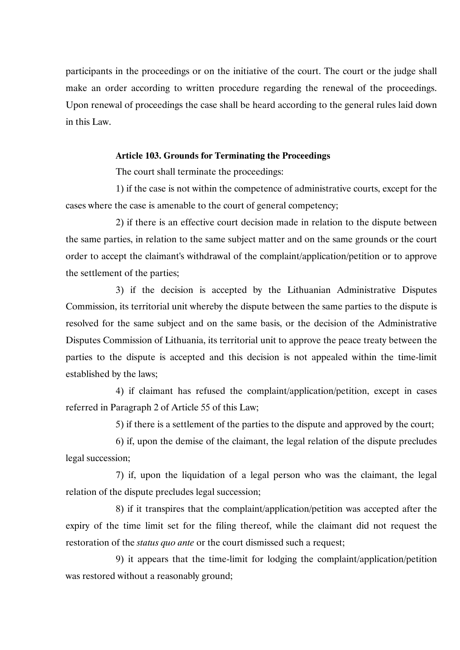participants in the proceedings or on the initiative of the court. The court or the judge shall make an order according to written procedure regarding the renewal of the proceedings. Upon renewal of proceedings the case shall be heard according to the general rules laid down in this Law.

### **Article 103. Grounds for Terminating the Proceedings**

The court shall terminate the proceedings:

1) if the case is not within the competence of administrative courts, except for the cases where the case is amenable to the court of general competency;

2) if there is an effective court decision made in relation to the dispute between the same parties, in relation to the same subject matter and on the same grounds or the court order to accept the claimant's withdrawal of the complaint/application/petition or to approve the settlement of the parties;

3) if the decision is accepted by the Lithuanian Administrative Disputes Commission, its territorial unit whereby the dispute between the same parties to the dispute is resolved for the same subject and on the same basis, or the decision of the Administrative Disputes Commission of Lithuania, its territorial unit to approve the peace treaty between the parties to the dispute is accepted and this decision is not appealed within the time-limit established by the laws;

4) if claimant has refused the complaint/application/petition, except in cases referred in Paragraph 2 of Article 55 of this Law;

5) if there is a settlement of the parties to the dispute and approved by the court;

6) if, upon the demise of the claimant, the legal relation of the dispute precludes legal succession;

7) if, upon the liquidation of a legal person who was the claimant, the legal relation of the dispute precludes legal succession;

8) if it transpires that the complaint/application/petition was accepted after the expiry of the time limit set for the filing thereof, while the claimant did not request the restoration of the *status quo ante* or the court dismissed such a request;

9) it appears that the time-limit for lodging the complaint/application/petition was restored without a reasonably ground;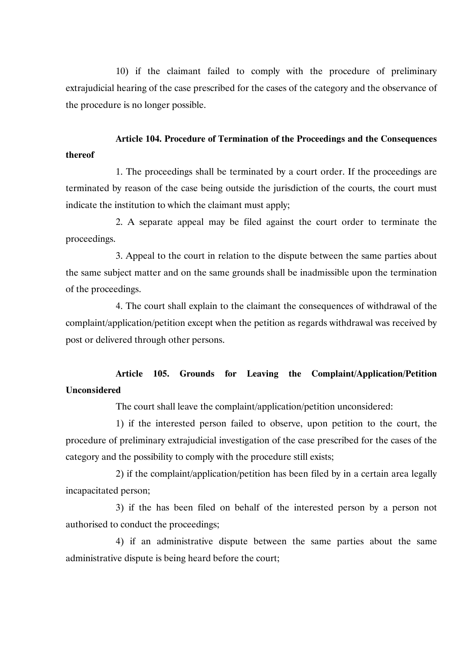10) if the claimant failed to comply with the procedure of preliminary extrajudicial hearing of the case prescribed for the cases of the category and the observance of the procedure is no longer possible.

## **Article 104. Procedure of Termination of the Proceedings and the Consequences thereof**

1. The proceedings shall be terminated by a court order. If the proceedings are terminated by reason of the case being outside the jurisdiction of the courts, the court must indicate the institution to which the claimant must apply;

2. A separate appeal may be filed against the court order to terminate the proceedings.

3. Appeal to the court in relation to the dispute between the same parties about the same subject matter and on the same grounds shall be inadmissible upon the termination of the proceedings.

4. The court shall explain to the claimant the consequences of withdrawal of the complaint/application/petition except when the petition as regards withdrawal was received by post or delivered through other persons.

## **Article 105. Grounds for Leaving the Complaint/Application/Petition Unconsidered**

The court shall leave the complaint/application/petition unconsidered:

1) if the interested person failed to observe, upon petition to the court, the procedure of preliminary extrajudicial investigation of the case prescribed for the cases of the category and the possibility to comply with the procedure still exists;

2) if the complaint/application/petition has been filed by in a certain area legally incapacitated person;

3) if the has been filed on behalf of the interested person by a person not authorised to conduct the proceedings;

4) if an administrative dispute between the same parties about the same administrative dispute is being heard before the court;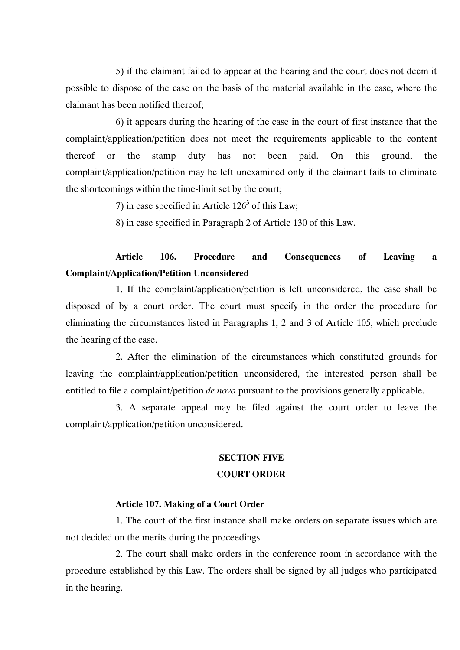5) if the claimant failed to appear at the hearing and the court does not deem it possible to dispose of the case on the basis of the material available in the case, where the claimant has been notified thereof;

6) it appears during the hearing of the case in the court of first instance that the complaint/application/petition does not meet the requirements applicable to the content thereof or the stamp duty has not been paid. On this ground, the complaint/application/petition may be left unexamined only if the claimant fails to eliminate the shortcomings within the time-limit set by the court;

7) in case specified in Article  $126<sup>3</sup>$  of this Law:

8) in case specified in Paragraph 2 of Article 130 of this Law.

## **Article 106. Procedure and Consequences of Leaving a Complaint/Application/Petition Unconsidered**

1. If the complaint/application/petition is left unconsidered, the case shall be disposed of by a court order. The court must specify in the order the procedure for eliminating the circumstances listed in Paragraphs 1, 2 and 3 of Article 105, which preclude the hearing of the case.

2. After the elimination of the circumstances which constituted grounds for leaving the complaint/application/petition unconsidered, the interested person shall be entitled to file a complaint/petition *de novo* pursuant to the provisions generally applicable.

3. A separate appeal may be filed against the court order to leave the complaint/application/petition unconsidered.

### **SECTION FIVE**

### **COURT ORDER**

### **Article 107. Making of a Court Order**

1. The court of the first instance shall make orders on separate issues which are not decided on the merits during the proceedings.

2. The court shall make orders in the conference room in accordance with the procedure established by this Law. The orders shall be signed by all judges who participated in the hearing.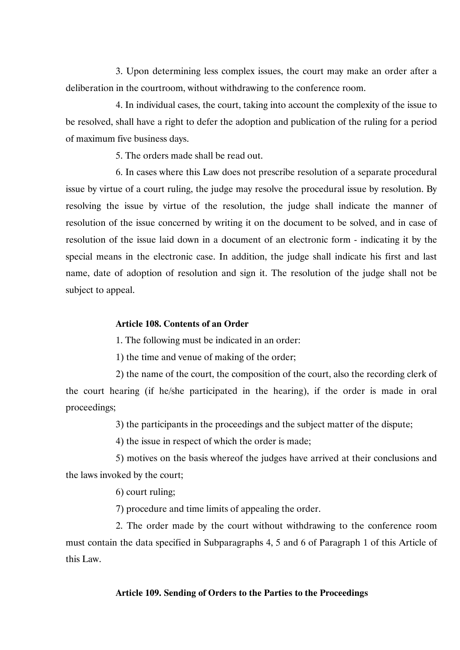3. Upon determining less complex issues, the court may make an order after a deliberation in the courtroom, without withdrawing to the conference room.

4. In individual cases, the court, taking into account the complexity of the issue to be resolved, shall have a right to defer the adoption and publication of the ruling for a period of maximum five business days.

5. The orders made shall be read out.

6. In cases where this Law does not prescribe resolution of a separate procedural issue by virtue of a court ruling, the judge may resolve the procedural issue by resolution. By resolving the issue by virtue of the resolution, the judge shall indicate the manner of resolution of the issue concerned by writing it on the document to be solved, and in case of resolution of the issue laid down in a document of an electronic form - indicating it by the special means in the electronic case. In addition, the judge shall indicate his first and last name, date of adoption of resolution and sign it. The resolution of the judge shall not be subject to appeal.

### **Article 108. Contents of an Order**

1. The following must be indicated in an order:

1) the time and venue of making of the order;

2) the name of the court, the composition of the court, also the recording clerk of the court hearing (if he/she participated in the hearing), if the order is made in oral proceedings;

3) the participants in the proceedings and the subject matter of the dispute;

4) the issue in respect of which the order is made;

5) motives on the basis whereof the judges have arrived at their conclusions and the laws invoked by the court;

6) court ruling;

7) procedure and time limits of appealing the order.

2. The order made by the court without withdrawing to the conference room must contain the data specified in Subparagraphs 4, 5 and 6 of Paragraph 1 of this Article of this Law.

### **Article 109. Sending of Orders to the Parties to the Proceedings**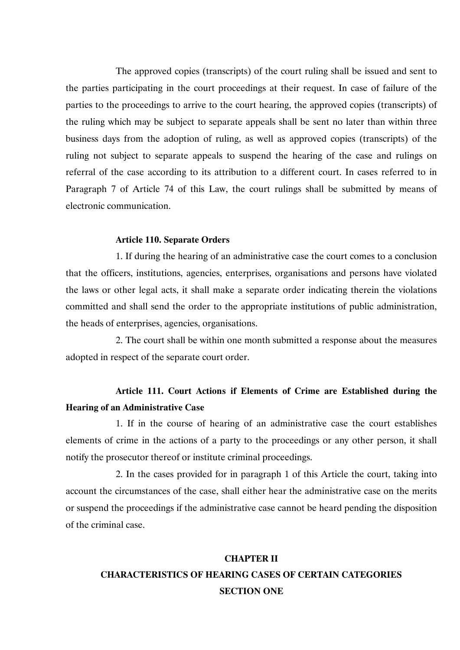The approved copies (transcripts) of the court ruling shall be issued and sent to the parties participating in the court proceedings at their request. In case of failure of the parties to the proceedings to arrive to the court hearing, the approved copies (transcripts) of the ruling which may be subject to separate appeals shall be sent no later than within three business days from the adoption of ruling, as well as approved copies (transcripts) of the ruling not subject to separate appeals to suspend the hearing of the case and rulings on referral of the case according to its attribution to a different court. In cases referred to in Paragraph 7 of Article 74 of this Law, the court rulings shall be submitted by means of electronic communication.

### **Article 110. Separate Orders**

1. If during the hearing of an administrative case the court comes to a conclusion that the officers, institutions, agencies, enterprises, organisations and persons have violated the laws or other legal acts, it shall make a separate order indicating therein the violations committed and shall send the order to the appropriate institutions of public administration, the heads of enterprises, agencies, organisations.

2. The court shall be within one month submitted a response about the measures adopted in respect of the separate court order.

## **Article 111. Court Actions if Elements of Crime are Established during the Hearing of an Administrative Case**

1. If in the course of hearing of an administrative case the court establishes elements of crime in the actions of a party to the proceedings or any other person, it shall notify the prosecutor thereof or institute criminal proceedings.

2. In the cases provided for in paragraph 1 of this Article the court, taking into account the circumstances of the case, shall either hear the administrative case on the merits or suspend the proceedings if the administrative case cannot be heard pending the disposition of the criminal case.

# **CHAPTER II CHARACTERISTICS OF HEARING CASES OF CERTAIN CATEGORIES SECTION ONE**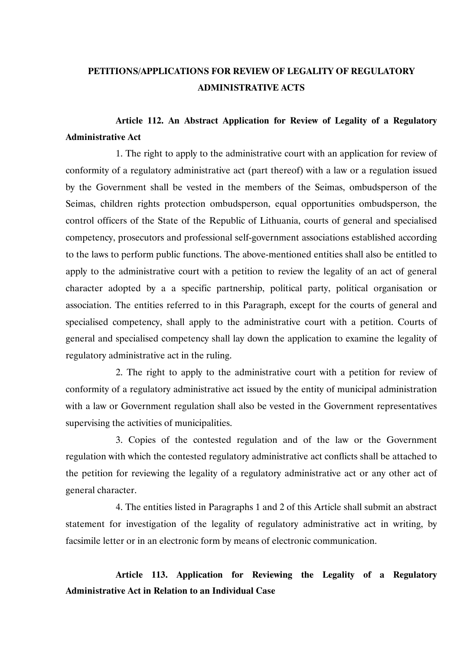## **PETITIONS/APPLICATIONS FOR REVIEW OF LEGALITY OF REGULATORY ADMINISTRATIVE ACTS**

## **Article 112. An Abstract Application for Review of Legality of a Regulatory Administrative Act**

1. The right to apply to the administrative court with an application for review of conformity of a regulatory administrative act (part thereof) with a law or a regulation issued by the Government shall be vested in the members of the Seimas, ombudsperson of the Seimas, children rights protection ombudsperson, equal opportunities ombudsperson, the control officers of the State of the Republic of Lithuania, courts of general and specialised competency, prosecutors and professional self-government associations established according to the laws to perform public functions. The above-mentioned entities shall also be entitled to apply to the administrative court with a petition to review the legality of an act of general character adopted by a a specific partnership, political party, political organisation or association. The entities referred to in this Paragraph, except for the courts of general and specialised competency, shall apply to the administrative court with a petition. Courts of general and specialised competency shall lay down the application to examine the legality of regulatory administrative act in the ruling.

2. The right to apply to the administrative court with a petition for review of conformity of a regulatory administrative act issued by the entity of municipal administration with a law or Government regulation shall also be vested in the Government representatives supervising the activities of municipalities.

3. Copies of the contested regulation and of the law or the Government regulation with which the contested regulatory administrative act conflicts shall be attached to the petition for reviewing the legality of a regulatory administrative act or any other act of general character.

4. The entities listed in Paragraphs 1 and 2 of this Article shall submit an abstract statement for investigation of the legality of regulatory administrative act in writing, by facsimile letter or in an electronic form by means of electronic communication.

## **Article 113. Application for Reviewing the Legality of a Regulatory Administrative Act in Relation to an Individual Case**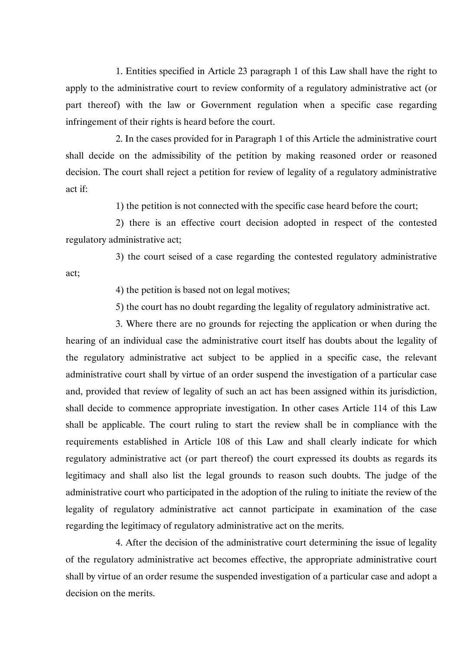1. Entities specified in Article 23 paragraph 1 of this Law shall have the right to apply to the administrative court to review conformity of a regulatory administrative act (or part thereof) with the law or Government regulation when a specific case regarding infringement of their rights is heard before the court.

2. In the cases provided for in Paragraph 1 of this Article the administrative court shall decide on the admissibility of the petition by making reasoned order or reasoned decision. The court shall reject a petition for review of legality of a regulatory administrative act if:

1) the petition is not connected with the specific case heard before the court;

2) there is an effective court decision adopted in respect of the contested regulatory administrative act;

3) the court seised of a case regarding the contested regulatory administrative act;

4) the petition is based not on legal motives;

5) the court has no doubt regarding the legality of regulatory administrative act.

3. Where there are no grounds for rejecting the application or when during the hearing of an individual case the administrative court itself has doubts about the legality of the regulatory administrative act subject to be applied in a specific case, the relevant administrative court shall by virtue of an order suspend the investigation of a particular case and, provided that review of legality of such an act has been assigned within its jurisdiction, shall decide to commence appropriate investigation. In other cases Article 114 of this Law shall be applicable. The court ruling to start the review shall be in compliance with the requirements established in Article 108 of this Law and shall clearly indicate for which regulatory administrative act (or part thereof) the court expressed its doubts as regards its legitimacy and shall also list the legal grounds to reason such doubts. The judge of the administrative court who participated in the adoption of the ruling to initiate the review of the legality of regulatory administrative act cannot participate in examination of the case regarding the legitimacy of regulatory administrative act on the merits.

4. After the decision of the administrative court determining the issue of legality of the regulatory administrative act becomes effective, the appropriate administrative court shall by virtue of an order resume the suspended investigation of a particular case and adopt a decision on the merits.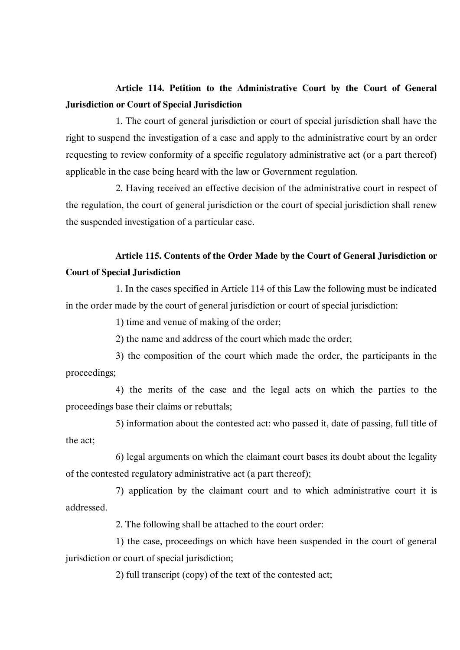## **Article 114. Petition to the Administrative Court by the Court of General Jurisdiction or Court of Special Jurisdiction**

1. The court of general jurisdiction or court of special jurisdiction shall have the right to suspend the investigation of a case and apply to the administrative court by an order requesting to review conformity of a specific regulatory administrative act (or a part thereof) applicable in the case being heard with the law or Government regulation.

2. Having received an effective decision of the administrative court in respect of the regulation, the court of general jurisdiction or the court of special jurisdiction shall renew the suspended investigation of a particular case.

## **Article 115. Contents of the Order Made by the Court of General Jurisdiction or Court of Special Jurisdiction**

1. In the cases specified in Article 114 of this Law the following must be indicated in the order made by the court of general jurisdiction or court of special jurisdiction:

1) time and venue of making of the order;

2) the name and address of the court which made the order;

3) the composition of the court which made the order, the participants in the proceedings;

4) the merits of the case and the legal acts on which the parties to the proceedings base their claims or rebuttals;

5) information about the contested act: who passed it, date of passing, full title of the act;

6) legal arguments on which the claimant court bases its doubt about the legality of the contested regulatory administrative act (a part thereof);

7) application by the claimant court and to which administrative court it is addressed.

2. The following shall be attached to the court order:

1) the case, proceedings on which have been suspended in the court of general jurisdiction or court of special jurisdiction;

2) full transcript (copy) of the text of the contested act;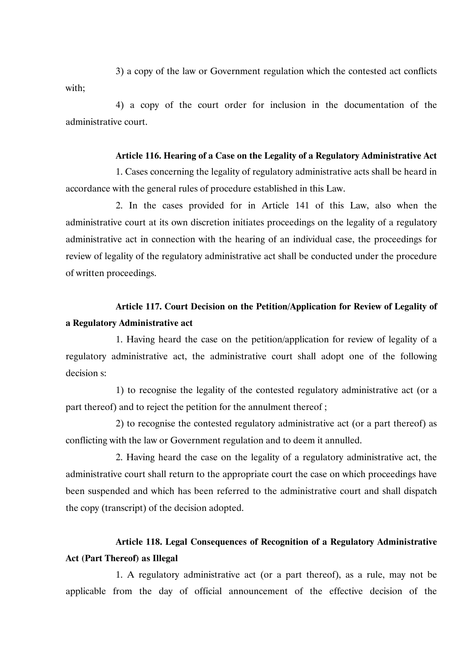3) a copy of the law or Government regulation which the contested act conflicts with;

4) a copy of the court order for inclusion in the documentation of the administrative court.

### **Article 116. Hearing of a Case on the Legality of a Regulatory Administrative Act**

1. Cases concerning the legality of regulatory administrative acts shall be heard in accordance with the general rules of procedure established in this Law.

2. In the cases provided for in Article 141 of this Law, also when the administrative court at its own discretion initiates proceedings on the legality of a regulatory administrative act in connection with the hearing of an individual case, the proceedings for review of legality of the regulatory administrative act shall be conducted under the procedure of written proceedings.

## **Article 117. Court Decision on the Petition/Application for Review of Legality of a Regulatory Administrative act**

1. Having heard the case on the petition/application for review of legality of a regulatory administrative act, the administrative court shall adopt one of the following decision s:

1) to recognise the legality of the contested regulatory administrative act (or a part thereof) and to reject the petition for the annulment thereof ;

2) to recognise the contested regulatory administrative act (or a part thereof) as conflicting with the law or Government regulation and to deem it annulled.

2. Having heard the case on the legality of a regulatory administrative act, the administrative court shall return to the appropriate court the case on which proceedings have been suspended and which has been referred to the administrative court and shall dispatch the copy (transcript) of the decision adopted.

## **Article 118. Legal Consequences of Recognition of a Regulatory Administrative Act (Part Thereof) as Illegal**

1. A regulatory administrative act (or a part thereof), as a rule, may not be applicable from the day of official announcement of the effective decision of the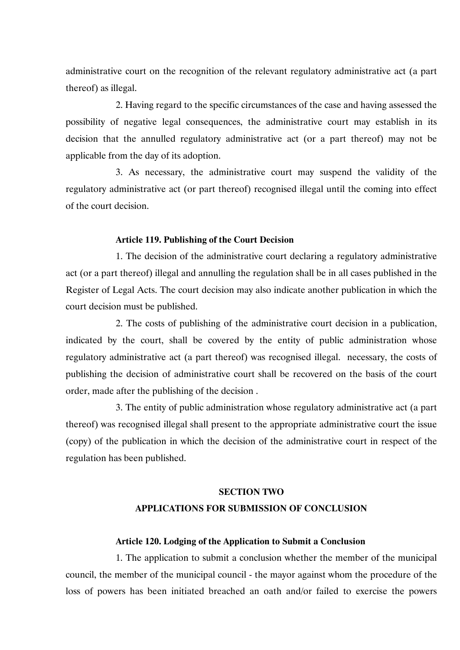administrative court on the recognition of the relevant regulatory administrative act (a part thereof) as illegal.

2. Having regard to the specific circumstances of the case and having assessed the possibility of negative legal consequences, the administrative court may establish in its decision that the annulled regulatory administrative act (or a part thereof) may not be applicable from the day of its adoption.

3. As necessary, the administrative court may suspend the validity of the regulatory administrative act (or part thereof) recognised illegal until the coming into effect of the court decision.

### **Article 119. Publishing of the Court Decision**

1. The decision of the administrative court declaring a regulatory administrative act (or a part thereof) illegal and annulling the regulation shall be in all cases published in the Register of Legal Acts. The court decision may also indicate another publication in which the court decision must be published.

2. The costs of publishing of the administrative court decision in a publication, indicated by the court, shall be covered by the entity of public administration whose regulatory administrative act (a part thereof) was recognised illegal. necessary, the costs of publishing the decision of administrative court shall be recovered on the basis of the court order, made after the publishing of the decision .

3. The entity of public administration whose regulatory administrative act (a part thereof) was recognised illegal shall present to the appropriate administrative court the issue (copy) of the publication in which the decision of the administrative court in respect of the regulation has been published.

### **SECTION TWO**

### **APPLICATIONS FOR SUBMISSION OF CONCLUSION**

#### **Article 120. Lodging of the Application to Submit a Conclusion**

1. The application to submit a conclusion whether the member of the municipal council, the member of the municipal council - the mayor against whom the procedure of the loss of powers has been initiated breached an oath and/or failed to exercise the powers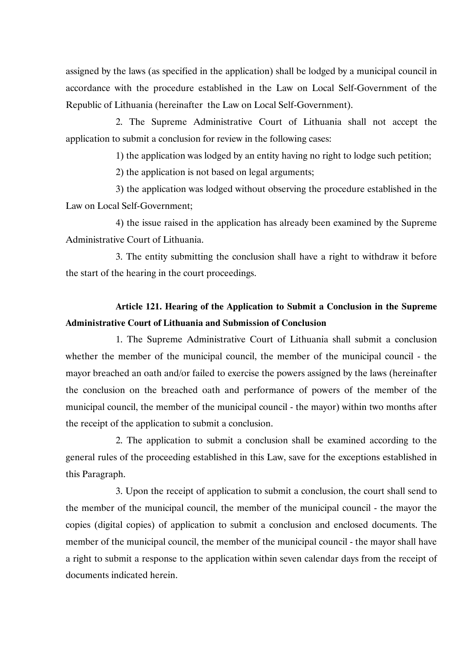assigned by the laws (as specified in the application) shall be lodged by a municipal council in accordance with the procedure established in the Law on Local Self-Government of the Republic of Lithuania (hereinafter the Law on Local Self-Government).

2. The Supreme Administrative Court of Lithuania shall not accept the application to submit a conclusion for review in the following cases:

1) the application was lodged by an entity having no right to lodge such petition;

2) the application is not based on legal arguments;

3) the application was lodged without observing the procedure established in the Law on Local Self-Government;

4) the issue raised in the application has already been examined by the Supreme Administrative Court of Lithuania.

3. The entity submitting the conclusion shall have a right to withdraw it before the start of the hearing in the court proceedings.

# **Article 121. Hearing of the Application to Submit a Conclusion in the Supreme Administrative Court of Lithuania and Submission of Conclusion**

1. The Supreme Administrative Court of Lithuania shall submit a conclusion whether the member of the municipal council, the member of the municipal council - the mayor breached an oath and/or failed to exercise the powers assigned by the laws (hereinafter the conclusion on the breached oath and performance of powers of the member of the municipal council, the member of the municipal council - the mayor) within two months after the receipt of the application to submit a conclusion.

2. The application to submit a conclusion shall be examined according to the general rules of the proceeding established in this Law, save for the exceptions established in this Paragraph.

3. Upon the receipt of application to submit a conclusion, the court shall send to the member of the municipal council, the member of the municipal council - the mayor the copies (digital copies) of application to submit a conclusion and enclosed documents. The member of the municipal council, the member of the municipal council - the mayor shall have a right to submit a response to the application within seven calendar days from the receipt of documents indicated herein.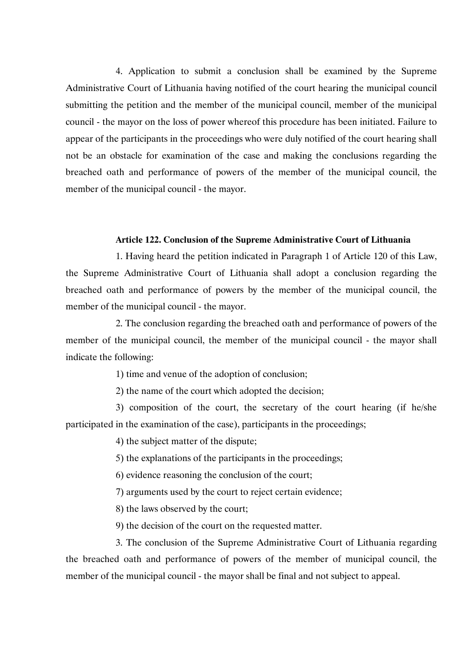4. Application to submit a conclusion shall be examined by the Supreme Administrative Court of Lithuania having notified of the court hearing the municipal council submitting the petition and the member of the municipal council, member of the municipal council - the mayor on the loss of power whereof this procedure has been initiated. Failure to appear of the participants in the proceedings who were duly notified of the court hearing shall not be an obstacle for examination of the case and making the conclusions regarding the breached oath and performance of powers of the member of the municipal council, the member of the municipal council - the mayor.

### **Article 122. Conclusion of the Supreme Administrative Court of Lithuania**

1. Having heard the petition indicated in Paragraph 1 of Article 120 of this Law, the Supreme Administrative Court of Lithuania shall adopt a conclusion regarding the breached oath and performance of powers by the member of the municipal council, the member of the municipal council - the mayor.

2. The conclusion regarding the breached oath and performance of powers of the member of the municipal council, the member of the municipal council - the mayor shall indicate the following:

1) time and venue of the adoption of conclusion;

2) the name of the court which adopted the decision;

3) composition of the court, the secretary of the court hearing (if he/she participated in the examination of the case), participants in the proceedings;

4) the subject matter of the dispute;

5) the explanations of the participants in the proceedings;

6) evidence reasoning the conclusion of the court;

7) arguments used by the court to reject certain evidence;

8) the laws observed by the court;

9) the decision of the court on the requested matter.

3. The conclusion of the Supreme Administrative Court of Lithuania regarding the breached oath and performance of powers of the member of municipal council, the member of the municipal council - the mayor shall be final and not subject to appeal.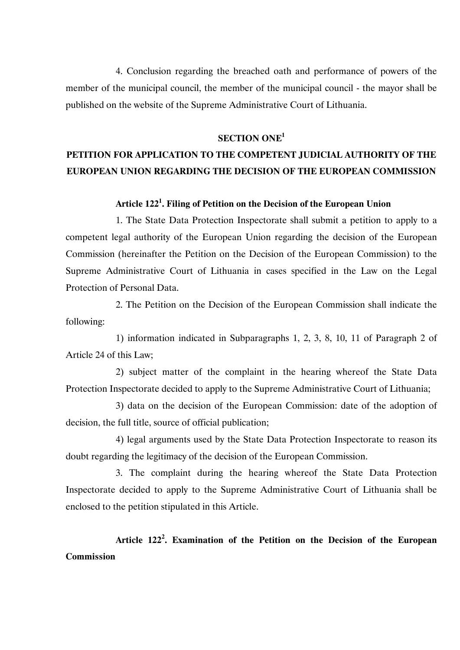4. Conclusion regarding the breached oath and performance of powers of the member of the municipal council, the member of the municipal council - the mayor shall be published on the website of the Supreme Administrative Court of Lithuania.

### **SECTION ONE1**

# **PETITION FOR APPLICATION TO THE COMPETENT JUDICIAL AUTHORITY OF THE EUROPEAN UNION REGARDING THE DECISION OF THE EUROPEAN COMMISSION**

### **Article 1221 . Filing of Petition on the Decision of the European Union**

1. The State Data Protection Inspectorate shall submit a petition to apply to a competent legal authority of the European Union regarding the decision of the European Commission (hereinafter the Petition on the Decision of the European Commission) to the Supreme Administrative Court of Lithuania in cases specified in the Law on the Legal Protection of Personal Data.

2. The Petition on the Decision of the European Commission shall indicate the following:

1) information indicated in Subparagraphs 1, 2, 3, 8, 10, 11 of Paragraph 2 of Article 24 of this Law;

2) subject matter of the complaint in the hearing whereof the State Data Protection Inspectorate decided to apply to the Supreme Administrative Court of Lithuania;

3) data on the decision of the European Commission: date of the adoption of decision, the full title, source of official publication;

4) legal arguments used by the State Data Protection Inspectorate to reason its doubt regarding the legitimacy of the decision of the European Commission.

3. The complaint during the hearing whereof the State Data Protection Inspectorate decided to apply to the Supreme Administrative Court of Lithuania shall be enclosed to the petition stipulated in this Article.

**Article 122<sup>2</sup> . Examination of the Petition on the Decision of the European Commission**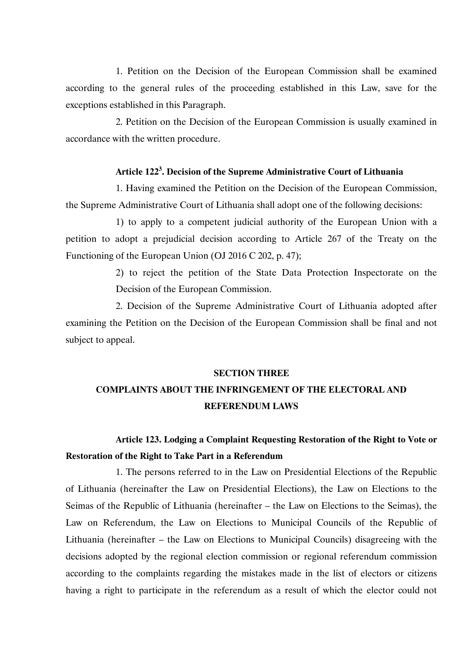1. Petition on the Decision of the European Commission shall be examined according to the general rules of the proceeding established in this Law, save for the exceptions established in this Paragraph.

2. Petition on the Decision of the European Commission is usually examined in accordance with the written procedure.

### **Article 1223 . Decision of the Supreme Administrative Court of Lithuania**

1. Having examined the Petition on the Decision of the European Commission, the Supreme Administrative Court of Lithuania shall adopt one of the following decisions:

1) to apply to a competent judicial authority of the European Union with a petition to adopt a prejudicial decision according to Article 267 of the Treaty on the Functioning of the European Union (OJ 2016 C 202, p. 47);

> 2) to reject the petition of the State Data Protection Inspectorate on the Decision of the European Commission.

2. Decision of the Supreme Administrative Court of Lithuania adopted after examining the Petition on the Decision of the European Commission shall be final and not subject to appeal.

#### **SECTION THREE**

## **COMPLAINTS ABOUT THE INFRINGEMENT OF THE ELECTORAL AND REFERENDUM LAWS**

# **Article 123. Lodging a Complaint Requesting Restoration of the Right to Vote or Restoration of the Right to Take Part in a Referendum**

1. The persons referred to in the Law on Presidential Elections of the Republic of Lithuania (hereinafter the Law on Presidential Elections), the Law on Elections to the Seimas of the Republic of Lithuania (hereinafter – the Law on Elections to the Seimas), the Law on Referendum, the Law on Elections to Municipal Councils of the Republic of Lithuania (hereinafter – the Law on Elections to Municipal Councils) disagreeing with the decisions adopted by the regional election commission or regional referendum commission according to the complaints regarding the mistakes made in the list of electors or citizens having a right to participate in the referendum as a result of which the elector could not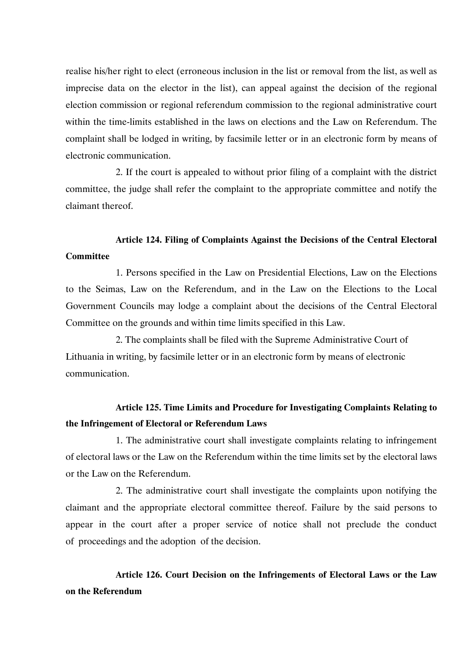realise his/her right to elect (erroneous inclusion in the list or removal from the list, as well as imprecise data on the elector in the list), can appeal against the decision of the regional election commission or regional referendum commission to the regional administrative court within the time-limits established in the laws on elections and the Law on Referendum. The complaint shall be lodged in writing, by facsimile letter or in an electronic form by means of electronic communication.

2. If the court is appealed to without prior filing of a complaint with the district committee, the judge shall refer the complaint to the appropriate committee and notify the claimant thereof.

## **Article 124. Filing of Complaints Against the Decisions of the Central Electoral Committee**

1. Persons specified in the Law on Presidential Elections, Law on the Elections to the Seimas, Law on the Referendum, and in the Law on the Elections to the Local Government Councils may lodge a complaint about the decisions of the Central Electoral Committee on the grounds and within time limits specified in this Law.

2. The complaints shall be filed with the Supreme Administrative Court of Lithuania in writing, by facsimile letter or in an electronic form by means of electronic communication.

## **Article 125. Time Limits and Procedure for Investigating Complaints Relating to the Infringement of Electoral or Referendum Laws**

1. The administrative court shall investigate complaints relating to infringement of electoral laws or the Law on the Referendum within the time limits set by the electoral laws or the Law on the Referendum.

2. The administrative court shall investigate the complaints upon notifying the claimant and the appropriate electoral committee thereof. Failure by the said persons to appear in the court after a proper service of notice shall not preclude the conduct of proceedings and the adoption of the decision.

**Article 126. Court Decision on the Infringements of Electoral Laws or the Law on the Referendum**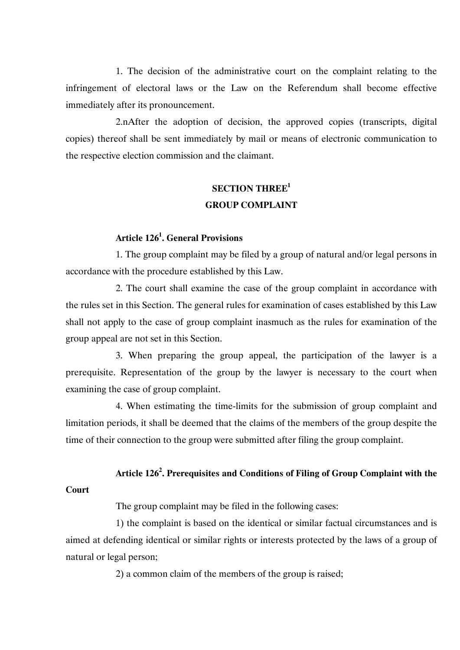1. The decision of the administrative court on the complaint relating to the infringement of electoral laws or the Law on the Referendum shall become effective immediately after its pronouncement.

2.nAfter the adoption of decision, the approved copies (transcripts, digital copies) thereof shall be sent immediately by mail or means of electronic communication to the respective election commission and the claimant.

## **SECTION THREE1 GROUP COMPLAINT**

### **Article 1261 . General Provisions**

1. The group complaint may be filed by a group of natural and/or legal persons in accordance with the procedure established by this Law.

2. The court shall examine the case of the group complaint in accordance with the rules set in this Section. The general rules for examination of cases established by this Law shall not apply to the case of group complaint inasmuch as the rules for examination of the group appeal are not set in this Section.

3. When preparing the group appeal, the participation of the lawyer is a prerequisite. Representation of the group by the lawyer is necessary to the court when examining the case of group complaint.

4. When estimating the time-limits for the submission of group complaint and limitation periods, it shall be deemed that the claims of the members of the group despite the time of their connection to the group were submitted after filing the group complaint.

### **Article 126<sup>2</sup> . Prerequisites and Conditions of Filing of Group Complaint with the**

### **Court**

The group complaint may be filed in the following cases:

1) the complaint is based on the identical or similar factual circumstances and is aimed at defending identical or similar rights or interests protected by the laws of a group of natural or legal person;

2) a common claim of the members of the group is raised;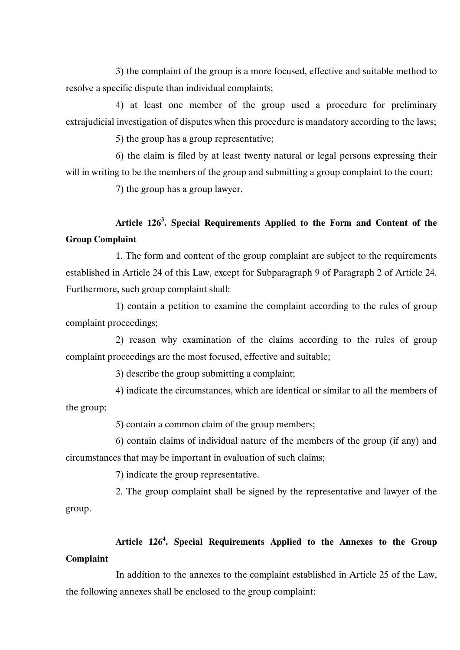3) the complaint of the group is a more focused, effective and suitable method to resolve a specific dispute than individual complaints;

4) at least one member of the group used a procedure for preliminary extrajudicial investigation of disputes when this procedure is mandatory according to the laws;

5) the group has a group representative;

6) the claim is filed by at least twenty natural or legal persons expressing their will in writing to be the members of the group and submitting a group complaint to the court;

7) the group has a group lawyer.

# **Article 1263 . Special Requirements Applied to the Form and Content of the Group Complaint**

1. The form and content of the group complaint are subject to the requirements established in Article 24 of this Law, except for Subparagraph 9 of Paragraph 2 of Article 24. Furthermore, such group complaint shall:

1) contain a petition to examine the complaint according to the rules of group complaint proceedings;

2) reason why examination of the claims according to the rules of group complaint proceedings are the most focused, effective and suitable;

3) describe the group submitting a complaint;

4) indicate the circumstances, which are identical or similar to all the members of the group;

5) contain a common claim of the group members;

6) contain claims of individual nature of the members of the group (if any) and circumstances that may be important in evaluation of such claims;

7) indicate the group representative.

2. The group complaint shall be signed by the representative and lawyer of the group.

# **Article 1264 . Special Requirements Applied to the Annexes to the Group Complaint**

In addition to the annexes to the complaint established in Article 25 of the Law, the following annexes shall be enclosed to the group complaint: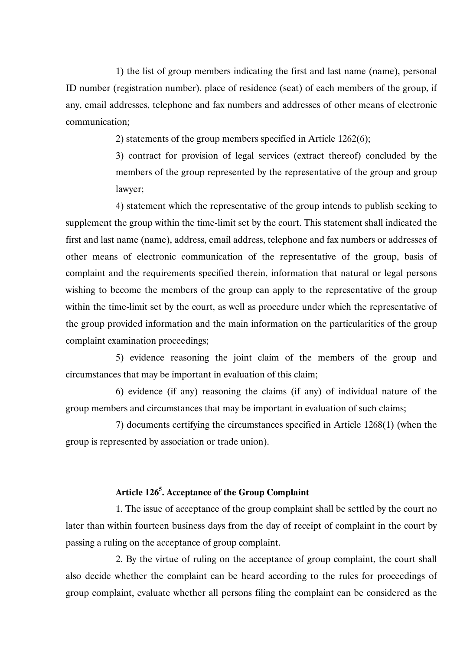1) the list of group members indicating the first and last name (name), personal ID number (registration number), place of residence (seat) of each members of the group, if any, email addresses, telephone and fax numbers and addresses of other means of electronic communication;

2) statements of the group members specified in Article 1262(6);

3) contract for provision of legal services (extract thereof) concluded by the members of the group represented by the representative of the group and group lawyer;

4) statement which the representative of the group intends to publish seeking to supplement the group within the time-limit set by the court. This statement shall indicated the first and last name (name), address, email address, telephone and fax numbers or addresses of other means of electronic communication of the representative of the group, basis of complaint and the requirements specified therein, information that natural or legal persons wishing to become the members of the group can apply to the representative of the group within the time-limit set by the court, as well as procedure under which the representative of the group provided information and the main information on the particularities of the group complaint examination proceedings;

5) evidence reasoning the joint claim of the members of the group and circumstances that may be important in evaluation of this claim;

6) evidence (if any) reasoning the claims (if any) of individual nature of the group members and circumstances that may be important in evaluation of such claims;

7) documents certifying the circumstances specified in Article 1268(1) (when the group is represented by association or trade union).

### **Article 1265 . Acceptance of the Group Complaint**

1. The issue of acceptance of the group complaint shall be settled by the court no later than within fourteen business days from the day of receipt of complaint in the court by passing a ruling on the acceptance of group complaint.

2. By the virtue of ruling on the acceptance of group complaint, the court shall also decide whether the complaint can be heard according to the rules for proceedings of group complaint, evaluate whether all persons filing the complaint can be considered as the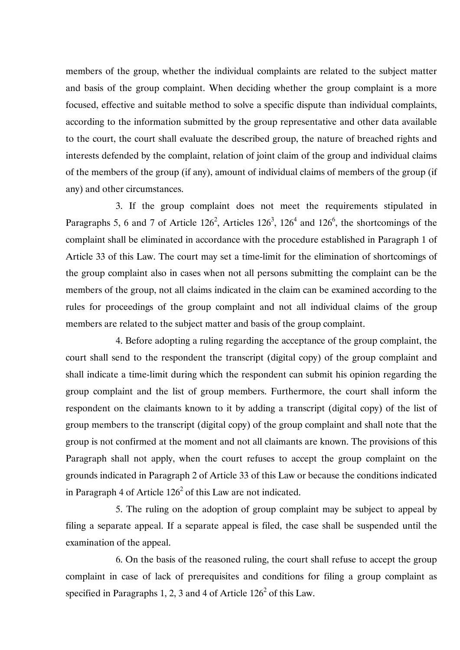members of the group, whether the individual complaints are related to the subject matter and basis of the group complaint. When deciding whether the group complaint is a more focused, effective and suitable method to solve a specific dispute than individual complaints, according to the information submitted by the group representative and other data available to the court, the court shall evaluate the described group, the nature of breached rights and interests defended by the complaint, relation of joint claim of the group and individual claims of the members of the group (if any), amount of individual claims of members of the group (if any) and other circumstances.

3. If the group complaint does not meet the requirements stipulated in Paragraphs 5, 6 and 7 of Article  $126^2$ , Articles  $126^3$ ,  $126^4$  and  $126^6$ , the shortcomings of the complaint shall be eliminated in accordance with the procedure established in Paragraph 1 of Article 33 of this Law. The court may set a time-limit for the elimination of shortcomings of the group complaint also in cases when not all persons submitting the complaint can be the members of the group, not all claims indicated in the claim can be examined according to the rules for proceedings of the group complaint and not all individual claims of the group members are related to the subject matter and basis of the group complaint.

4. Before adopting a ruling regarding the acceptance of the group complaint, the court shall send to the respondent the transcript (digital copy) of the group complaint and shall indicate a time-limit during which the respondent can submit his opinion regarding the group complaint and the list of group members. Furthermore, the court shall inform the respondent on the claimants known to it by adding a transcript (digital copy) of the list of group members to the transcript (digital copy) of the group complaint and shall note that the group is not confirmed at the moment and not all claimants are known. The provisions of this Paragraph shall not apply, when the court refuses to accept the group complaint on the grounds indicated in Paragraph 2 of Article 33 of this Law or because the conditions indicated in Paragraph 4 of Article  $126<sup>2</sup>$  of this Law are not indicated.

5. The ruling on the adoption of group complaint may be subject to appeal by filing a separate appeal. If a separate appeal is filed, the case shall be suspended until the examination of the appeal.

6. On the basis of the reasoned ruling, the court shall refuse to accept the group complaint in case of lack of prerequisites and conditions for filing a group complaint as specified in Paragraphs 1, 2, 3 and 4 of Article  $126<sup>2</sup>$  of this Law.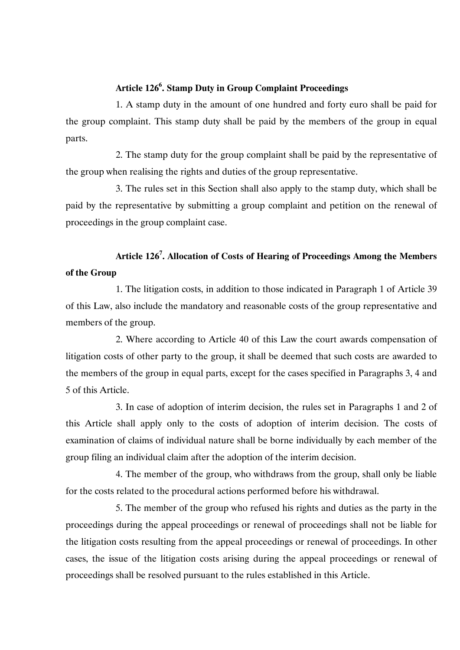### **Article 1266 . Stamp Duty in Group Complaint Proceedings**

1. A stamp duty in the amount of one hundred and forty euro shall be paid for the group complaint. This stamp duty shall be paid by the members of the group in equal parts.

2. The stamp duty for the group complaint shall be paid by the representative of the group when realising the rights and duties of the group representative.

3. The rules set in this Section shall also apply to the stamp duty, which shall be paid by the representative by submitting a group complaint and petition on the renewal of proceedings in the group complaint case.

# **Article 1267 . Allocation of Costs of Hearing of Proceedings Among the Members of the Group**

1. The litigation costs, in addition to those indicated in Paragraph 1 of Article 39 of this Law, also include the mandatory and reasonable costs of the group representative and members of the group.

2. Where according to Article 40 of this Law the court awards compensation of litigation costs of other party to the group, it shall be deemed that such costs are awarded to the members of the group in equal parts, except for the cases specified in Paragraphs 3, 4 and 5 of this Article.

3. In case of adoption of interim decision, the rules set in Paragraphs 1 and 2 of this Article shall apply only to the costs of adoption of interim decision. The costs of examination of claims of individual nature shall be borne individually by each member of the group filing an individual claim after the adoption of the interim decision.

4. The member of the group, who withdraws from the group, shall only be liable for the costs related to the procedural actions performed before his withdrawal.

5. The member of the group who refused his rights and duties as the party in the proceedings during the appeal proceedings or renewal of proceedings shall not be liable for the litigation costs resulting from the appeal proceedings or renewal of proceedings. In other cases, the issue of the litigation costs arising during the appeal proceedings or renewal of proceedings shall be resolved pursuant to the rules established in this Article.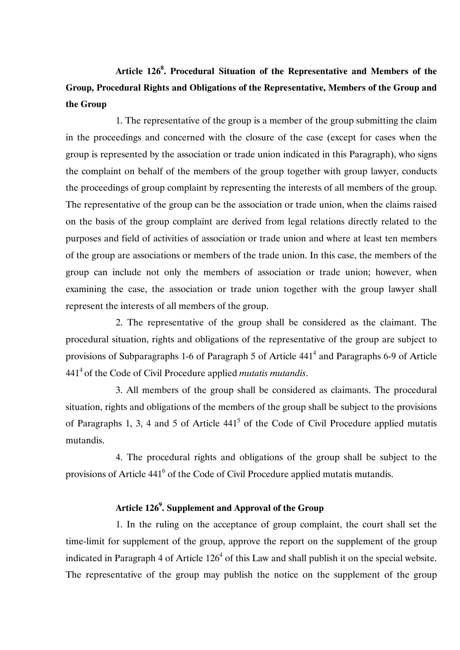# **Article 1268 . Procedural Situation of the Representative and Members of the Group, Procedural Rights and Obligations of the Representative, Members of the Group and the Group**

1. The representative of the group is a member of the group submitting the claim in the proceedings and concerned with the closure of the case (except for cases when the group is represented by the association or trade union indicated in this Paragraph), who signs the complaint on behalf of the members of the group together with group lawyer, conducts the proceedings of group complaint by representing the interests of all members of the group. The representative of the group can be the association or trade union, when the claims raised on the basis of the group complaint are derived from legal relations directly related to the purposes and field of activities of association or trade union and where at least ten members of the group are associations or members of the trade union. In this case, the members of the group can include not only the members of association or trade union; however, when examining the case, the association or trade union together with the group lawyer shall represent the interests of all members of the group.

2. The representative of the group shall be considered as the claimant. The procedural situation, rights and obligations of the representative of the group are subject to provisions of Subparagraphs 1-6 of Paragraph 5 of Article  $441<sup>4</sup>$  and Paragraphs 6-9 of Article 4414 of the Code of Civil Procedure applied *mutatis mutandis*.

3. All members of the group shall be considered as claimants. The procedural situation, rights and obligations of the members of the group shall be subject to the provisions of Paragraphs 1, 3, 4 and 5 of Article  $441<sup>5</sup>$  of the Code of Civil Procedure applied mutatis mutandis.

4. The procedural rights and obligations of the group shall be subject to the provisions of Article 441<sup>6</sup> of the Code of Civil Procedure applied mutatis mutandis.

### **Article 1269 . Supplement and Approval of the Group**

1. In the ruling on the acceptance of group complaint, the court shall set the time-limit for supplement of the group, approve the report on the supplement of the group indicated in Paragraph 4 of Article  $126<sup>4</sup>$  of this Law and shall publish it on the special website. The representative of the group may publish the notice on the supplement of the group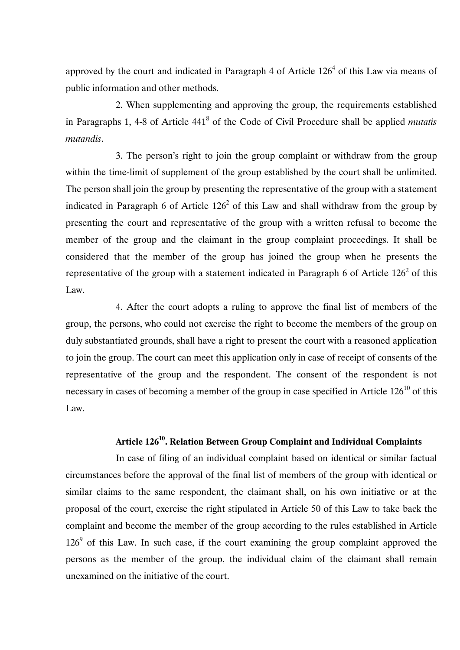approved by the court and indicated in Paragraph 4 of Article  $126<sup>4</sup>$  of this Law via means of public information and other methods.

2. When supplementing and approving the group, the requirements established in Paragraphs 1, 4-8 of Article 4418 of the Code of Civil Procedure shall be applied *mutatis mutandis*.

3. The person's right to join the group complaint or withdraw from the group within the time-limit of supplement of the group established by the court shall be unlimited. The person shall join the group by presenting the representative of the group with a statement indicated in Paragraph 6 of Article  $126<sup>2</sup>$  of this Law and shall withdraw from the group by presenting the court and representative of the group with a written refusal to become the member of the group and the claimant in the group complaint proceedings. It shall be considered that the member of the group has joined the group when he presents the representative of the group with a statement indicated in Paragraph 6 of Article  $126<sup>2</sup>$  of this Law.

4. After the court adopts a ruling to approve the final list of members of the group, the persons, who could not exercise the right to become the members of the group on duly substantiated grounds, shall have a right to present the court with a reasoned application to join the group. The court can meet this application only in case of receipt of consents of the representative of the group and the respondent. The consent of the respondent is not necessary in cases of becoming a member of the group in case specified in Article  $126^{10}$  of this Law.

## **Article 12610. Relation Between Group Complaint and Individual Complaints**

In case of filing of an individual complaint based on identical or similar factual circumstances before the approval of the final list of members of the group with identical or similar claims to the same respondent, the claimant shall, on his own initiative or at the proposal of the court, exercise the right stipulated in Article 50 of this Law to take back the complaint and become the member of the group according to the rules established in Article  $126<sup>9</sup>$  of this Law. In such case, if the court examining the group complaint approved the persons as the member of the group, the individual claim of the claimant shall remain unexamined on the initiative of the court.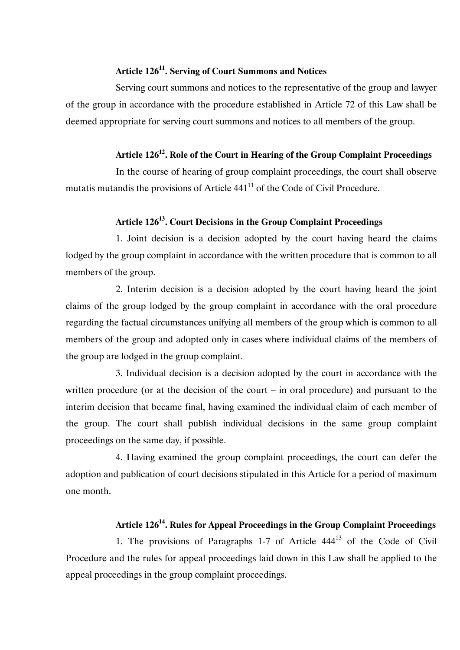### **Article 12611. Serving of Court Summons and Notices**

Serving court summons and notices to the representative of the group and lawyer of the group in accordance with the procedure established in Article 72 of this Law shall be deemed appropriate for serving court summons and notices to all members of the group.

### Article 126<sup>12</sup>. Role of the Court in Hearing of the Group Complaint Proceedings

In the course of hearing of group complaint proceedings, the court shall observe mutatis mutandis the provisions of Article  $441<sup>11</sup>$  of the Code of Civil Procedure.

### **Article 12613. Court Decisions in the Group Complaint Proceedings**

1. Joint decision is a decision adopted by the court having heard the claims lodged by the group complaint in accordance with the written procedure that is common to all members of the group.

2. Interim decision is a decision adopted by the court having heard the joint claims of the group lodged by the group complaint in accordance with the oral procedure regarding the factual circumstances unifying all members of the group which is common to all members of the group and adopted only in cases where individual claims of the members of the group are lodged in the group complaint.

3. Individual decision is a decision adopted by the court in accordance with the written procedure (or at the decision of the court – in oral procedure) and pursuant to the interim decision that became final, having examined the individual claim of each member of the group. The court shall publish individual decisions in the same group complaint proceedings on the same day, if possible.

4. Having examined the group complaint proceedings, the court can defer the adoption and publication of court decisions stipulated in this Article for a period of maximum one month.

## **Article 12614. Rules for Appeal Proceedings in the Group Complaint Proceedings**

1. The provisions of Paragraphs  $1-7$  of Article  $444<sup>13</sup>$  of the Code of Civil Procedure and the rules for appeal proceedings laid down in this Law shall be applied to the appeal proceedings in the group complaint proceedings.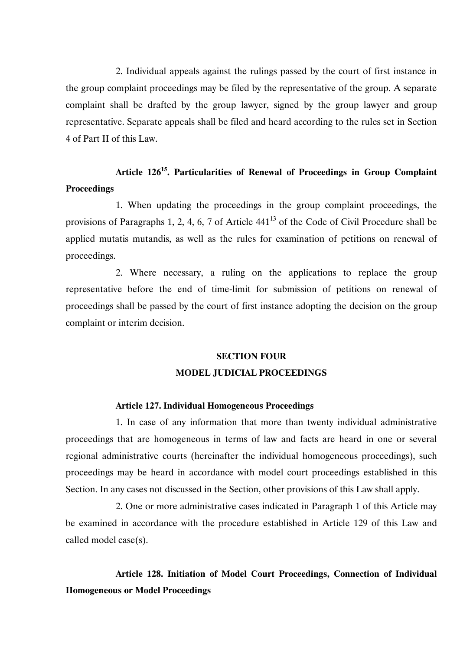2. Individual appeals against the rulings passed by the court of first instance in the group complaint proceedings may be filed by the representative of the group. A separate complaint shall be drafted by the group lawyer, signed by the group lawyer and group representative. Separate appeals shall be filed and heard according to the rules set in Section 4 of Part II of this Law.

# **Article 12615. Particularities of Renewal of Proceedings in Group Complaint Proceedings**

1. When updating the proceedings in the group complaint proceedings, the provisions of Paragraphs 1, 2, 4, 6, 7 of Article  $441<sup>13</sup>$  of the Code of Civil Procedure shall be applied mutatis mutandis, as well as the rules for examination of petitions on renewal of proceedings.

2. Where necessary, a ruling on the applications to replace the group representative before the end of time-limit for submission of petitions on renewal of proceedings shall be passed by the court of first instance adopting the decision on the group complaint or interim decision.

## **SECTION FOUR MODEL JUDICIAL PROCEEDINGS**

### **Article 127. Individual Homogeneous Proceedings**

1. In case of any information that more than twenty individual administrative proceedings that are homogeneous in terms of law and facts are heard in one or several regional administrative courts (hereinafter the individual homogeneous proceedings), such proceedings may be heard in accordance with model court proceedings established in this Section. In any cases not discussed in the Section, other provisions of this Law shall apply.

2. One or more administrative cases indicated in Paragraph 1 of this Article may be examined in accordance with the procedure established in Article 129 of this Law and called model case(s).

**Article 128. Initiation of Model Court Proceedings, Connection of Individual Homogeneous or Model Proceedings**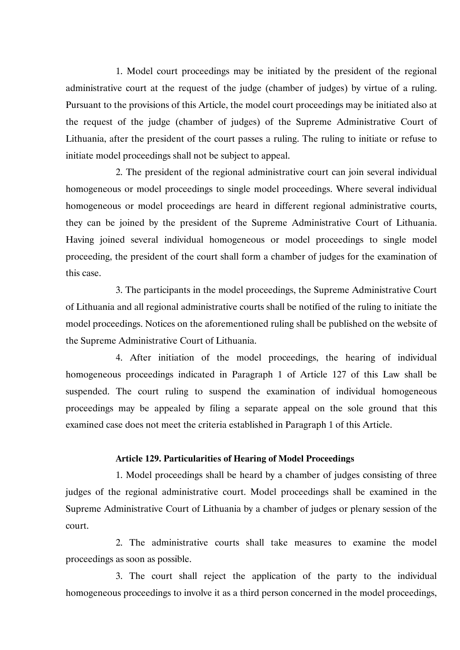1. Model court proceedings may be initiated by the president of the regional administrative court at the request of the judge (chamber of judges) by virtue of a ruling. Pursuant to the provisions of this Article, the model court proceedings may be initiated also at the request of the judge (chamber of judges) of the Supreme Administrative Court of Lithuania, after the president of the court passes a ruling. The ruling to initiate or refuse to initiate model proceedings shall not be subject to appeal.

2. The president of the regional administrative court can join several individual homogeneous or model proceedings to single model proceedings. Where several individual homogeneous or model proceedings are heard in different regional administrative courts, they can be joined by the president of the Supreme Administrative Court of Lithuania. Having joined several individual homogeneous or model proceedings to single model proceeding, the president of the court shall form a chamber of judges for the examination of this case.

3. The participants in the model proceedings, the Supreme Administrative Court of Lithuania and all regional administrative courts shall be notified of the ruling to initiate the model proceedings. Notices on the aforementioned ruling shall be published on the website of the Supreme Administrative Court of Lithuania.

4. After initiation of the model proceedings, the hearing of individual homogeneous proceedings indicated in Paragraph 1 of Article 127 of this Law shall be suspended. The court ruling to suspend the examination of individual homogeneous proceedings may be appealed by filing a separate appeal on the sole ground that this examined case does not meet the criteria established in Paragraph 1 of this Article.

### **Article 129. Particularities of Hearing of Model Proceedings**

1. Model proceedings shall be heard by a chamber of judges consisting of three judges of the regional administrative court. Model proceedings shall be examined in the Supreme Administrative Court of Lithuania by a chamber of judges or plenary session of the court.

2. The administrative courts shall take measures to examine the model proceedings as soon as possible.

3. The court shall reject the application of the party to the individual homogeneous proceedings to involve it as a third person concerned in the model proceedings,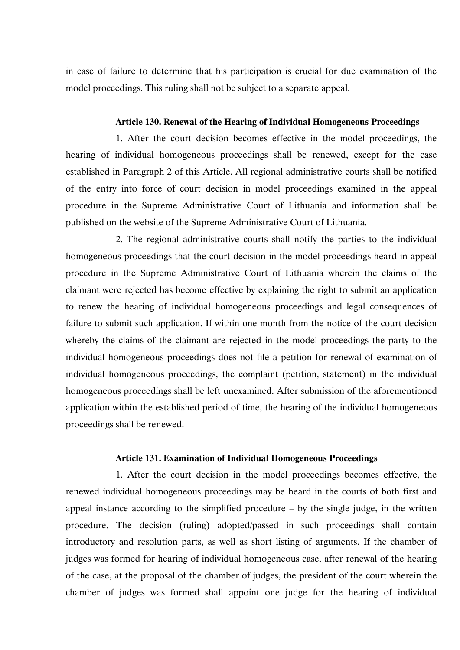in case of failure to determine that his participation is crucial for due examination of the model proceedings. This ruling shall not be subject to a separate appeal.

### **Article 130. Renewal of the Hearing of Individual Homogeneous Proceedings**

1. After the court decision becomes effective in the model proceedings, the hearing of individual homogeneous proceedings shall be renewed, except for the case established in Paragraph 2 of this Article. All regional administrative courts shall be notified of the entry into force of court decision in model proceedings examined in the appeal procedure in the Supreme Administrative Court of Lithuania and information shall be published on the website of the Supreme Administrative Court of Lithuania.

2. The regional administrative courts shall notify the parties to the individual homogeneous proceedings that the court decision in the model proceedings heard in appeal procedure in the Supreme Administrative Court of Lithuania wherein the claims of the claimant were rejected has become effective by explaining the right to submit an application to renew the hearing of individual homogeneous proceedings and legal consequences of failure to submit such application. If within one month from the notice of the court decision whereby the claims of the claimant are rejected in the model proceedings the party to the individual homogeneous proceedings does not file a petition for renewal of examination of individual homogeneous proceedings, the complaint (petition, statement) in the individual homogeneous proceedings shall be left unexamined. After submission of the aforementioned application within the established period of time, the hearing of the individual homogeneous proceedings shall be renewed.

### **Article 131. Examination of Individual Homogeneous Proceedings**

1. After the court decision in the model proceedings becomes effective, the renewed individual homogeneous proceedings may be heard in the courts of both first and appeal instance according to the simplified procedure – by the single judge, in the written procedure. The decision (ruling) adopted/passed in such proceedings shall contain introductory and resolution parts, as well as short listing of arguments. If the chamber of judges was formed for hearing of individual homogeneous case, after renewal of the hearing of the case, at the proposal of the chamber of judges, the president of the court wherein the chamber of judges was formed shall appoint one judge for the hearing of individual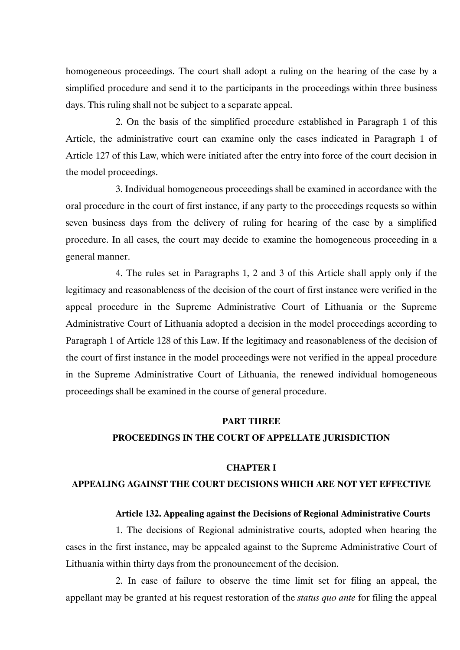homogeneous proceedings. The court shall adopt a ruling on the hearing of the case by a simplified procedure and send it to the participants in the proceedings within three business days. This ruling shall not be subject to a separate appeal.

2. On the basis of the simplified procedure established in Paragraph 1 of this Article, the administrative court can examine only the cases indicated in Paragraph 1 of Article 127 of this Law, which were initiated after the entry into force of the court decision in the model proceedings.

3. Individual homogeneous proceedings shall be examined in accordance with the oral procedure in the court of first instance, if any party to the proceedings requests so within seven business days from the delivery of ruling for hearing of the case by a simplified procedure. In all cases, the court may decide to examine the homogeneous proceeding in a general manner.

4. The rules set in Paragraphs 1, 2 and 3 of this Article shall apply only if the legitimacy and reasonableness of the decision of the court of first instance were verified in the appeal procedure in the Supreme Administrative Court of Lithuania or the Supreme Administrative Court of Lithuania adopted a decision in the model proceedings according to Paragraph 1 of Article 128 of this Law. If the legitimacy and reasonableness of the decision of the court of first instance in the model proceedings were not verified in the appeal procedure in the Supreme Administrative Court of Lithuania, the renewed individual homogeneous proceedings shall be examined in the course of general procedure.

### **PART THREE**

### **PROCEEDINGS IN THE COURT OF APPELLATE JURISDICTION**

#### **CHAPTER I**

### **APPEALING AGAINST THE COURT DECISIONS WHICH ARE NOT YET EFFECTIVE**

#### **Article 132. Appealing against the Decisions of Regional Administrative Courts**

1. The decisions of Regional administrative courts, adopted when hearing the cases in the first instance, may be appealed against to the Supreme Administrative Court of Lithuania within thirty days from the pronouncement of the decision.

2. In case of failure to observe the time limit set for filing an appeal, the appellant may be granted at his request restoration of the *status quo ante* for filing the appeal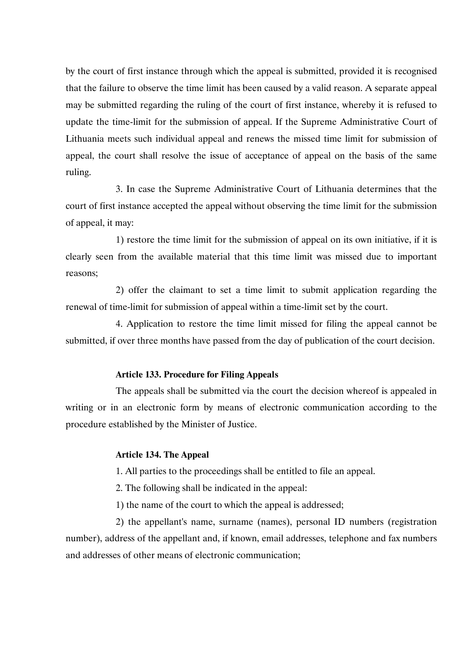by the court of first instance through which the appeal is submitted, provided it is recognised that the failure to observe the time limit has been caused by a valid reason. A separate appeal may be submitted regarding the ruling of the court of first instance, whereby it is refused to update the time-limit for the submission of appeal. If the Supreme Administrative Court of Lithuania meets such individual appeal and renews the missed time limit for submission of appeal, the court shall resolve the issue of acceptance of appeal on the basis of the same ruling.

3. In case the Supreme Administrative Court of Lithuania determines that the court of first instance accepted the appeal without observing the time limit for the submission of appeal, it may:

1) restore the time limit for the submission of appeal on its own initiative, if it is clearly seen from the available material that this time limit was missed due to important reasons;

2) offer the claimant to set a time limit to submit application regarding the renewal of time-limit for submission of appeal within a time-limit set by the court.

4. Application to restore the time limit missed for filing the appeal cannot be submitted, if over three months have passed from the day of publication of the court decision.

### **Article 133. Procedure for Filing Appeals**

The appeals shall be submitted via the court the decision whereof is appealed in writing or in an electronic form by means of electronic communication according to the procedure established by the Minister of Justice.

### **Article 134. The Appeal**

1. All parties to the proceedings shall be entitled to file an appeal.

2. The following shall be indicated in the appeal:

1) the name of the court to which the appeal is addressed;

2) the appellant's name, surname (names), personal ID numbers (registration number), address of the appellant and, if known, email addresses, telephone and fax numbers and addresses of other means of electronic communication;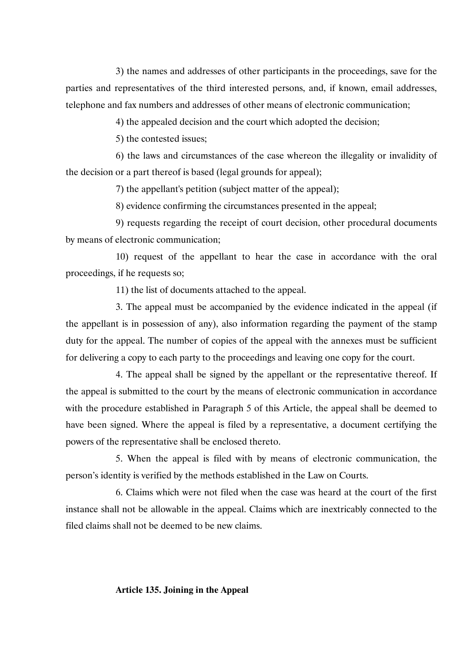3) the names and addresses of other participants in the proceedings, save for the parties and representatives of the third interested persons, and, if known, email addresses, telephone and fax numbers and addresses of other means of electronic communication;

4) the appealed decision and the court which adopted the decision;

5) the contested issues;

6) the laws and circumstances of the case whereon the illegality or invalidity of the decision or a part thereof is based (legal grounds for appeal);

7) the appellant's petition (subject matter of the appeal);

8) evidence confirming the circumstances presented in the appeal;

9) requests regarding the receipt of court decision, other procedural documents by means of electronic communication;

10) request of the appellant to hear the case in accordance with the oral proceedings, if he requests so;

11) the list of documents attached to the appeal.

3. The appeal must be accompanied by the evidence indicated in the appeal (if the appellant is in possession of any), also information regarding the payment of the stamp duty for the appeal. The number of copies of the appeal with the annexes must be sufficient for delivering a copy to each party to the proceedings and leaving one copy for the court.

4. The appeal shall be signed by the appellant or the representative thereof. If the appeal is submitted to the court by the means of electronic communication in accordance with the procedure established in Paragraph 5 of this Article, the appeal shall be deemed to have been signed. Where the appeal is filed by a representative, a document certifying the powers of the representative shall be enclosed thereto.

5. When the appeal is filed with by means of electronic communication, the person's identity is verified by the methods established in the Law on Courts.

6. Claims which were not filed when the case was heard at the court of the first instance shall not be allowable in the appeal. Claims which are inextricably connected to the filed claims shall not be deemed to be new claims.

### **Article 135. Joining in the Appeal**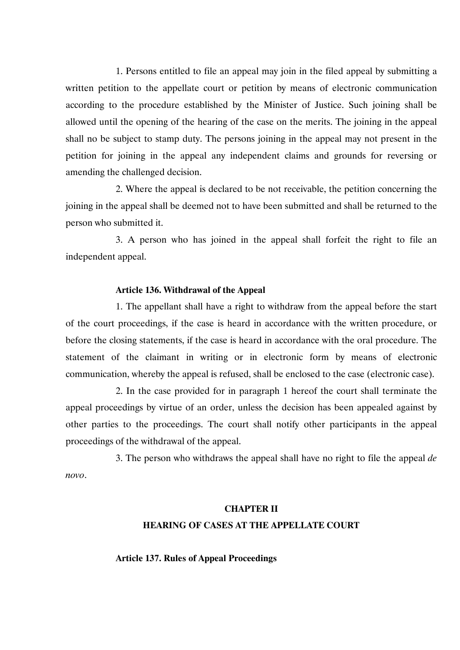1. Persons entitled to file an appeal may join in the filed appeal by submitting a written petition to the appellate court or petition by means of electronic communication according to the procedure established by the Minister of Justice. Such joining shall be allowed until the opening of the hearing of the case on the merits. The joining in the appeal shall no be subject to stamp duty. The persons joining in the appeal may not present in the petition for joining in the appeal any independent claims and grounds for reversing or amending the challenged decision.

2. Where the appeal is declared to be not receivable, the petition concerning the joining in the appeal shall be deemed not to have been submitted and shall be returned to the person who submitted it.

3. A person who has joined in the appeal shall forfeit the right to file an independent appeal.

# **Article 136. Withdrawal of the Appeal**

1. The appellant shall have a right to withdraw from the appeal before the start of the court proceedings, if the case is heard in accordance with the written procedure, or before the closing statements, if the case is heard in accordance with the oral procedure. The statement of the claimant in writing or in electronic form by means of electronic communication, whereby the appeal is refused, shall be enclosed to the case (electronic case).

2. In the case provided for in paragraph 1 hereof the court shall terminate the appeal proceedings by virtue of an order, unless the decision has been appealed against by other parties to the proceedings. The court shall notify other participants in the appeal proceedings of the withdrawal of the appeal.

3. The person who withdraws the appeal shall have no right to file the appeal *de novo*.

## **CHAPTER II**

## **HEARING OF CASES AT THE APPELLATE COURT**

## **Article 137. Rules of Appeal Proceedings**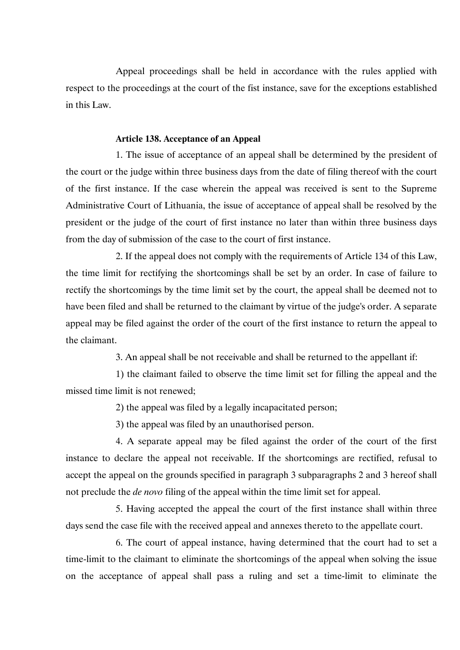Appeal proceedings shall be held in accordance with the rules applied with respect to the proceedings at the court of the fist instance, save for the exceptions established in this Law.

# **Article 138. Acceptance of an Appeal**

1. The issue of acceptance of an appeal shall be determined by the president of the court or the judge within three business days from the date of filing thereof with the court of the first instance. If the case wherein the appeal was received is sent to the Supreme Administrative Court of Lithuania, the issue of acceptance of appeal shall be resolved by the president or the judge of the court of first instance no later than within three business days from the day of submission of the case to the court of first instance.

2. If the appeal does not comply with the requirements of Article 134 of this Law, the time limit for rectifying the shortcomings shall be set by an order. In case of failure to rectify the shortcomings by the time limit set by the court, the appeal shall be deemed not to have been filed and shall be returned to the claimant by virtue of the judge's order. A separate appeal may be filed against the order of the court of the first instance to return the appeal to the claimant.

3. An appeal shall be not receivable and shall be returned to the appellant if:

1) the claimant failed to observe the time limit set for filling the appeal and the missed time limit is not renewed;

2) the appeal was filed by a legally incapacitated person;

3) the appeal was filed by an unauthorised person.

4. A separate appeal may be filed against the order of the court of the first instance to declare the appeal not receivable. If the shortcomings are rectified, refusal to accept the appeal on the grounds specified in paragraph 3 subparagraphs 2 and 3 hereof shall not preclude the *de novo* filing of the appeal within the time limit set for appeal.

5. Having accepted the appeal the court of the first instance shall within three days send the case file with the received appeal and annexes thereto to the appellate court.

6. The court of appeal instance, having determined that the court had to set a time-limit to the claimant to eliminate the shortcomings of the appeal when solving the issue on the acceptance of appeal shall pass a ruling and set a time-limit to eliminate the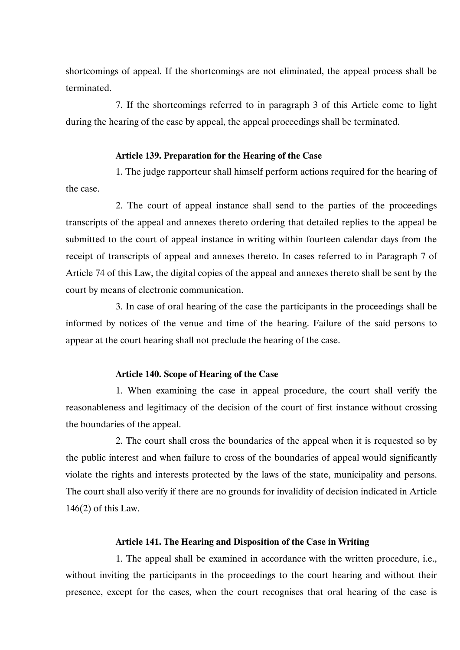shortcomings of appeal. If the shortcomings are not eliminated, the appeal process shall be terminated.

7. If the shortcomings referred to in paragraph 3 of this Article come to light during the hearing of the case by appeal, the appeal proceedings shall be terminated.

# **Article 139. Preparation for the Hearing of the Case**

1. The judge rapporteur shall himself perform actions required for the hearing of the case.

2. The court of appeal instance shall send to the parties of the proceedings transcripts of the appeal and annexes thereto ordering that detailed replies to the appeal be submitted to the court of appeal instance in writing within fourteen calendar days from the receipt of transcripts of appeal and annexes thereto. In cases referred to in Paragraph 7 of Article 74 of this Law, the digital copies of the appeal and annexes thereto shall be sent by the court by means of electronic communication.

3. In case of oral hearing of the case the participants in the proceedings shall be informed by notices of the venue and time of the hearing. Failure of the said persons to appear at the court hearing shall not preclude the hearing of the case.

## **Article 140. Scope of Hearing of the Case**

1. When examining the case in appeal procedure, the court shall verify the reasonableness and legitimacy of the decision of the court of first instance without crossing the boundaries of the appeal.

2. The court shall cross the boundaries of the appeal when it is requested so by the public interest and when failure to cross of the boundaries of appeal would significantly violate the rights and interests protected by the laws of the state, municipality and persons. The court shall also verify if there are no grounds for invalidity of decision indicated in Article 146(2) of this Law.

# **Article 141. The Hearing and Disposition of the Case in Writing**

1. The appeal shall be examined in accordance with the written procedure, i.e., without inviting the participants in the proceedings to the court hearing and without their presence, except for the cases, when the court recognises that oral hearing of the case is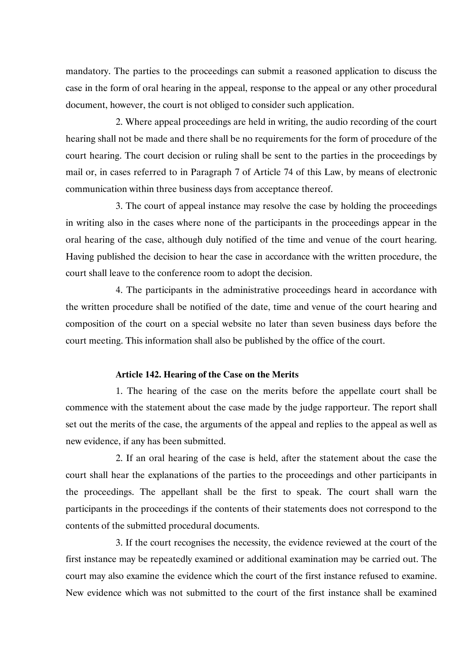mandatory. The parties to the proceedings can submit a reasoned application to discuss the case in the form of oral hearing in the appeal, response to the appeal or any other procedural document, however, the court is not obliged to consider such application.

2. Where appeal proceedings are held in writing, the audio recording of the court hearing shall not be made and there shall be no requirements for the form of procedure of the court hearing. The court decision or ruling shall be sent to the parties in the proceedings by mail or, in cases referred to in Paragraph 7 of Article 74 of this Law, by means of electronic communication within three business days from acceptance thereof.

3. The court of appeal instance may resolve the case by holding the proceedings in writing also in the cases where none of the participants in the proceedings appear in the oral hearing of the case, although duly notified of the time and venue of the court hearing. Having published the decision to hear the case in accordance with the written procedure, the court shall leave to the conference room to adopt the decision.

4. The participants in the administrative proceedings heard in accordance with the written procedure shall be notified of the date, time and venue of the court hearing and composition of the court on a special website no later than seven business days before the court meeting. This information shall also be published by the office of the court.

## **Article 142. Hearing of the Case on the Merits**

1. The hearing of the case on the merits before the appellate court shall be commence with the statement about the case made by the judge rapporteur. The report shall set out the merits of the case, the arguments of the appeal and replies to the appeal as well as new evidence, if any has been submitted.

2. If an oral hearing of the case is held, after the statement about the case the court shall hear the explanations of the parties to the proceedings and other participants in the proceedings. The appellant shall be the first to speak. The court shall warn the participants in the proceedings if the contents of their statements does not correspond to the contents of the submitted procedural documents.

3. If the court recognises the necessity, the evidence reviewed at the court of the first instance may be repeatedly examined or additional examination may be carried out. The court may also examine the evidence which the court of the first instance refused to examine. New evidence which was not submitted to the court of the first instance shall be examined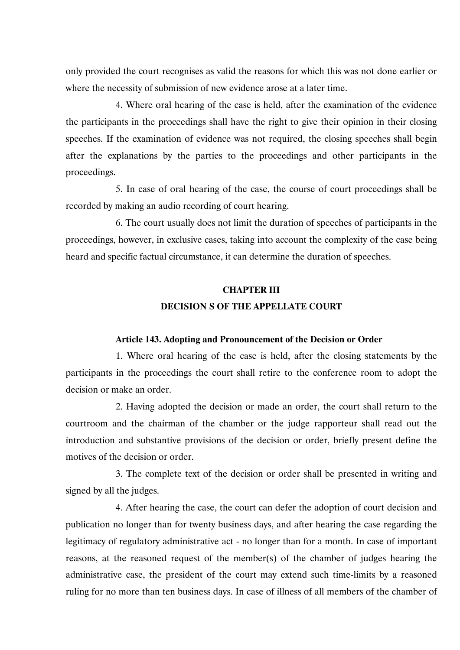only provided the court recognises as valid the reasons for which this was not done earlier or where the necessity of submission of new evidence arose at a later time.

4. Where oral hearing of the case is held, after the examination of the evidence the participants in the proceedings shall have the right to give their opinion in their closing speeches. If the examination of evidence was not required, the closing speeches shall begin after the explanations by the parties to the proceedings and other participants in the proceedings.

5. In case of oral hearing of the case, the course of court proceedings shall be recorded by making an audio recording of court hearing.

6. The court usually does not limit the duration of speeches of participants in the proceedings, however, in exclusive cases, taking into account the complexity of the case being heard and specific factual circumstance, it can determine the duration of speeches.

# **CHAPTER III DECISION S OF THE APPELLATE COURT**

## **Article 143. Adopting and Pronouncement of the Decision or Order**

1. Where oral hearing of the case is held, after the closing statements by the participants in the proceedings the court shall retire to the conference room to adopt the decision or make an order.

2. Having adopted the decision or made an order, the court shall return to the courtroom and the chairman of the chamber or the judge rapporteur shall read out the introduction and substantive provisions of the decision or order, briefly present define the motives of the decision or order.

3. The complete text of the decision or order shall be presented in writing and signed by all the judges.

4. After hearing the case, the court can defer the adoption of court decision and publication no longer than for twenty business days, and after hearing the case regarding the legitimacy of regulatory administrative act - no longer than for a month. In case of important reasons, at the reasoned request of the member(s) of the chamber of judges hearing the administrative case, the president of the court may extend such time-limits by a reasoned ruling for no more than ten business days. In case of illness of all members of the chamber of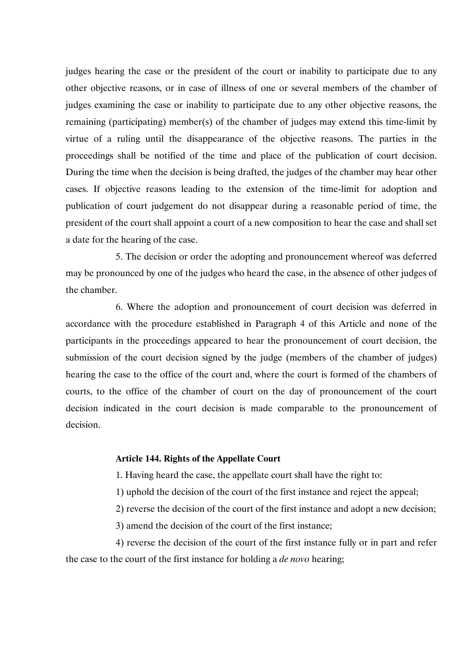judges hearing the case or the president of the court or inability to participate due to any other objective reasons, or in case of illness of one or several members of the chamber of judges examining the case or inability to participate due to any other objective reasons, the remaining (participating) member(s) of the chamber of judges may extend this time-limit by virtue of a ruling until the disappearance of the objective reasons. The parties in the proceedings shall be notified of the time and place of the publication of court decision. During the time when the decision is being drafted, the judges of the chamber may hear other cases. If objective reasons leading to the extension of the time-limit for adoption and publication of court judgement do not disappear during a reasonable period of time, the president of the court shall appoint a court of a new composition to hear the case and shall set a date for the hearing of the case.

5. The decision or order the adopting and pronouncement whereof was deferred may be pronounced by one of the judges who heard the case, in the absence of other judges of the chamber.

6. Where the adoption and pronouncement of court decision was deferred in accordance with the procedure established in Paragraph 4 of this Article and none of the participants in the proceedings appeared to hear the pronouncement of court decision, the submission of the court decision signed by the judge (members of the chamber of judges) hearing the case to the office of the court and, where the court is formed of the chambers of courts, to the office of the chamber of court on the day of pronouncement of the court decision indicated in the court decision is made comparable to the pronouncement of decision.

# **Article 144. Rights of the Appellate Court**

1. Having heard the case, the appellate court shall have the right to:

1) uphold the decision of the court of the first instance and reject the appeal;

2) reverse the decision of the court of the first instance and adopt a new decision;

3) amend the decision of the court of the first instance;

4) reverse the decision of the court of the first instance fully or in part and refer the case to the court of the first instance for holding a *de novo* hearing;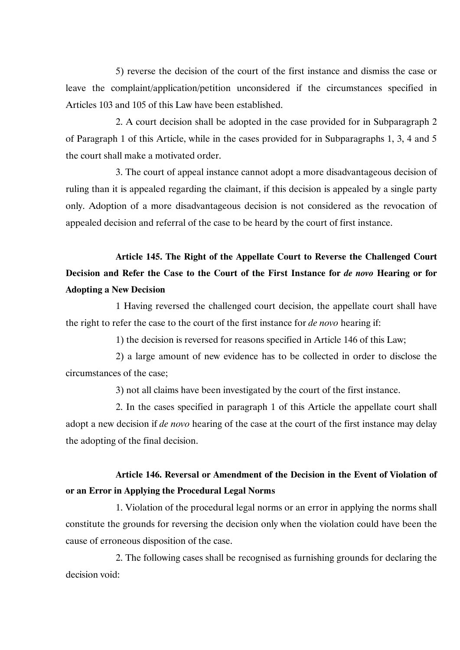5) reverse the decision of the court of the first instance and dismiss the case or leave the complaint/application/petition unconsidered if the circumstances specified in Articles 103 and 105 of this Law have been established.

2. A court decision shall be adopted in the case provided for in Subparagraph 2 of Paragraph 1 of this Article, while in the cases provided for in Subparagraphs 1, 3, 4 and 5 the court shall make a motivated order.

3. The court of appeal instance cannot adopt a more disadvantageous decision of ruling than it is appealed regarding the claimant, if this decision is appealed by a single party only. Adoption of a more disadvantageous decision is not considered as the revocation of appealed decision and referral of the case to be heard by the court of first instance.

**Article 145. The Right of the Appellate Court to Reverse the Challenged Court Decision and Refer the Case to the Court of the First Instance for** *de novo* **Hearing or for Adopting a New Decision** 

1 Having reversed the challenged court decision, the appellate court shall have the right to refer the case to the court of the first instance for *de novo* hearing if:

1) the decision is reversed for reasons specified in Article 146 of this Law;

2) a large amount of new evidence has to be collected in order to disclose the circumstances of the case;

3) not all claims have been investigated by the court of the first instance.

2. In the cases specified in paragraph 1 of this Article the appellate court shall adopt a new decision if *de novo* hearing of the case at the court of the first instance may delay the adopting of the final decision.

# **Article 146. Reversal or Amendment of the Decision in the Event of Violation of or an Error in Applying the Procedural Legal Norms**

1. Violation of the procedural legal norms or an error in applying the norms shall constitute the grounds for reversing the decision only when the violation could have been the cause of erroneous disposition of the case.

2. The following cases shall be recognised as furnishing grounds for declaring the decision void: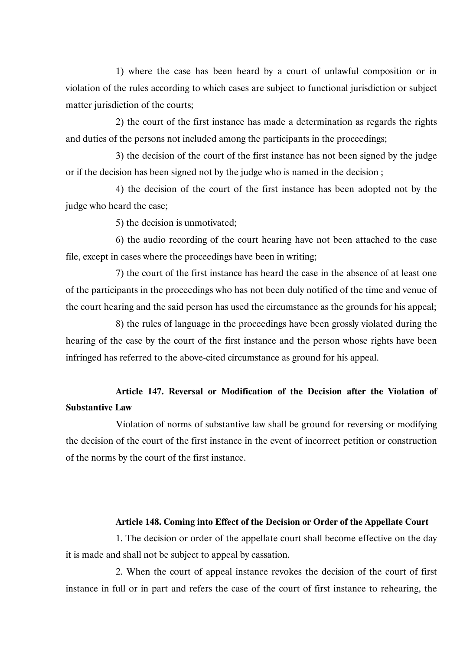1) where the case has been heard by a court of unlawful composition or in violation of the rules according to which cases are subject to functional jurisdiction or subject matter jurisdiction of the courts;

2) the court of the first instance has made a determination as regards the rights and duties of the persons not included among the participants in the proceedings;

3) the decision of the court of the first instance has not been signed by the judge or if the decision has been signed not by the judge who is named in the decision ;

4) the decision of the court of the first instance has been adopted not by the judge who heard the case;

5) the decision is unmotivated;

6) the audio recording of the court hearing have not been attached to the case file, except in cases where the proceedings have been in writing;

7) the court of the first instance has heard the case in the absence of at least one of the participants in the proceedings who has not been duly notified of the time and venue of the court hearing and the said person has used the circumstance as the grounds for his appeal;

8) the rules of language in the proceedings have been grossly violated during the hearing of the case by the court of the first instance and the person whose rights have been infringed has referred to the above-cited circumstance as ground for his appeal.

# **Article 147. Reversal or Modification of the Decision after the Violation of Substantive Law**

Violation of norms of substantive law shall be ground for reversing or modifying the decision of the court of the first instance in the event of incorrect petition or construction of the norms by the court of the first instance.

## **Article 148. Coming into Effect of the Decision or Order of the Appellate Court**

1. The decision or order of the appellate court shall become effective on the day it is made and shall not be subject to appeal by cassation.

2. When the court of appeal instance revokes the decision of the court of first instance in full or in part and refers the case of the court of first instance to rehearing, the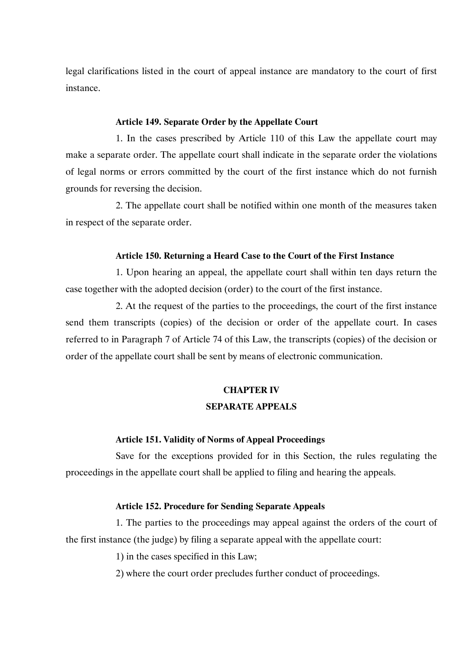legal clarifications listed in the court of appeal instance are mandatory to the court of first instance.

# **Article 149. Separate Order by the Appellate Court**

1. In the cases prescribed by Article 110 of this Law the appellate court may make a separate order. The appellate court shall indicate in the separate order the violations of legal norms or errors committed by the court of the first instance which do not furnish grounds for reversing the decision.

2. The appellate court shall be notified within one month of the measures taken in respect of the separate order.

## **Article 150. Returning a Heard Case to the Court of the First Instance**

1. Upon hearing an appeal, the appellate court shall within ten days return the case together with the adopted decision (order) to the court of the first instance.

2. At the request of the parties to the proceedings, the court of the first instance send them transcripts (copies) of the decision or order of the appellate court. In cases referred to in Paragraph 7 of Article 74 of this Law, the transcripts (copies) of the decision or order of the appellate court shall be sent by means of electronic communication.

# **CHAPTER IV SEPARATE APPEALS**

### **Article 151. Validity of Norms of Appeal Proceedings**

Save for the exceptions provided for in this Section, the rules regulating the proceedings in the appellate court shall be applied to filing and hearing the appeals.

# **Article 152. Procedure for Sending Separate Appeals**

1. The parties to the proceedings may appeal against the orders of the court of the first instance (the judge) by filing a separate appeal with the appellate court:

1) in the cases specified in this Law;

2) where the court order precludes further conduct of proceedings.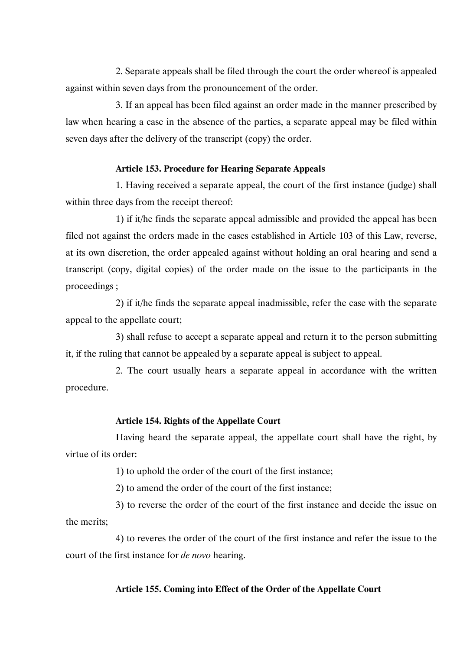2. Separate appeals shall be filed through the court the order whereof is appealed against within seven days from the pronouncement of the order.

3. If an appeal has been filed against an order made in the manner prescribed by law when hearing a case in the absence of the parties, a separate appeal may be filed within seven days after the delivery of the transcript (copy) the order.

# **Article 153. Procedure for Hearing Separate Appeals**

1. Having received a separate appeal, the court of the first instance (judge) shall within three days from the receipt thereof:

1) if it/he finds the separate appeal admissible and provided the appeal has been filed not against the orders made in the cases established in Article 103 of this Law, reverse, at its own discretion, the order appealed against without holding an oral hearing and send a transcript (copy, digital copies) of the order made on the issue to the participants in the proceedings ;

2) if it/he finds the separate appeal inadmissible, refer the case with the separate appeal to the appellate court;

3) shall refuse to accept a separate appeal and return it to the person submitting it, if the ruling that cannot be appealed by a separate appeal is subject to appeal.

2. The court usually hears a separate appeal in accordance with the written procedure.

# **Article 154. Rights of the Appellate Court**

Having heard the separate appeal, the appellate court shall have the right, by virtue of its order:

1) to uphold the order of the court of the first instance;

2) to amend the order of the court of the first instance;

3) to reverse the order of the court of the first instance and decide the issue on the merits;

4) to reveres the order of the court of the first instance and refer the issue to the court of the first instance for *de novo* hearing.

# **Article 155. Coming into Effect of the Order of the Appellate Court**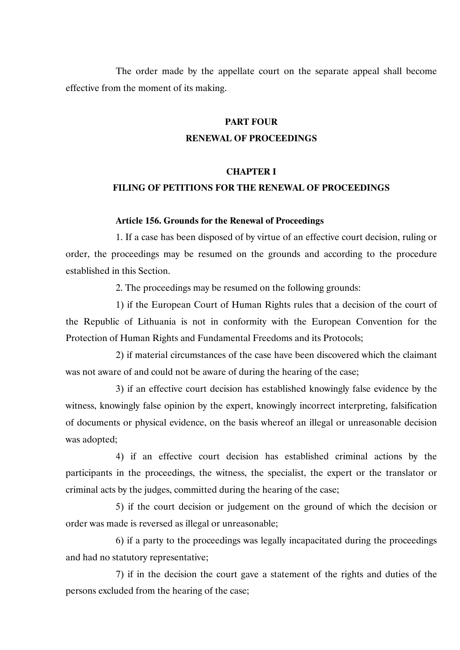The order made by the appellate court on the separate appeal shall become effective from the moment of its making.

# **PART FOUR RENEWAL OF PROCEEDINGS**

# **CHAPTER I FILING OF PETITIONS FOR THE RENEWAL OF PROCEEDINGS**

# **Article 156. Grounds for the Renewal of Proceedings**

1. If a case has been disposed of by virtue of an effective court decision, ruling or order, the proceedings may be resumed on the grounds and according to the procedure established in this Section.

2. The proceedings may be resumed on the following grounds:

1) if the European Court of Human Rights rules that a decision of the court of the Republic of Lithuania is not in conformity with the European Convention for the Protection of Human Rights and Fundamental Freedoms and its Protocols;

2) if material circumstances of the case have been discovered which the claimant was not aware of and could not be aware of during the hearing of the case;

3) if an effective court decision has established knowingly false evidence by the witness, knowingly false opinion by the expert, knowingly incorrect interpreting, falsification of documents or physical evidence, on the basis whereof an illegal or unreasonable decision was adopted;

4) if an effective court decision has established criminal actions by the participants in the proceedings, the witness, the specialist, the expert or the translator or criminal acts by the judges, committed during the hearing of the case;

5) if the court decision or judgement on the ground of which the decision or order was made is reversed as illegal or unreasonable;

6) if a party to the proceedings was legally incapacitated during the proceedings and had no statutory representative;

7) if in the decision the court gave a statement of the rights and duties of the persons excluded from the hearing of the case;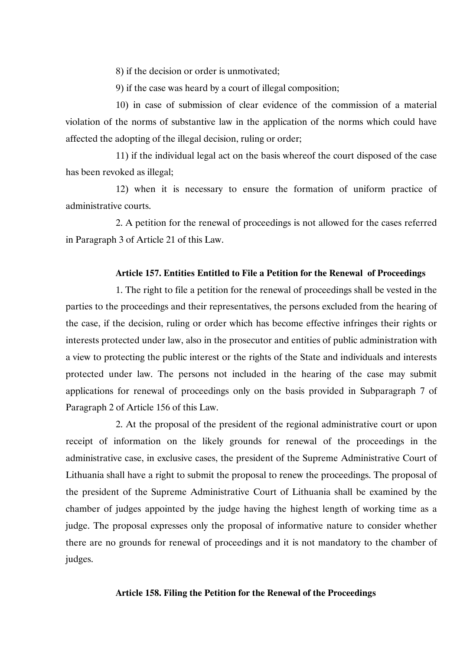8) if the decision or order is unmotivated;

9) if the case was heard by a court of illegal composition;

10) in case of submission of clear evidence of the commission of a material violation of the norms of substantive law in the application of the norms which could have affected the adopting of the illegal decision, ruling or order;

11) if the individual legal act on the basis whereof the court disposed of the case has been revoked as illegal;

12) when it is necessary to ensure the formation of uniform practice of administrative courts.

2. A petition for the renewal of proceedings is not allowed for the cases referred in Paragraph 3 of Article 21 of this Law.

# **Article 157. Entities Entitled to File a Petition for the Renewal of Proceedings**

1. The right to file a petition for the renewal of proceedings shall be vested in the parties to the proceedings and their representatives, the persons excluded from the hearing of the case, if the decision, ruling or order which has become effective infringes their rights or interests protected under law, also in the prosecutor and entities of public administration with a view to protecting the public interest or the rights of the State and individuals and interests protected under law. The persons not included in the hearing of the case may submit applications for renewal of proceedings only on the basis provided in Subparagraph 7 of Paragraph 2 of Article 156 of this Law.

2. At the proposal of the president of the regional administrative court or upon receipt of information on the likely grounds for renewal of the proceedings in the administrative case, in exclusive cases, the president of the Supreme Administrative Court of Lithuania shall have a right to submit the proposal to renew the proceedings. The proposal of the president of the Supreme Administrative Court of Lithuania shall be examined by the chamber of judges appointed by the judge having the highest length of working time as a judge. The proposal expresses only the proposal of informative nature to consider whether there are no grounds for renewal of proceedings and it is not mandatory to the chamber of judges.

### **Article 158. Filing the Petition for the Renewal of the Proceedings**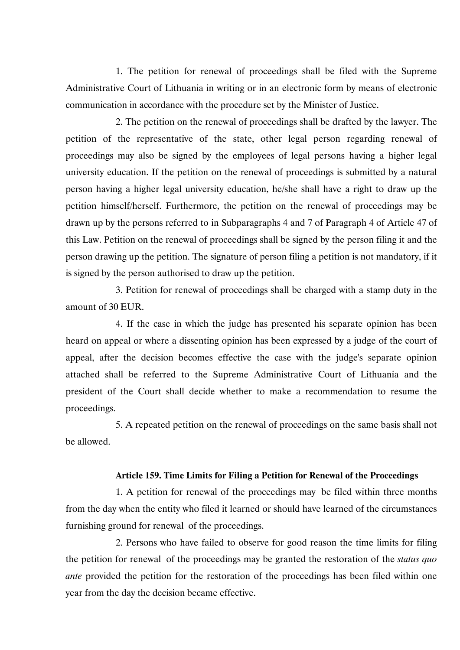1. The petition for renewal of proceedings shall be filed with the Supreme Administrative Court of Lithuania in writing or in an electronic form by means of electronic communication in accordance with the procedure set by the Minister of Justice.

2. The petition on the renewal of proceedings shall be drafted by the lawyer. The petition of the representative of the state, other legal person regarding renewal of proceedings may also be signed by the employees of legal persons having a higher legal university education. If the petition on the renewal of proceedings is submitted by a natural person having a higher legal university education, he/she shall have a right to draw up the petition himself/herself. Furthermore, the petition on the renewal of proceedings may be drawn up by the persons referred to in Subparagraphs 4 and 7 of Paragraph 4 of Article 47 of this Law. Petition on the renewal of proceedings shall be signed by the person filing it and the person drawing up the petition. The signature of person filing a petition is not mandatory, if it is signed by the person authorised to draw up the petition.

3. Petition for renewal of proceedings shall be charged with a stamp duty in the amount of 30 EUR.

4. If the case in which the judge has presented his separate opinion has been heard on appeal or where a dissenting opinion has been expressed by a judge of the court of appeal, after the decision becomes effective the case with the judge's separate opinion attached shall be referred to the Supreme Administrative Court of Lithuania and the president of the Court shall decide whether to make a recommendation to resume the proceedings.

5. A repeated petition on the renewal of proceedings on the same basis shall not be allowed.

# **Article 159. Time Limits for Filing a Petition for Renewal of the Proceedings**

1. A petition for renewal of the proceedings may be filed within three months from the day when the entity who filed it learned or should have learned of the circumstances furnishing ground for renewal of the proceedings.

2. Persons who have failed to observe for good reason the time limits for filing the petition for renewal of the proceedings may be granted the restoration of the *status quo ante* provided the petition for the restoration of the proceedings has been filed within one year from the day the decision became effective.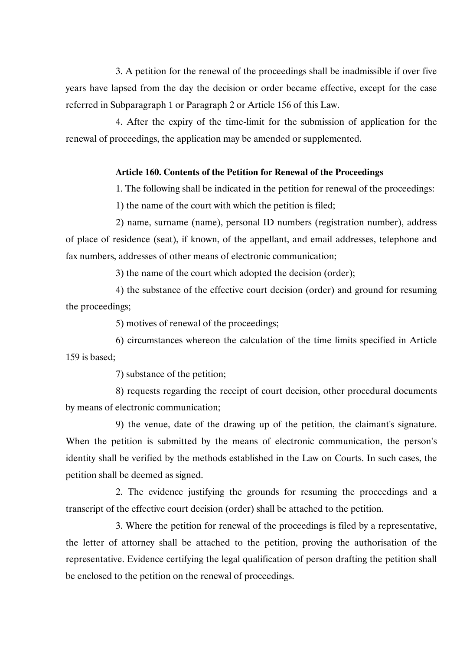3. A petition for the renewal of the proceedings shall be inadmissible if over five years have lapsed from the day the decision or order became effective, except for the case referred in Subparagraph 1 or Paragraph 2 or Article 156 of this Law.

4. After the expiry of the time-limit for the submission of application for the renewal of proceedings, the application may be amended or supplemented.

# **Article 160. Contents of the Petition for Renewal of the Proceedings**

1. The following shall be indicated in the petition for renewal of the proceedings:

1) the name of the court with which the petition is filed;

2) name, surname (name), personal ID numbers (registration number), address of place of residence (seat), if known, of the appellant, and email addresses, telephone and fax numbers, addresses of other means of electronic communication;

3) the name of the court which adopted the decision (order);

4) the substance of the effective court decision (order) and ground for resuming the proceedings;

5) motives of renewal of the proceedings;

6) circumstances whereon the calculation of the time limits specified in Article 159 is based;

7) substance of the petition;

8) requests regarding the receipt of court decision, other procedural documents by means of electronic communication;

9) the venue, date of the drawing up of the petition, the claimant's signature. When the petition is submitted by the means of electronic communication, the person's identity shall be verified by the methods established in the Law on Courts. In such cases, the petition shall be deemed as signed.

2. The evidence justifying the grounds for resuming the proceedings and a transcript of the effective court decision (order) shall be attached to the petition.

3. Where the petition for renewal of the proceedings is filed by a representative, the letter of attorney shall be attached to the petition, proving the authorisation of the representative. Evidence certifying the legal qualification of person drafting the petition shall be enclosed to the petition on the renewal of proceedings.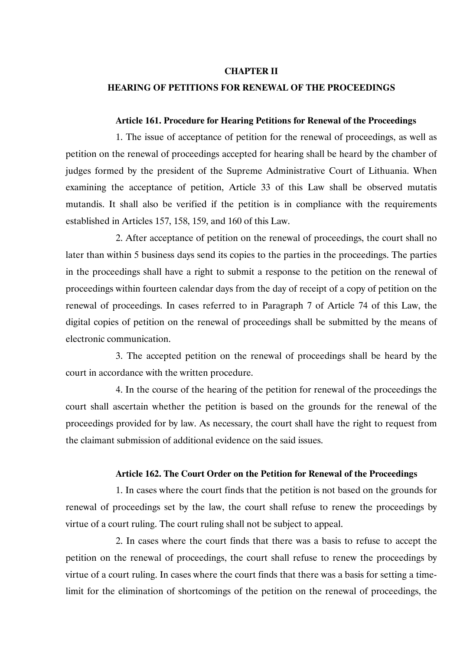## **CHAPTER II**

# **HEARING OF PETITIONS FOR RENEWAL OF THE PROCEEDINGS**

#### **Article 161. Procedure for Hearing Petitions for Renewal of the Proceedings**

1. The issue of acceptance of petition for the renewal of proceedings, as well as petition on the renewal of proceedings accepted for hearing shall be heard by the chamber of judges formed by the president of the Supreme Administrative Court of Lithuania. When examining the acceptance of petition, Article 33 of this Law shall be observed mutatis mutandis. It shall also be verified if the petition is in compliance with the requirements established in Articles 157, 158, 159, and 160 of this Law.

2. After acceptance of petition on the renewal of proceedings, the court shall no later than within 5 business days send its copies to the parties in the proceedings. The parties in the proceedings shall have a right to submit a response to the petition on the renewal of proceedings within fourteen calendar days from the day of receipt of a copy of petition on the renewal of proceedings. In cases referred to in Paragraph 7 of Article 74 of this Law, the digital copies of petition on the renewal of proceedings shall be submitted by the means of electronic communication.

3. The accepted petition on the renewal of proceedings shall be heard by the court in accordance with the written procedure.

4. In the course of the hearing of the petition for renewal of the proceedings the court shall ascertain whether the petition is based on the grounds for the renewal of the proceedings provided for by law. As necessary, the court shall have the right to request from the claimant submission of additional evidence on the said issues.

# **Article 162. The Court Order on the Petition for Renewal of the Proceedings**

1. In cases where the court finds that the petition is not based on the grounds for renewal of proceedings set by the law, the court shall refuse to renew the proceedings by virtue of a court ruling. The court ruling shall not be subject to appeal.

2. In cases where the court finds that there was a basis to refuse to accept the petition on the renewal of proceedings, the court shall refuse to renew the proceedings by virtue of a court ruling. In cases where the court finds that there was a basis for setting a timelimit for the elimination of shortcomings of the petition on the renewal of proceedings, the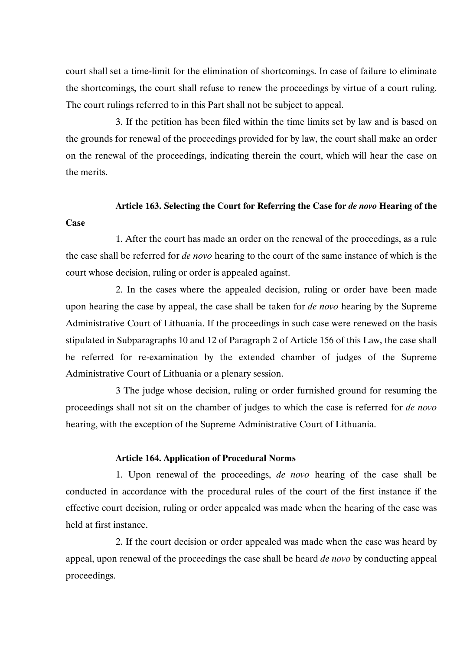court shall set a time-limit for the elimination of shortcomings. In case of failure to eliminate the shortcomings, the court shall refuse to renew the proceedings by virtue of a court ruling. The court rulings referred to in this Part shall not be subject to appeal.

3. If the petition has been filed within the time limits set by law and is based on the grounds for renewal of the proceedings provided for by law, the court shall make an order on the renewal of the proceedings, indicating therein the court, which will hear the case on the merits.

# **Article 163. Selecting the Court for Referring the Case for** *de novo* **Hearing of the**

#### **Case**

1. After the court has made an order on the renewal of the proceedings, as a rule the case shall be referred for *de novo* hearing to the court of the same instance of which is the court whose decision, ruling or order is appealed against.

2. In the cases where the appealed decision, ruling or order have been made upon hearing the case by appeal, the case shall be taken for *de novo* hearing by the Supreme Administrative Court of Lithuania. If the proceedings in such case were renewed on the basis stipulated in Subparagraphs 10 and 12 of Paragraph 2 of Article 156 of this Law, the case shall be referred for re-examination by the extended chamber of judges of the Supreme Administrative Court of Lithuania or a plenary session.

3 The judge whose decision, ruling or order furnished ground for resuming the proceedings shall not sit on the chamber of judges to which the case is referred for *de novo* hearing, with the exception of the Supreme Administrative Court of Lithuania.

# **Article 164. Application of Procedural Norms**

1. Upon renewal of the proceedings, *de novo* hearing of the case shall be conducted in accordance with the procedural rules of the court of the first instance if the effective court decision, ruling or order appealed was made when the hearing of the case was held at first instance.

2. If the court decision or order appealed was made when the case was heard by appeal, upon renewal of the proceedings the case shall be heard *de novo* by conducting appeal proceedings.